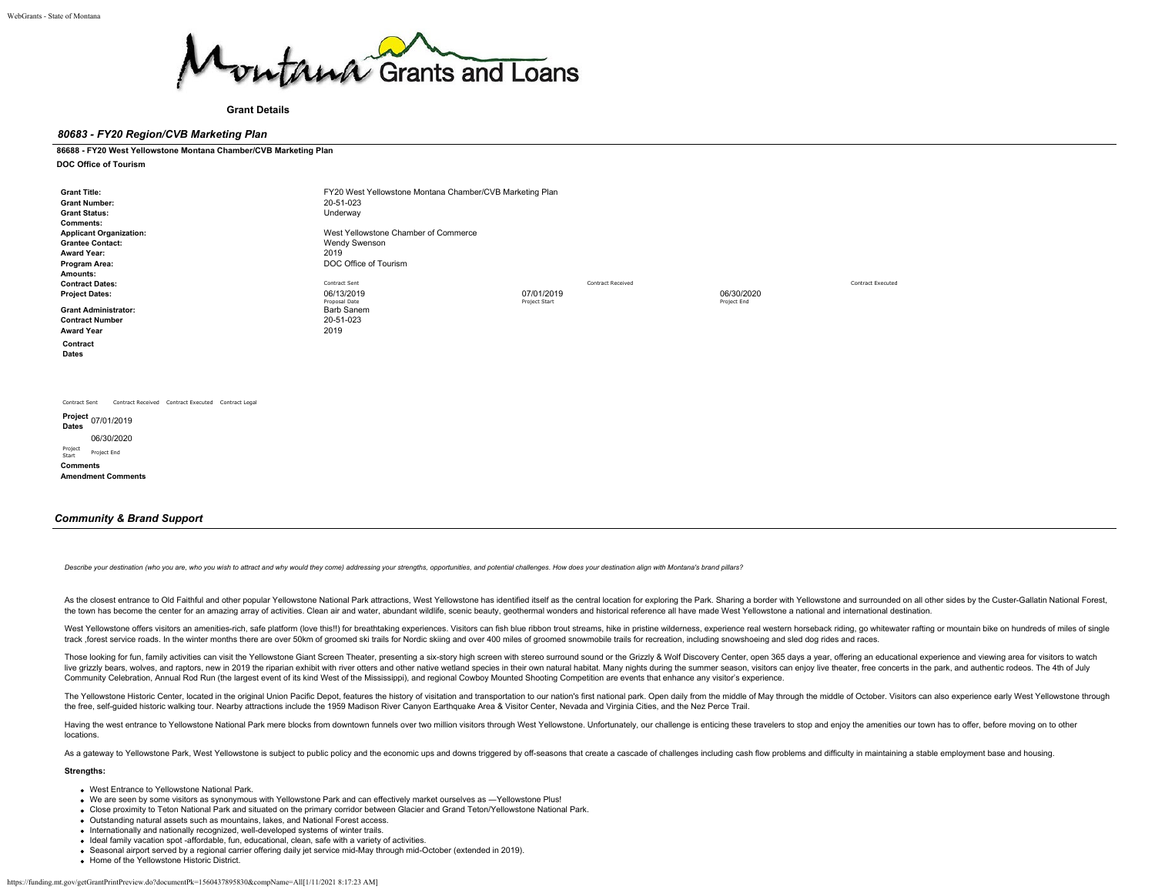

**Grant Details**

### *80683 - FY20 Region/CVB Marketing Plan*

### **86688 - FY20 West Yellowstone Montana Chamber/CVB Marketing Plan**

**DOC Office of Tourism**

| <b>Grant Title:</b><br><b>Grant Number:</b><br><b>Grant Status:</b><br><b>Comments:</b>                          | FY20 West Yellowstone Montana Chamber/CVB Marketing Plan<br>20-51-023<br>Underway      |                                                  |                           |                          |
|------------------------------------------------------------------------------------------------------------------|----------------------------------------------------------------------------------------|--------------------------------------------------|---------------------------|--------------------------|
| <b>Applicant Organization:</b><br><b>Grantee Contact:</b><br><b>Award Year:</b><br>Program Area:<br>Amounts:     | West Yellowstone Chamber of Commerce<br>Wendy Swenson<br>2019<br>DOC Office of Tourism |                                                  |                           |                          |
| <b>Contract Dates:</b><br><b>Project Dates:</b>                                                                  | Contract Sent<br>06/13/2019<br>Proposal Date                                           | Contract Received<br>07/01/2019<br>Project Start | 06/30/2020<br>Project End | <b>Contract Executed</b> |
| <b>Grant Administrator:</b><br><b>Contract Number</b><br><b>Award Year</b>                                       | Barb Sanem<br>20-51-023<br>2019                                                        |                                                  |                           |                          |
| Contract<br>Dates                                                                                                |                                                                                        |                                                  |                           |                          |
|                                                                                                                  |                                                                                        |                                                  |                           |                          |
| Contract Received Contract Executed Contract Legal<br>Contract Sent<br>Project 07/01/2019<br>Dates<br>06/30/2020 |                                                                                        |                                                  |                           |                          |

Project Start Project End **Comments Amendment Comments**

### *Community & Brand Support*

Describe your destination (who you are, who you wish to attract and why would they come) addressing your strengths, opportunities, and potential challenges. How does your destination align with Montana's brand pillars?

As the closest entrance to Old Faithful and other popular Yellowstone National Park attractions, West Yellowstone has identified itself as the central location for exploring the Park. Sharing a border with Yellowstone and the town has become the center for an amazing array of activities. Clean air and water, abundant wildlife, scenic beauty, geothermal wonders and historical reference all have made West Yellowstone a national and internatio

West Yellowstone offers visitors an amenities-rich, safe platform (love this!!) for breathtaking experiences. Visitors can fish blue ribbon trout streams, hike in pristine wilderness, experience real western horseback ridi track, forest service roads. In the winter months there are over 50km of groomed ski trails for Nordic skiing and over 400 miles of groomed snowmobile trails for recreation, including snowshoeing and sled dog rides and rac

Those looking for fun, family activities can visit the Yellowstone Giant Screen Theater, presenting a six-story high screen with stereo surround sound or the Grizzly & Wolf Discovery Center, open 365 days a year, offering live arizzly bears. wolves. and raptors, new in 2019 the riparian exhibit with river otters and other native wetland species in their own natural habitat. Many nights during the summer season, visitors can enjoy live theat Community Celebration, Annual Rod Run (the largest event of its kind West of the Mississippi), and regional Cowboy Mounted Shooting Competition are events that enhance any visitor's experience.

The Yellowstone Historic Center, located in the original Union Pacific Depot, features the history of visitation and transportation to our nation's first national park. Open daily from the middle of May through the middle the free, self-guided historic walking tour. Nearby attractions include the 1959 Madison River Canyon Earthquake Area & Visitor Center, Nevada and Virginia Cities, and the Nez Perce Trail.

Having the west entrance to Yellowstone National Park mere blocks from downtown funnels over two million visitors through West Yellowstone. Unfortunately, our challenge is enticing these travelers to stop and enjoy the ame locations.

As a gateway to Yellowstone Park, West Yellowstone is subject to public policy and the economic ups and downs triggered by off-seasons that create a cascade of challenges including cash flow problems and difficulty in main

### **Strengths:**

- West Entrance to Yellowstone National Park.
- We are seen by some visitors as synonymous with Yellowstone Park and can effectively market ourselves as ―Yellowstone Plus!
- Close proximity to Teton National Park and situated on the primary corridor between Glacier and Grand Teton/Yellowstone National Park.
- Outstanding natural assets such as mountains, lakes, and National Forest access.
- Internationally and nationally recognized, well-developed systems of winter trails.
- Ideal family vacation spot -affordable, fun, educational, clean, safe with a variety of activities.
- Seasonal airport served by a regional carrier offering daily jet service mid-May through mid-October (extended in 2019).
- **Home of the Yellowstone Historic District.**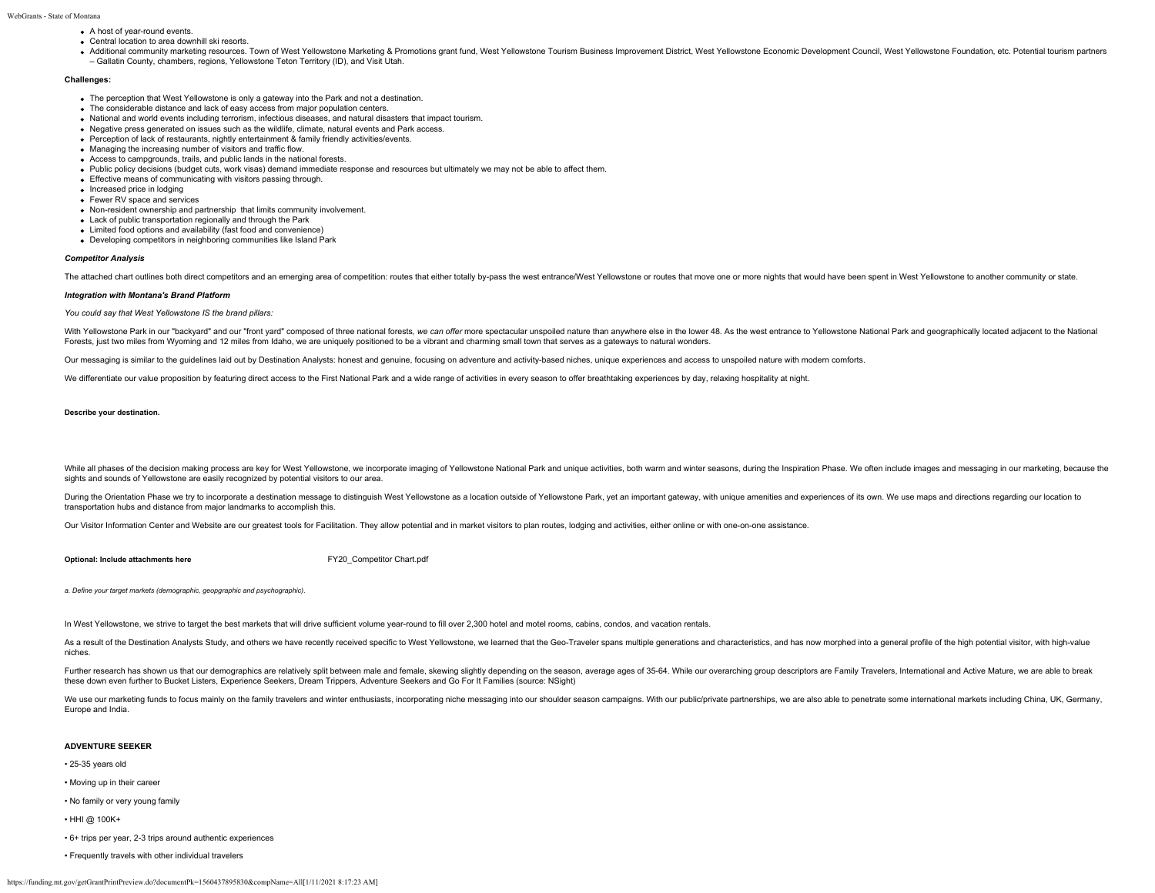- A host of year-round events.
- Central location to area downhill ski resorts.
- . Additional community marketing resources. Town of West Yellowstone Marketing & Promotions grant fund, West Yellowstone Tourism Business Improvement District, West Yellowstone Economic Development Council, West Yellowston – Gallatin County, chambers, regions, Yellowstone Teton Territory (ID), and Visit Utah.

#### **Challenges:**

- The perception that West Yellowstone is only a gateway into the Park and not a destination.
- The considerable distance and lack of easy access from major population centers.
- National and world events including terrorism, infectious diseases, and natural disasters that impact tourism.
- Negative press generated on issues such as the wildlife, climate, natural events and Park access.
- Perception of lack of restaurants, nightly entertainment & family friendly activities/events.
- Managing the increasing number of visitors and traffic flow.
- Access to campgrounds, trails, and public lands in the national forests.
- Public policy decisions (budget cuts, work visas) demand immediate response and resources but ultimately we may not be able to affect them.
- Effective means of communicating with visitors passing through.
- Increased price in lodging Fewer RV space and services
- Non-resident ownership and partnership that limits community involvement.
- Lack of public transportation regionally and through the Park
- Limited food options and availability (fast food and convenience)
- Developing competitors in neighboring communities like Island Park

#### *Competitor Analysis*

The attached chart outlines both direct competitors and an emerging area of competition: routes that either totally by-pass the west entrance/West Yellowstone or routes that move one or more nights that would have been spe

### *Integration with Montana's Brand Platform*

#### *You could say that West Yellowstone IS the brand pillars:*

With Yellowstone Park in our "backyard" and our "front yard" composed of three national forests, we can offer more spectacular unspoiled nature than anywhere else in the lower 48. As the west entrance to Yellowstone Nation Forests, just two miles from Wyoming and 12 miles from Idaho, we are uniquely positioned to be a vibrant and charming small town that serves as a gateways to natural wonders.

Our messaging is similar to the guidelines laid out by Destination Analysts: honest and genuine, focusing on adventure and activity-based niches, unique experiences and access to unspoiled nature with modern comforts.

We differentiate our value proposition by featuring direct access to the First National Park and a wide range of activities in every season to offer breathtaking experiences by day, relaxing hospitality at night.

#### **Describe your destination.**

While all phases of the decision making process are key for West Yellowstone, we incorporate imaging of Yellowstone National Park and unique activities, both warm and winter seasons, during the Inspiration Phase. We often sights and sounds of Yellowstone are easily recognized by potential visitors to our area.

During the Orientation Phase we try to incorporate a destination message to distinguish West Yellowstone as a location outside of Yellowstone Park, yet an important gateway, with unique amenities and experiences of its own transportation hubs and distance from major landmarks to accomplish this.

Our Visitor Information Center and Website are our greatest tools for Facilitation. They allow potential and in market visitors to plan routes, lodging and activities, either online or with one-on-one assistance.

**Optional: Include attachments here** [FY20\\_Competitor Chart.pdf](https://funding.mt.gov/fileDownload.jsp?filename=1554924092147_FY20_Competitor+Chart.pdf)

*a. Define your target markets (demographic, geopgraphic and psychographic).*

In West Yellowstone, we strive to target the best markets that will drive sufficient volume year-round to fill over 2,300 hotel and motel rooms, cabins, condos, and vacation rentals.

As a result of the Destination Analysts Study, and others we have recently received specific to West Yellowstone, we learned that the Geo-Traveler spans multiple generations and characteristics, and has now morphed into a niches.

Further research has shown us that our demographics are relatively split between male and female, skewing slightly depending on the season, average ages of 35-64. While our overarching group descriptors are Family Traveler these down even further to Bucket Listers, Experience Seekers, Dream Trippers, Adventure Seekers and Go For It Families (source: NSight)

We use our marketing funds to focus mainly on the family travelers and winter enthusiasts, incorporating niche messaging into our shoulder season campaigns. With our public/private partnerships, we are also able to penetra Europe and India.

### **ADVENTURE SEEKER**

- 25-35 years old
- Moving up in their career
- No family or very young family
- HHI @ 100K+
- 6+ trips per year, 2-3 trips around authentic experiences
- Frequently travels with other individual travelers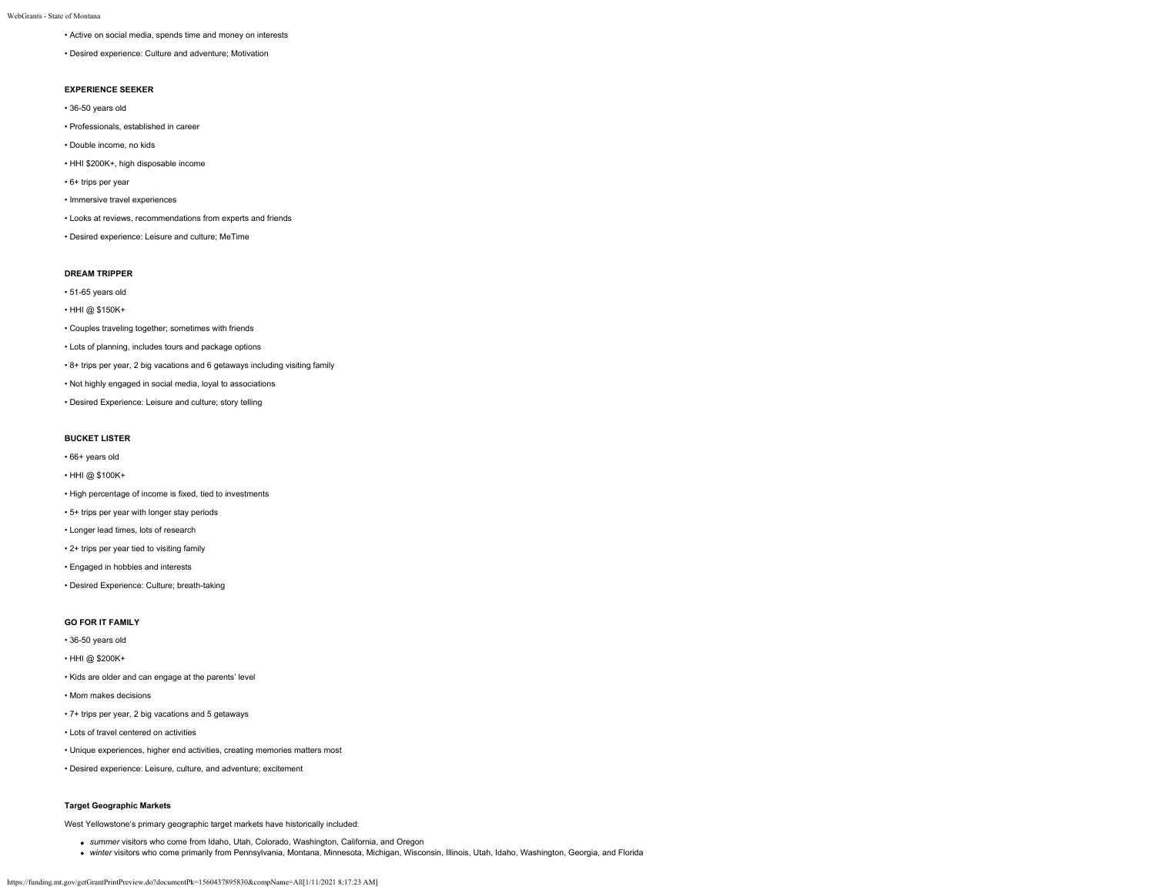- Active on social media, spends time and money on interests
- Desired experience: Culture and adventure; Motivation

### **EXPERIENCE SEEKER**

- 36-50 years old
- Professionals, established in career
- Double income, no kids
- HHI \$200K+, high disposable income
- 6+ trips per year
- Immersive travel experiences
- Looks at reviews, recommendations from experts and friends
- Desired experience: Leisure and culture; MeTime

### **DREAM TRIPPER**

- 51-65 years old
- HHI @ \$150K+
- Couples traveling together; sometimes with friends
- Lots of planning, includes tours and package options
- 8+ trips per year, 2 big vacations and 6 getaways including visiting family
- Not highly engaged in social media, loyal to associations
- Desired Experience: Leisure and culture; story telling

### **BUCKET LISTER**

- 66+ years old
- HHI @ \$100K+
- High percentage of income is fixed, tied to investments
- 5+ trips per year with longer stay periods
- Longer lead times, lots of research
- 2+ trips per year tied to visiting family
- Engaged in hobbies and interests
- Desired Experience: Culture; breath-taking

### **GO FOR IT FAMILY**

- 36-50 years old
- HHI @ \$200K+
- Kids are older and can engage at the parents' level
- Mom makes decisions
- 7+ trips per year, 2 big vacations and 5 getaways
- Lots of travel centered on activities
- Unique experiences, higher end activities, creating memories matters most
- Desired experience: Leisure, culture, and adventure; excitement

### **Target Geographic Markets**

West Yellowstone's primary geographic target markets have historically included:

- *summer* visitors who come from Idaho, Utah, Colorado, Washington, California, and Oregon
- *winter* visitors who come primarily from Pennsylvania, Montana, Minnesota, Michigan, Wisconsin, Illinois, Utah, Idaho, Washington, Georgia, and Florida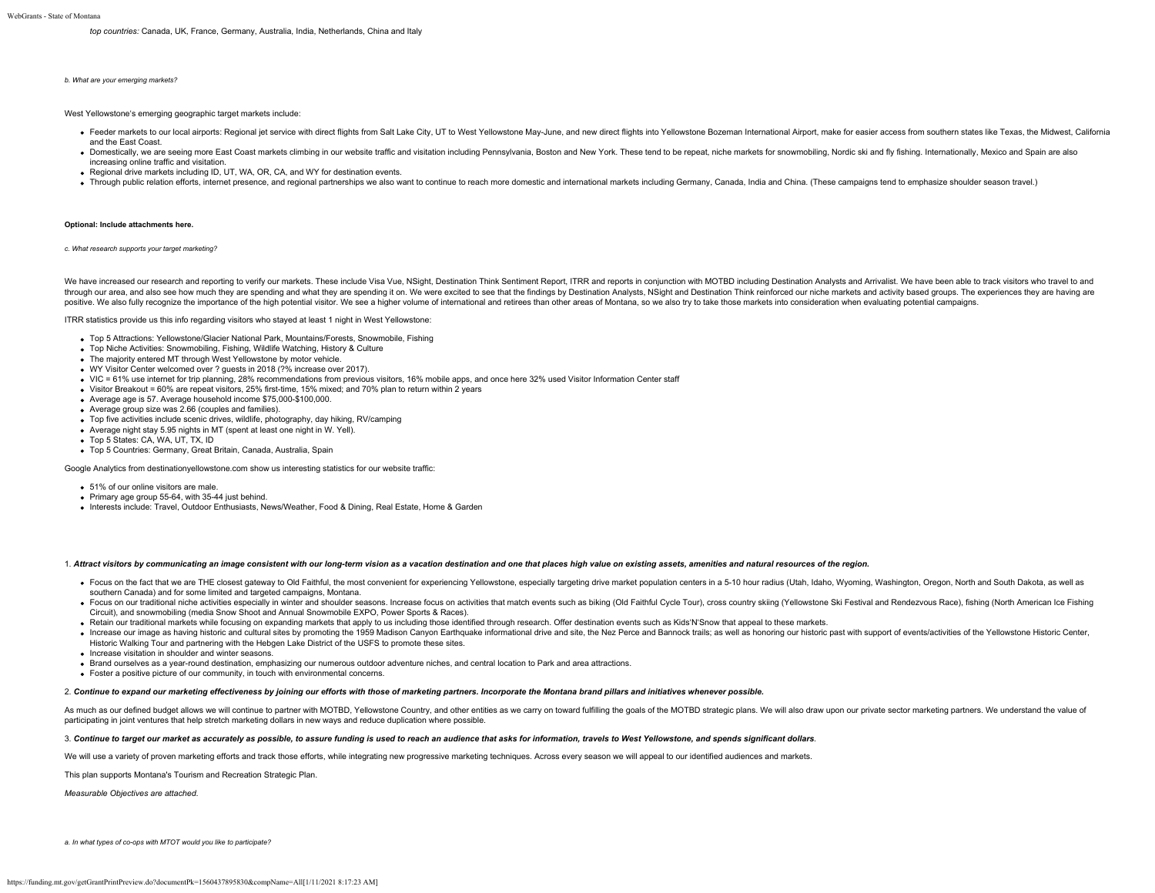*top countries:* Canada, UK, France, Germany, Australia, India, Netherlands, China and Italy

#### *b. What are your emerging markets?*

West Yellowstone's emerging geographic target markets include:

- . Feeder markets to our local airports: Regional iet service with direct flights from Salt Lake City. UT to West Yellowstone May-June, and new direct flights into Yellowstone Bozeman International Airport, make for easier and the East Coast.
- . Domestically, we are seeing more East Coast markets climbing in our website traffic and visitation including Pennsylvania. Boston and New York. These tend to be repeat, niche markets for snowmobiling. Nordic ski and fly increasing online traffic and visitation.
- Regional drive markets including ID, UT, WA, OR, CA, and WY for destination events.
- . Through public relation efforts, internet presence, and regional partnerships we also want to continue to reach more domestic and international markets including Germany, Canada, India and China. (These campaigns tend to

#### **Optional: Include attachments here.**

*c. What research supports your target marketing?*

We have increased our research and reporting to verify our markets. These include Visa Vue, NSight, Destination Think Sentiment Report, ITRR and reports in conjunction with MOTBD including Destination Analysts and Arrivali through our area, and also see how much they are spending and what they are spending it on. We were excited to see that the findings by Destination Analysts, NSight and Destination Think reinforced our niche markets and ac positive. We also fully recognize the importance of the high potential visitor. We see a higher volume of international and retirees than other areas of Montana, so we also try to take those markets into consideration when

ITRR statistics provide us this info regarding visitors who stayed at least 1 night in West Yellowstone:

- Top 5 Attractions: Yellowstone/Glacier National Park, Mountains/Forests, Snowmobile, Fishing
- Top Niche Activities: Snowmobiling, Fishing, Wildlife Watching, History & Culture
- The majority entered MT through West Yellowstone by motor vehicle.
- WY Visitor Center welcomed over ? guests in 2018 (?% increase over 2017).
- VIC = 61% use internet for trip planning, 28% recommendations from previous visitors, 16% mobile apps, and once here 32% used Visitor Information Center staff
- Visitor Breakout = 60% are repeat visitors, 25% first-time, 15% mixed; and 70% plan to return within 2 years
- Average age is 57. Average household income \$75,000-\$100,000.
- Average group size was 2.66 (couples and families).
- Top five activities include scenic drives, wildlife, photography, day hiking, RV/camping
- Average night stay 5.95 nights in MT (spent at least one night in W. Yell).
- Top 5 States: CA, WA, UT, TX, ID
- Top 5 Countries: Germany, Great Britain, Canada, Australia, Spain

Google Analytics from destinationyellowstone.com show us interesting statistics for our website traffic:

- 51% of our online visitors are male.
- Primary age group 55-64, with 35-44 just behind.
- Interests include: Travel, Outdoor Enthusiasts, News/Weather, Food & Dining, Real Estate, Home & Garden

### 1. *Attract visitors by communicating an image consistent with our long-term vision as a vacation destination and one that places high value on existing assets, amenities and natural resources of the region.*

- . Focus on the fact that we are THE closest gateway to Old Faithful, the most convenient for experiencing Yellowstone, especially targeting drive market population centers in a 5-10 hour radius (Utah, Idaho, Wyoming, Washi southern Canada) and for some limited and targeted campaigns, Montana.
- . Focus on our traditional niche activities especially in winter and shoulder seasons. Increase focus on activities that match events such as biking (Old Faithful Cycle Tour), cross country skiing (Yellowstone Ski Festival Circuit), and snowmobiling (media Snow Shoot and Annual Snowmobile EXPO, Power Sports & Races).
- . Retain our traditional markets while focusing on expanding markets that apply to us including those identified through research. Offer destination events such as Kids'N'Snow that appeal to these markets.
- . Increase our image as having historic and cultural sites by promoting the 1959 Madison Canyon Earthquake informational drive and site, the Nez Perce and Bannock trails; as well as honoring our historic past with support Historic Walking Tour and partnering with the Hebgen Lake District of the USFS to promote these sites.
- Increase visitation in shoulder and winter seasons.
- Brand ourselves as a year-round destination, emphasizing our numerous outdoor adventure niches, and central location to Park and area attractions.
- Foster a positive picture of our community, in touch with environmental concerns.

#### 2. *Continue to expand our marketing effectiveness by joining our efforts with those of marketing partners. Incorporate the Montana brand pillars and initiatives whenever possible.*

As much as our defined budget allows we will continue to partner with MOTBD, Yellowstone Country, and other entities as we carry on toward fulfilling the goals of the MOTBD strategic plans. We will also draw upon our priva participating in joint ventures that help stretch marketing dollars in new ways and reduce duplication where possible.

### 3. *Continue to target our market as accurately as possible, to assure funding is used to reach an audience that asks for information, travels to West Yellowstone, and spends significant dollars.*

We will use a variety of proven marketing efforts and track those efforts, while integrating new progressive marketing techniques. Across every season we will appeal to our identified audiences and markets.

This plan supports Montana's Tourism and Recreation Strategic Plan.

*Measurable Objectives are attached.*

*a. In what types of co-ops with MTOT would you like to participate?*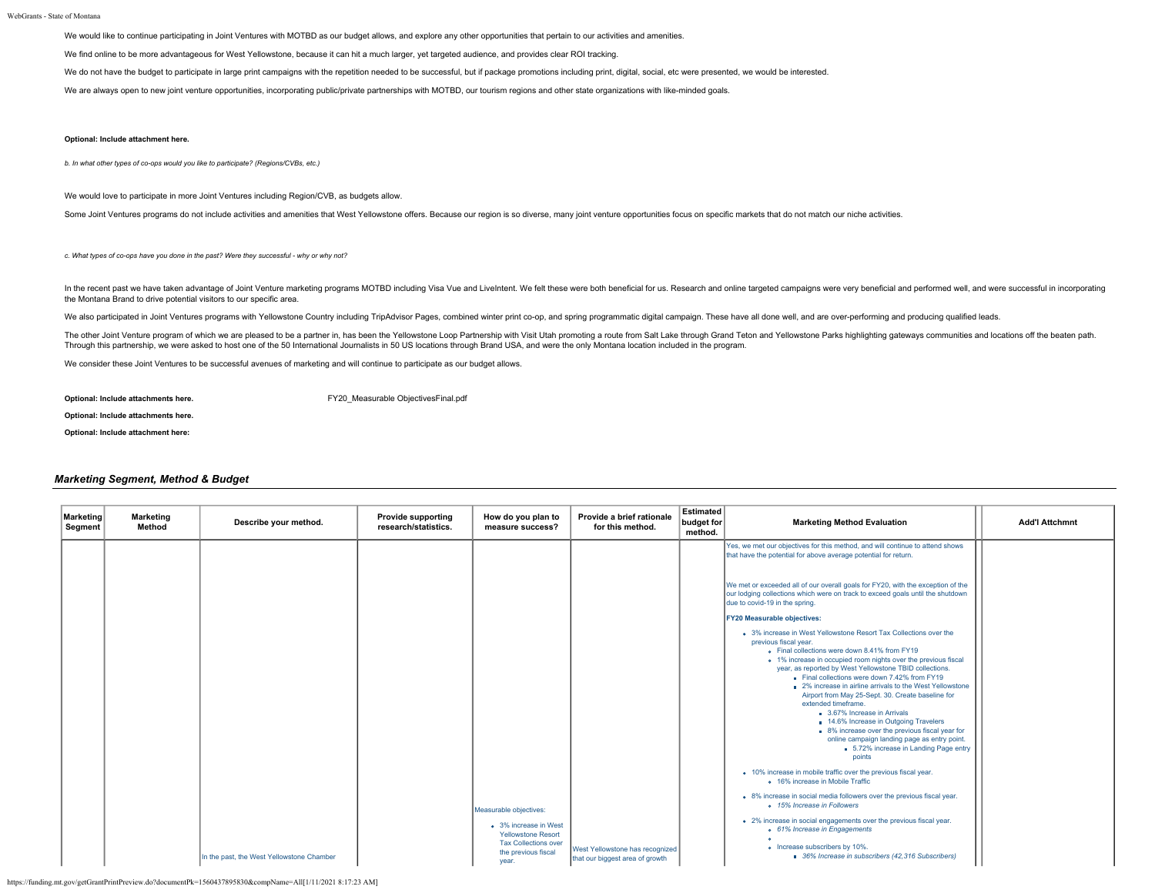WebGrants - State of Montana

We would like to continue participating in Joint Ventures with MOTBD as our budget allows, and explore any other opportunities that pertain to our activities and amenities.

We find online to be more advantageous for West Yellowstone, because it can hit a much larger, yet targeted audience, and provides clear ROI tracking.

We do not have the budget to participate in large print campaigns with the repetition needed to be successful, but if package promotions including print, digital, social, etc were presented, we would be interested.

We are always open to new joint venture opportunities, incorporating public/private partnerships with MOTBD, our tourism regions and other state organizations with like-minded goals.

### **Optional: Include attachment here.**

*b. In what other types of co-ops would you like to participate? (Regions/CVBs, etc.)*

We would love to participate in more Joint Ventures including Region/CVB, as budgets allow.

Some Joint Ventures programs do not include activities and amenities that West Yellowstone offers. Because our region is so diverse, many joint venture opportunities focus on specific markets that do not match our niche ac

*c. What types of co-ops have you done in the past? Were they successful - why or why not?*

In the recent past we have taken advantage of Joint Venture marketing programs MOTBD including Visa Vue and Livelntent. We felt these were both beneficial for us. Research and online targeted campaigns were very beneficial the Montana Brand to drive potential visitors to our specific area.

We also participated in Joint Ventures programs with Yellowstone Country including TripAdvisor Pages, combined winter print co-op, and spring programmatic digital campaign. These have all done well, and are over-performing

The other Joint Venture program of which we are pleased to be a partner in, has been the Yellowstone Loop Partnership with Visit Utah promoting a route from Salt Lake through Grand Teton and Yellowstone Parks highlighting Through this partnership, we were asked to host one of the 50 International Journalists in 50 US locations through Brand USA, and were the only Montana location included in the program.

We consider these Joint Ventures to be successful avenues of marketing and will continue to participate as our budget allows.

**Optional: Include attachments here.** The state of the state of FY20 Measurable ObjectivesFinal.pdf

**Optional: Include attachments here.**

**Optional: Include attachment here:**

### *Marketing Segment, Method & Budget*

| Marketing<br>Segment | <b>Marketing</b><br>Method | Describe your method.                     | <b>Provide supporting</b><br>research/statistics. | How do you plan to<br>measure success?                                                                                                      | Provide a brief rationale<br>for this method.                      | Estimated<br>budget for<br>method. | <b>Marketing Method Evaluation</b>                                                                                                                                                                                                                                                                                                                                                                                                                                                                                                                                                                                                                                                                                                                                                                        | <b>Add'l Attchmnt</b> |
|----------------------|----------------------------|-------------------------------------------|---------------------------------------------------|---------------------------------------------------------------------------------------------------------------------------------------------|--------------------------------------------------------------------|------------------------------------|-----------------------------------------------------------------------------------------------------------------------------------------------------------------------------------------------------------------------------------------------------------------------------------------------------------------------------------------------------------------------------------------------------------------------------------------------------------------------------------------------------------------------------------------------------------------------------------------------------------------------------------------------------------------------------------------------------------------------------------------------------------------------------------------------------------|-----------------------|
|                      |                            |                                           |                                                   |                                                                                                                                             |                                                                    |                                    | Yes, we met our objectives for this method, and will continue to attend shows<br>that have the potential for above average potential for return.                                                                                                                                                                                                                                                                                                                                                                                                                                                                                                                                                                                                                                                          |                       |
|                      |                            |                                           |                                                   |                                                                                                                                             |                                                                    |                                    | We met or exceeded all of our overall goals for FY20, with the exception of the<br>our lodging collections which were on track to exceed goals until the shutdown<br>due to covid-19 in the spring.                                                                                                                                                                                                                                                                                                                                                                                                                                                                                                                                                                                                       |                       |
|                      |                            |                                           |                                                   |                                                                                                                                             |                                                                    |                                    | <b>FY20 Measurable objectives:</b><br>• 3% increase in West Yellowstone Resort Tax Collections over the<br>previous fiscal year.<br>. Final collections were down 8.41% from FY19<br>o 1% increase in occupied room nights over the previous fiscal<br>year, as reported by West Yellowstone TBID collections.<br>Final collections were down 7.42% from FY19<br>■ 2% increase in airline arrivals to the West Yellowstone<br>Airport from May 25-Sept. 30. Create baseline for<br>extended timeframe.<br>3.67% Increase in Arrivals<br><b>14.6% Increase in Outgoing Travelers</b><br>8% increase over the previous fiscal year for<br>online campaign landing page as entry point.<br>5.72% increase in Landing Page entry<br>points<br>• 10% increase in mobile traffic over the previous fiscal year. |                       |
|                      |                            | In the past, the West Yellowstone Chamber |                                                   | Measurable objectives:<br>• 3% increase in West<br><b>Yellowstone Resort</b><br><b>Tax Collections over</b><br>the previous fiscal<br>year. | West Yellowstone has recognized<br>that our biggest area of growth |                                    | • 16% increase in Mobile Traffic<br>• 8% increase in social media followers over the previous fiscal year.<br>o 15% Increase in Followers<br>• 2% increase in social engagements over the previous fiscal year.<br>o 61% Increase in Engagements<br>o Increase subscribers by 10%.<br>36% Increase in subscribers (42,316 Subscribers)                                                                                                                                                                                                                                                                                                                                                                                                                                                                    |                       |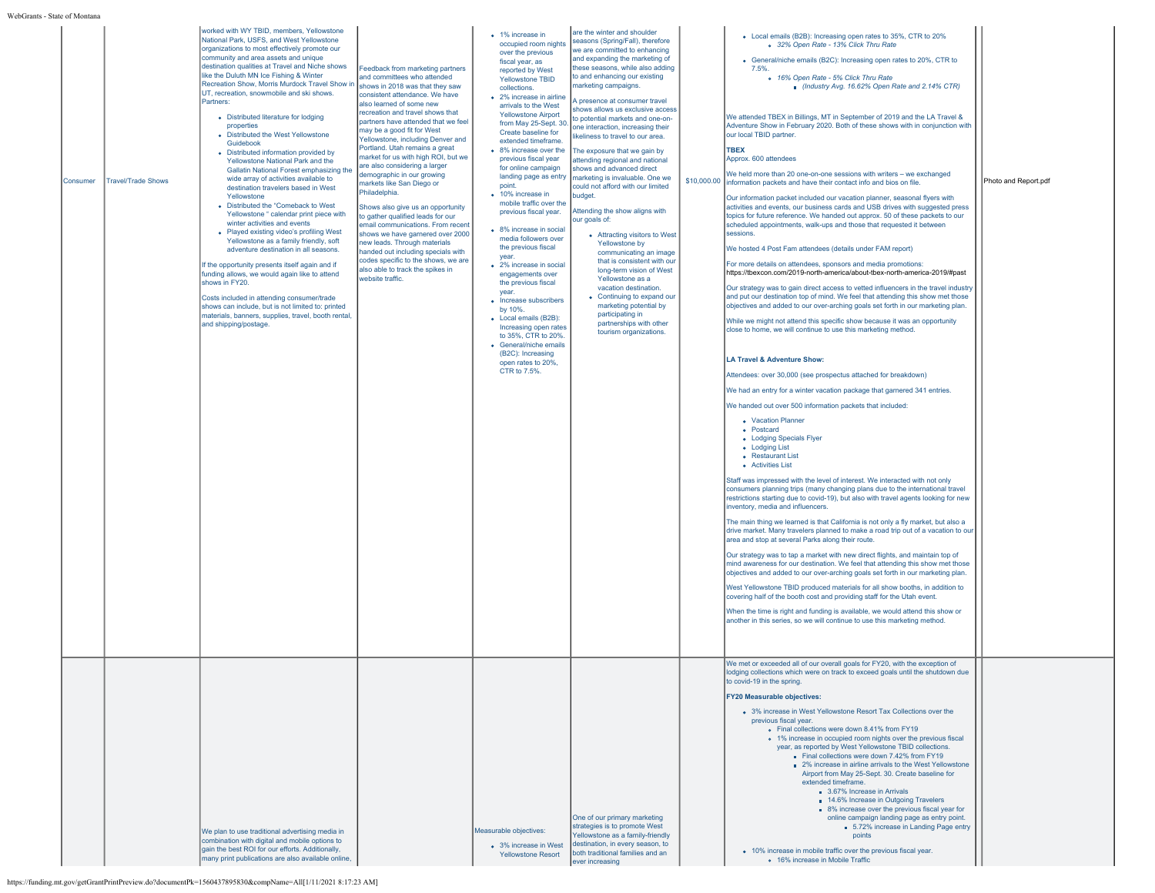| s - State of Montan |                           |                                                                                                                                                                                                                                                                                                                                                                                                                                                                                                                                                                                                                                                                                                                                                                                                                                                                                                                                                                                                                                                                                                                                                                                                                                                                                      |                                                                                                                                                                                                                                                                                                                                                                                                                                                                                                                                                                                                                                                                                                                                                                                                                              |                                                                                                                                                                                                                                                                                                                                                                                                                                                                                                                                                                                                                                                                                                                                                                                                                                                             |                                                                                                                                                                                                                                                                                                                                                                                                                                                                                                                                                                                                                                                                                                                                                                                                                                                                                                                                                                               |                                                                                                                                                                                                                                                                                                                                                                                                                                                                                                                                                                                                                                                                                                                                                                                                                                                                                                                                                                                                                                                                                                                                                                                                                                                                                                                                                                                                                                                                                                                                                                                                                                                                                                                                                                                                                                                                                                                                                                                                                                                                                                                                                                                                                                                                                                                                                                                                                                                                                                                                                                                                                                                                                                                                                                                                                                                                                                                                                                                                                                                                                                                                  |                      |
|---------------------|---------------------------|--------------------------------------------------------------------------------------------------------------------------------------------------------------------------------------------------------------------------------------------------------------------------------------------------------------------------------------------------------------------------------------------------------------------------------------------------------------------------------------------------------------------------------------------------------------------------------------------------------------------------------------------------------------------------------------------------------------------------------------------------------------------------------------------------------------------------------------------------------------------------------------------------------------------------------------------------------------------------------------------------------------------------------------------------------------------------------------------------------------------------------------------------------------------------------------------------------------------------------------------------------------------------------------|------------------------------------------------------------------------------------------------------------------------------------------------------------------------------------------------------------------------------------------------------------------------------------------------------------------------------------------------------------------------------------------------------------------------------------------------------------------------------------------------------------------------------------------------------------------------------------------------------------------------------------------------------------------------------------------------------------------------------------------------------------------------------------------------------------------------------|-------------------------------------------------------------------------------------------------------------------------------------------------------------------------------------------------------------------------------------------------------------------------------------------------------------------------------------------------------------------------------------------------------------------------------------------------------------------------------------------------------------------------------------------------------------------------------------------------------------------------------------------------------------------------------------------------------------------------------------------------------------------------------------------------------------------------------------------------------------|-------------------------------------------------------------------------------------------------------------------------------------------------------------------------------------------------------------------------------------------------------------------------------------------------------------------------------------------------------------------------------------------------------------------------------------------------------------------------------------------------------------------------------------------------------------------------------------------------------------------------------------------------------------------------------------------------------------------------------------------------------------------------------------------------------------------------------------------------------------------------------------------------------------------------------------------------------------------------------|----------------------------------------------------------------------------------------------------------------------------------------------------------------------------------------------------------------------------------------------------------------------------------------------------------------------------------------------------------------------------------------------------------------------------------------------------------------------------------------------------------------------------------------------------------------------------------------------------------------------------------------------------------------------------------------------------------------------------------------------------------------------------------------------------------------------------------------------------------------------------------------------------------------------------------------------------------------------------------------------------------------------------------------------------------------------------------------------------------------------------------------------------------------------------------------------------------------------------------------------------------------------------------------------------------------------------------------------------------------------------------------------------------------------------------------------------------------------------------------------------------------------------------------------------------------------------------------------------------------------------------------------------------------------------------------------------------------------------------------------------------------------------------------------------------------------------------------------------------------------------------------------------------------------------------------------------------------------------------------------------------------------------------------------------------------------------------------------------------------------------------------------------------------------------------------------------------------------------------------------------------------------------------------------------------------------------------------------------------------------------------------------------------------------------------------------------------------------------------------------------------------------------------------------------------------------------------------------------------------------------------------------------------------------------------------------------------------------------------------------------------------------------------------------------------------------------------------------------------------------------------------------------------------------------------------------------------------------------------------------------------------------------------------------------------------------------------------------------------------------------------|----------------------|
| Consumer            | <b>Travel/Trade Shows</b> | worked with WY TBID, members, Yellowstone<br>National Park, USFS, and West Yellowstone<br>organizations to most effectively promote our<br>community and area assets and unique<br>destination qualities at Travel and Niche shows<br>like the Duluth MN Ice Fishing & Winter<br>Recreation Show, Morris Murdock Travel Show in<br>UT, recreation, snowmobile and ski shows.<br>Partners:<br>• Distributed literature for lodging<br>properties<br>• Distributed the West Yellowstone<br>Guidebook<br>• Distributed information provided by<br>Yellowstone National Park and the<br>Gallatin National Forest emphasizing the<br>wide array of activities available to<br>destination travelers based in West<br>Yellowstone<br>• Distributed the "Comeback to West<br>Yellowstone " calendar print piece with<br>winter activities and events<br>• Played existing video's profiling West<br>Yellowstone as a family friendly, soft<br>adventure destination in all seasons.<br>If the opportunity presents itself again and if<br>funding allows, we would again like to attend<br>shows in FY20<br>Costs included in attending consumer/trade<br>shows can include, but is not limited to: printed<br>materials, banners, supplies, travel, booth rental.<br>and shipping/postage. | Feedback from marketing partners<br>and committees who attended<br>shows in 2018 was that they saw<br>consistent attendance. We have<br>also learned of some new<br>recreation and travel shows that<br>partners have attended that we feel<br>may be a good fit for West<br>Yellowstone, including Denver and<br>Portland. Utah remains a great<br>market for us with high ROI, but we<br>are also considering a larger<br>demographic in our growing<br>markets like San Diego or<br>Philadelphia.<br>Shows also give us an opportunity<br>to gather qualified leads for our<br>email communications. From recent<br>shows we have garnered over 2000<br>new leads. Through materials<br>handed out including specials with<br>codes specific to the shows, we are<br>also able to track the spikes in<br>website traffic. | • 1% increase in<br>occupied room nights<br>over the previous<br>fiscal year, as<br>reported by West<br>Yellowstone TBID<br>collections.<br>• 2% increase in airline<br>arrivals to the West<br><b>Yellowstone Airport</b><br>from May 25-Sept. 30.<br>Create baseline for<br>extended timeframe.<br>• 8% increase over the<br>previous fiscal year<br>for online campaign<br>landing page as entry<br>point.<br>• 10% increase in<br>mobile traffic over the<br>previous fiscal year.<br>• 8% increase in social<br>media followers over<br>the previous fiscal<br>vear.<br>• 2% increase in social<br>engagements over<br>the previous fiscal<br>year.<br>• Increase subscribers<br>by 10%.<br>• Local emails (B2B):<br>Increasing open rates<br>to 35%, CTR to 20%.<br>• General/niche emails<br>(B2C): Increasing<br>open rates to 20%,<br>CTR to 7.5%. | are the winter and shoulder<br>seasons (Spring/Fall), therefore<br>we are committed to enhancing<br>and expanding the marketing of<br>these seasons, while also adding<br>to and enhancing our existing<br>marketing campaigns.<br>A presence at consumer travel<br>shows allows us exclusive access<br>to potential markets and one-on-<br>one interaction, increasing their<br>ikeliness to travel to our area.<br>The exposure that we gain by<br>attending regional and national<br>shows and advanced direct<br>marketing is invaluable. One we<br>could not afford with our limited<br>budget.<br>Attending the show aligns with<br>our goals of:<br>• Attracting visitors to West<br>Yellowstone by<br>communicating an image<br>that is consistent with our<br>long-term vision of West<br>Yellowstone as a<br>vacation destination.<br>• Continuing to expand our<br>marketing potential by<br>participating in<br>partnerships with other<br>tourism organizations. | • Local emails (B2B): Increasing open rates to 35%, CTR to 20%<br>o 32% Open Rate - 13% Click Thru Rate<br>• General/niche emails (B2C): Increasing open rates to 20%, CTR to<br>7.5%<br>o 16% Open Rate - 5% Click Thru Rate<br>Industry Avg. 16.62% Open Rate and 2.14% CTR)<br>We attended TBEX in Billings, MT in September of 2019 and the LA Travel &<br>Adventure Show in February 2020. Both of these shows with in conjunction with<br>our local TBID partner.<br><b>TBEX</b><br>Approx. 600 attendees<br>We held more than 20 one-on-one sessions with writers - we exchanged<br>\$10,000.00 information packets and have their contact info and bios on file.<br>Our information packet included our vacation planner, seasonal flyers with<br>activities and events, our business cards and USB drives with suggested press<br>topics for future reference. We handed out approx. 50 of these packets to our<br>scheduled appointments, walk-ups and those that requested it between<br>sessions.<br>We hosted 4 Post Fam attendees (details under FAM report)<br>For more details on attendees, sponsors and media promotions:<br>https://tbexcon.com/2019-north-america/about-tbex-north-america-2019/#past<br>Our strategy was to gain direct access to vetted influencers in the travel industry<br>and put our destination top of mind. We feel that attending this show met those<br>objectives and added to our over-arching goals set forth in our marketing plan.<br>While we might not attend this specific show because it was an opportunity<br>close to home, we will continue to use this marketing method.<br><b>LA Travel &amp; Adventure Show:</b><br>Attendees: over 30,000 (see prospectus attached for breakdown)<br>We had an entry for a winter vacation package that garnered 341 entries.<br>We handed out over 500 information packets that included:<br>• Vacation Planner<br>• Postcard<br>• Lodging Specials Flyer<br>• Lodging List<br>• Restaurant List<br>• Activities List<br>Staff was impressed with the level of interest. We interacted with not only<br>consumers planning trips (many changing plans due to the international travel<br>restrictions starting due to covid-19), but also with travel agents looking for new<br>inventory, media and influencers.<br>The main thing we learned is that California is not only a fly market, but also a<br>drive market. Many travelers planned to make a road trip out of a vacation to our<br>area and stop at several Parks along their route.<br>Our strategy was to tap a market with new direct flights, and maintain top of<br>mind awareness for our destination. We feel that attending this show met those<br>objectives and added to our over-arching goals set forth in our marketing plan.<br>West Yellowstone TBID produced materials for all show booths, in addition to<br>covering half of the booth cost and providing staff for the Utah event.<br>When the time is right and funding is available, we would attend this show or<br>another in this series, so we will continue to use this marketing method. | Photo and Report.pdf |
|                     |                           | We plan to use traditional advertising media in<br>combination with digital and mobile options to<br>gain the best ROI for our efforts. Additionally,<br>many print publications are also available online,                                                                                                                                                                                                                                                                                                                                                                                                                                                                                                                                                                                                                                                                                                                                                                                                                                                                                                                                                                                                                                                                          |                                                                                                                                                                                                                                                                                                                                                                                                                                                                                                                                                                                                                                                                                                                                                                                                                              | Measurable objectives:<br>• 3% increase in West<br><b>Yellowstone Resort</b>                                                                                                                                                                                                                                                                                                                                                                                                                                                                                                                                                                                                                                                                                                                                                                                | One of our primary marketing<br>strategies is to promote West<br>Yellowstone as a family-friendly<br>destination, in every season, to<br>both traditional families and an<br>ever increasing                                                                                                                                                                                                                                                                                                                                                                                                                                                                                                                                                                                                                                                                                                                                                                                  | We met or exceeded all of our overall goals for FY20, with the exception of<br>odging collections which were on track to exceed goals until the shutdown due<br>to covid-19 in the spring.<br><b>FY20 Measurable objectives:</b><br>• 3% increase in West Yellowstone Resort Tax Collections over the<br>previous fiscal year.<br>• Final collections were down 8.41% from FY19<br>• 1% increase in occupied room nights over the previous fiscal<br>year, as reported by West Yellowstone TBID collections.<br>Final collections were down 7.42% from FY19<br>■ 2% increase in airline arrivals to the West Yellowstone<br>Airport from May 25-Sept. 30. Create baseline for<br>extended timeframe.<br>3.67% Increase in Arrivals<br>14.6% Increase in Outgoing Travelers<br>■ 8% increase over the previous fiscal year for<br>online campaign landing page as entry point.<br>5.72% increase in Landing Page entry<br>points<br>• 10% increase in mobile traffic over the previous fiscal year.<br>o 16% increase in Mobile Traffic                                                                                                                                                                                                                                                                                                                                                                                                                                                                                                                                                                                                                                                                                                                                                                                                                                                                                                                                                                                                                                                                                                                                                                                                                                                                                                                                                                                                                                                                                                                                                                                                                                                                                                                                                                                                                                                                                                                                                                                                                                                                                           |                      |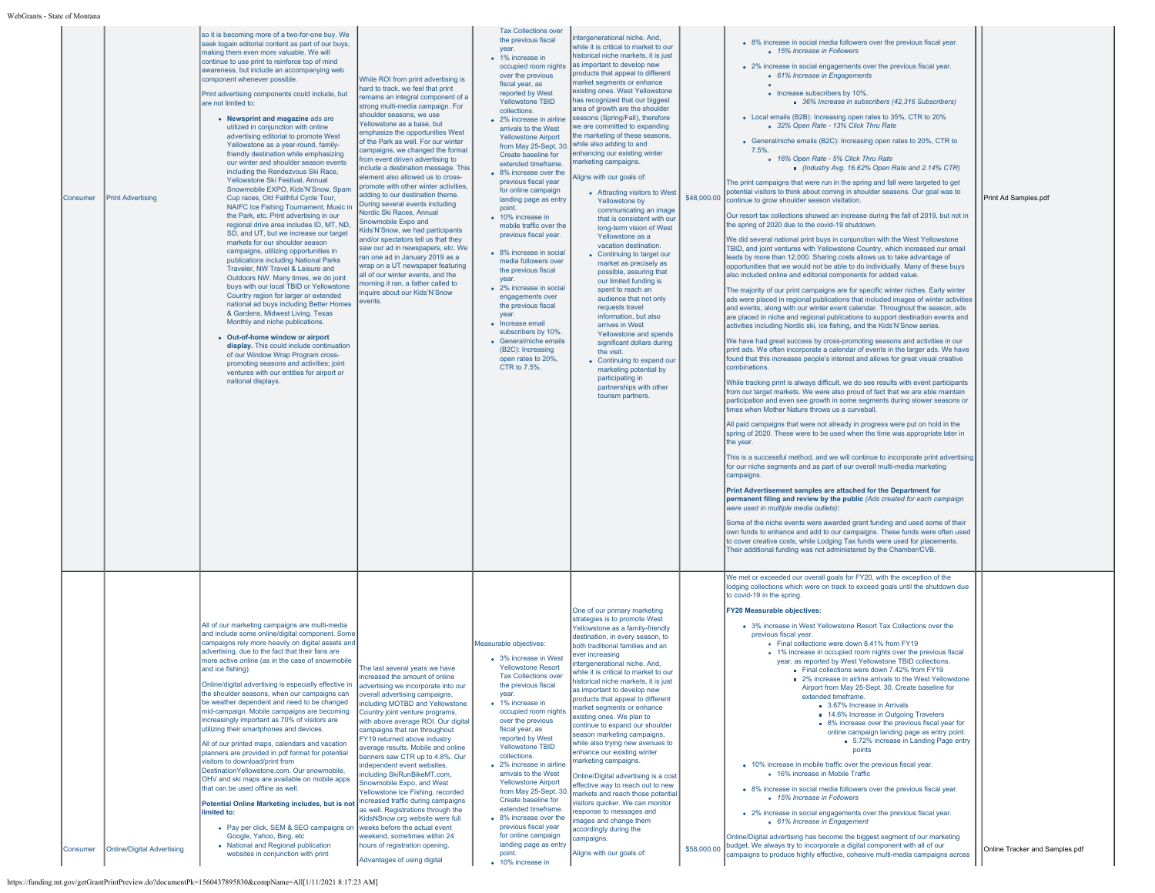| Consumer | <b>Print Advertising</b>          | so it is becoming more of a two-for-one buy. We<br>seek togain editorial content as part of our buys,<br>making them even more valuable. We will<br>continue to use print to reinforce top of mind<br>awareness, but include an accompanying web<br>component whenever possible.<br>Print advertising components could include, but<br>are not limited to:<br>• Newsprint and magazine ads are<br>utilized in conjunction with online<br>advertising editorial to promote West<br>Yellowstone as a year-round, family-<br>friendly destination while emphasizing<br>our winter and shoulder season events<br>including the Rendezvous Ski Race,<br>Yellowstone Ski Festival, Annual<br>Snowmobile EXPO, Kids'N'Snow, Spam<br>Cup races, Old Faithful Cycle Tour,<br>NAIFC Ice Fishing Tournament, Music in<br>the Park, etc. Print advertising in our<br>regional drive area includes ID, MT, ND,<br>SD, and UT, but we increase our target<br>markets for our shoulder season<br>campaigns, utilizing opportunities in<br>publications including National Parks<br>Traveler, NW Travel & Leisure and<br>Outdoors NW. Many times, we do joint<br>buys with our local TBID or Yellowstone<br>Country region for larger or extended<br>national ad buys including Better Homes<br>& Gardens, Midwest Living, Texas<br>Monthly and niche publications.<br>• Out-of-home window or airport<br>display. This could include continuation<br>of our Window Wrap Program cross-<br>promoting seasons and activities; joint<br>ventures with our entities for airport or<br>national displays. | While ROI from print advertising is<br>hard to track, we feel that print<br>remains an integral component of a<br>strong multi-media campaign. For<br>shoulder seasons, we use<br>Yellowstone as a base, but<br>emphasize the opportunities West<br>of the Park as well. For our winter<br>campaigns, we changed the format<br>from event driven advertising to<br>include a destination message. This<br>element also allowed us to cross-<br>promote with other winter activities<br>adding to our destination theme.<br>During several events including<br>Nordic Ski Races, Annual<br>Snowmobile Expo and<br>Kids'N'Snow, we had participants<br>and/or spectators tell us that they<br>saw our ad in newspapers, etc. We<br>ran one ad in January 2019 as a<br>wrap on a UT newspaper featuring<br>all of our winter events, and the<br>morning it ran, a father called to<br>inquire about our Kids'N'Snow<br>events. | the previous fiscal<br>year.<br>• 1% increase in<br>occupied room nights<br>over the previous<br>fiscal year, as<br>reported by West<br>Yellowstone TBID<br>collections.<br>• 2% increase in airline<br>arrivals to the West<br><b>Yellowstone Airport</b><br>from May 25-Sept. 30<br>Create baseline for<br>extended timeframe.<br>• 8% increase over the<br>previous fiscal year<br>for online campaign<br>landing page as entry<br>point.<br>• 10% increase in<br>mobile traffic over the<br>previous fiscal year.<br>• 8% increase in social<br>media followers over<br>the previous fiscal<br>vear.<br>• 2% increase in social<br>engagements over<br>the previous fiscal<br>vear<br>• Increase email<br>subscribers by 10%.<br>• General/niche emails<br>(B2C): Increasing<br>open rates to 20%,<br>CTR to 7.5%. | ntergenerational niche. And,<br>while it is critical to market to our<br>historical niche markets, it is just<br>as important to develop new<br>products that appeal to different<br>market segments or enhance<br>existing ones. West Yellowstone<br>has recognized that our biggest<br>area of growth are the shoulder<br>seasons (Spring/Fall), therefore<br>we are committed to expanding<br>the marketing of these seasons,<br>while also adding to and<br>enhancing our existing winter<br>marketing campaigns.<br>Aligns with our goals of:<br>• Attracting visitors to West<br>Yellowstone by<br>communicating an image<br>that is consistent with our<br>long-term vision of West<br>Yellowstone as a<br>vacation destination.<br>• Continuing to target our<br>market as precisely as<br>possible, assuring that<br>our limited funding is<br>spent to reach an<br>audience that not only<br>requests travel<br>information, but also<br>arrives in West<br>Yellowstone and spends<br>significant dollars during<br>the visit.<br>• Continuing to expand our<br>marketing potential by<br>participating in<br>partnerships with other<br>tourism partners. | \$48,000.00 | • 8% increase in social media followers over the previous fiscal year.<br>o 15% Increase in Followers<br>• 2% increase in social engagements over the previous fiscal year.<br>o 61% Increase in Engagements<br>• Increase subscribers by 10%<br>36% Increase in subscribers (42,316 Subscribers)<br>• Local emails (B2B): Increasing open rates to 35%, CTR to 20%<br>o 32% Open Rate - 13% Click Thru Rate<br>• General/niche emails (B2C): Increasing open rates to 20%, CTR to<br>7.5%<br>o 16% Open Rate - 5% Click Thru Rate<br>Industry Avg. 16.62% Open Rate and 2.14% CTR)<br>The print campaigns that were run in the spring and fall were targeted to get<br>potential visitors to think about coming in shoulder seasons. Our goal was to<br>continue to grow shoulder season visitation.<br>Our resort tax collections showed an increase during the fall of 2019, but not in<br>the spring of 2020 due to the covid-19 shutdown.<br>We did several national print buys in conjunction with the West Yellowstone<br>TBID, and joint ventures with Yellowstone Country, which increased our email<br>leads by more than 12,000. Sharing costs allows us to take advantage of<br>opportunities that we would not be able to do individually. Many of these buys<br>also included online and editorial components for added value.<br>The majority of our print campaigns are for specific winter niches. Early winter<br>ads were placed in regional publications that included images of winter activities<br>and events, along with our winter event calendar. Throughout the season, ads<br>are placed in niche and regional publications to support destination events and<br>activities including Nordic ski, ice fishing, and the Kids'N'Snow series.<br>We have had great success by cross-promoting seasons and activities in our<br>Drint ads. We often incorporate a calendar of events in the larger ads. We have<br>found that this increases people's interest and allows for great visual creative<br>combinations.<br>While tracking print is always difficult, we do see results with event participants<br>from our target markets. We were also proud of fact that we are able maintain<br>participation and even see growth in some segments during slower seasons or<br>times when Mother Nature throws us a curveball.<br>All paid campaigns that were not already in progress were put on hold in the<br>spring of 2020. These were to be used when the time was appropriate later in<br>the year.<br>This is a successful method, and we will continue to incorporate print advertising<br>for our niche segments and as part of our overall multi-media marketing<br>campaigns.<br>Print Advertisement samples are attached for the Department for<br>permanent filing and review by the public (Ads created for each campaign<br>were used in multiple media outlets):<br>Some of the niche events were awarded grant funding and used some of their<br>own funds to enhance and add to our campaigns. These funds were often used<br>to cover creative costs, while Lodging Tax funds were used for placements.<br>Their additional funding was not administered by the Chamber/CVB. | Print Ad Samples.pdf           |
|----------|-----------------------------------|---------------------------------------------------------------------------------------------------------------------------------------------------------------------------------------------------------------------------------------------------------------------------------------------------------------------------------------------------------------------------------------------------------------------------------------------------------------------------------------------------------------------------------------------------------------------------------------------------------------------------------------------------------------------------------------------------------------------------------------------------------------------------------------------------------------------------------------------------------------------------------------------------------------------------------------------------------------------------------------------------------------------------------------------------------------------------------------------------------------------------------------------------------------------------------------------------------------------------------------------------------------------------------------------------------------------------------------------------------------------------------------------------------------------------------------------------------------------------------------------------------------------------------------------------------------------------------------|-----------------------------------------------------------------------------------------------------------------------------------------------------------------------------------------------------------------------------------------------------------------------------------------------------------------------------------------------------------------------------------------------------------------------------------------------------------------------------------------------------------------------------------------------------------------------------------------------------------------------------------------------------------------------------------------------------------------------------------------------------------------------------------------------------------------------------------------------------------------------------------------------------------------------------|------------------------------------------------------------------------------------------------------------------------------------------------------------------------------------------------------------------------------------------------------------------------------------------------------------------------------------------------------------------------------------------------------------------------------------------------------------------------------------------------------------------------------------------------------------------------------------------------------------------------------------------------------------------------------------------------------------------------------------------------------------------------------------------------------------------------|----------------------------------------------------------------------------------------------------------------------------------------------------------------------------------------------------------------------------------------------------------------------------------------------------------------------------------------------------------------------------------------------------------------------------------------------------------------------------------------------------------------------------------------------------------------------------------------------------------------------------------------------------------------------------------------------------------------------------------------------------------------------------------------------------------------------------------------------------------------------------------------------------------------------------------------------------------------------------------------------------------------------------------------------------------------------------------------------------------------------------------------------------------------------|-------------|---------------------------------------------------------------------------------------------------------------------------------------------------------------------------------------------------------------------------------------------------------------------------------------------------------------------------------------------------------------------------------------------------------------------------------------------------------------------------------------------------------------------------------------------------------------------------------------------------------------------------------------------------------------------------------------------------------------------------------------------------------------------------------------------------------------------------------------------------------------------------------------------------------------------------------------------------------------------------------------------------------------------------------------------------------------------------------------------------------------------------------------------------------------------------------------------------------------------------------------------------------------------------------------------------------------------------------------------------------------------------------------------------------------------------------------------------------------------------------------------------------------------------------------------------------------------------------------------------------------------------------------------------------------------------------------------------------------------------------------------------------------------------------------------------------------------------------------------------------------------------------------------------------------------------------------------------------------------------------------------------------------------------------------------------------------------------------------------------------------------------------------------------------------------------------------------------------------------------------------------------------------------------------------------------------------------------------------------------------------------------------------------------------------------------------------------------------------------------------------------------------------------------------------------------------------------------------------------------------------------------------------------------------------------------------------------------------------------------------------------------------------------------------------------------------------------------------------------------------------------------------------------------------------------------------------------------------------------------------------------------------------------------------------------------------------------------------------------------------------------------------------------------------------------------------------------------------------------------|--------------------------------|
| Consumer | <b>Online/Digital Advertising</b> | All of our marketing campaigns are multi-media<br>and include some online/digital component. Some<br>campaigns rely more heavily on digital assets and<br>advertising, due to the fact that their fans are<br>more active online (as in the case of snowmobile<br>and ice fishing).<br>Online/digital advertising is especially effective in<br>the shoulder seasons, when our campaigns can<br>be weather dependent and need to be changed<br>mid-campaign. Mobile campaigns are becoming<br>increasingly important as 70% of visitors are<br>utilizing their smartphones and devices.<br>All of our printed maps, calendars and vacation<br>planners are provided in pdf format for potential<br>visitors to download/print from<br>DestinationYellowstone.com. Our snowmobile,<br>OHV and ski maps are available on mobile apps<br>that can be used offline as well.<br>Potential Online Marketing includes, but is not   increased traffic during campaigns<br>limited to:<br>• Pay per click, SEM & SEO campaigns on weeks before the actual event<br>Google, Yahoo, Bing, etc<br>• National and Regional publication<br>websites in conjunction with print                                                                                                                                                                                                                                                                                                                                                                                                                      | The last several years we have<br>increased the amount of online<br>advertising we incorporate into our<br>overall advertising campaigns,<br>including MOTBD and Yellowstone<br>Country joint venture programs.<br>with above average ROI. Our digital<br>campaigns that ran throughout<br>FY19 returned above industry<br>average results. Mobile and online<br>banners saw CTR up to 4.8%. Our<br>independent event websites,<br>including SkiRunBikeMT.com,<br>Snowmobile Expo, and West<br>Yellowstone Ice Fishing, recorded<br>as well. Registrations through the<br>KidsNSnow.org website were full<br>weekend, sometimes within 24<br>hours of registration opening.<br>Advantages of using digital                                                                                                                                                                                                                  | Measurable objectives:<br>• 3% increase in West<br><b>Yellowstone Resort</b><br><b>Tax Collections over</b><br>the previous fiscal<br>vear.<br>• 1% increase in<br>occupied room nights<br>over the previous<br>fiscal year, as<br>reported by West<br><b>Yellowstone TBID</b><br>collections.<br>• 2% increase in airline<br>arrivals to the West<br><b>Yellowstone Airport</b><br>from May 25-Sept. 30<br>Create baseline for<br>extended timeframe.<br>• 8% increase over the<br>previous fiscal year<br>for online campaign<br>landing page as entry<br>point.<br>• 10% increase in                                                                                                                                                                                                                                | One of our primary marketing<br>strategies is to promote West<br>Yellowstone as a family-friendly<br>destination, in every season, to<br>both traditional families and an<br>ever increasing<br>intergenerational niche. And,<br>while it is critical to market to our<br>historical niche markets, it is just<br>as important to develop new<br>products that appeal to different<br>market segments or enhance<br>existing ones. We plan to<br>continue to expand our shoulder<br>season marketing campaigns,<br>while also trying new avenues to<br>enhance our existing winter<br>marketing campaigns.<br>Online/Digital advertising is a cost<br>effective way to reach out to new<br>narkets and reach those potential<br>visitors quicker. We can monitor<br>response to messages and<br>images and change them<br>accordingly during the<br>campaigns.<br>Aligns with our goals of:                                                                                                                                                                                                                                                                          |             | We met or exceeded our overall goals for FY20, with the exception of the<br>lodging collections which were on track to exceed goals until the shutdown due<br>to covid-19 in the spring.<br><b>FY20 Measurable objectives:</b><br>• 3% increase in West Yellowstone Resort Tax Collections over the<br>previous fiscal year.<br>. Final collections were down 8.41% from FY19<br>• 1% increase in occupied room nights over the previous fiscal<br>year, as reported by West Yellowstone TBID collections.<br>Final collections were down 7.42% from FY19<br>2% increase in airline arrivals to the West Yellowstone<br>Airport from May 25-Sept. 30. Create baseline for<br>extended timeframe.<br>3.67% Increase in Arrivals<br>14.6% Increase in Outgoing Travelers<br>8% increase over the previous fiscal year for<br>online campaign landing page as entry point.<br>5.72% increase in Landing Page entry<br>points<br>• 10% increase in mobile traffic over the previous fiscal year.<br>o 16% increase in Mobile Traffic<br>. 8% increase in social media followers over the previous fiscal year.<br>o 15% Increase in Followers<br>• 2% increase in social engagements over the previous fiscal year.<br>o 61% Increase in Engagement<br>Online/Digital advertising has become the biggest segment of our marketing<br>\$58,000.00 budget. We always try to incorporate a digital component with all of our<br>campaigns to produce highly effective, cohesive multi-media campaigns across                                                                                                                                                                                                                                                                                                                                                                                                                                                                                                                                                                                                                                                                                                                                                                                                                                                                                                                                                                                                                                                                                                                                                                                                                                                                                                                                                                                                                                                                                                                                                                                                                                                                                                                     | Online Tracker and Samples.pdf |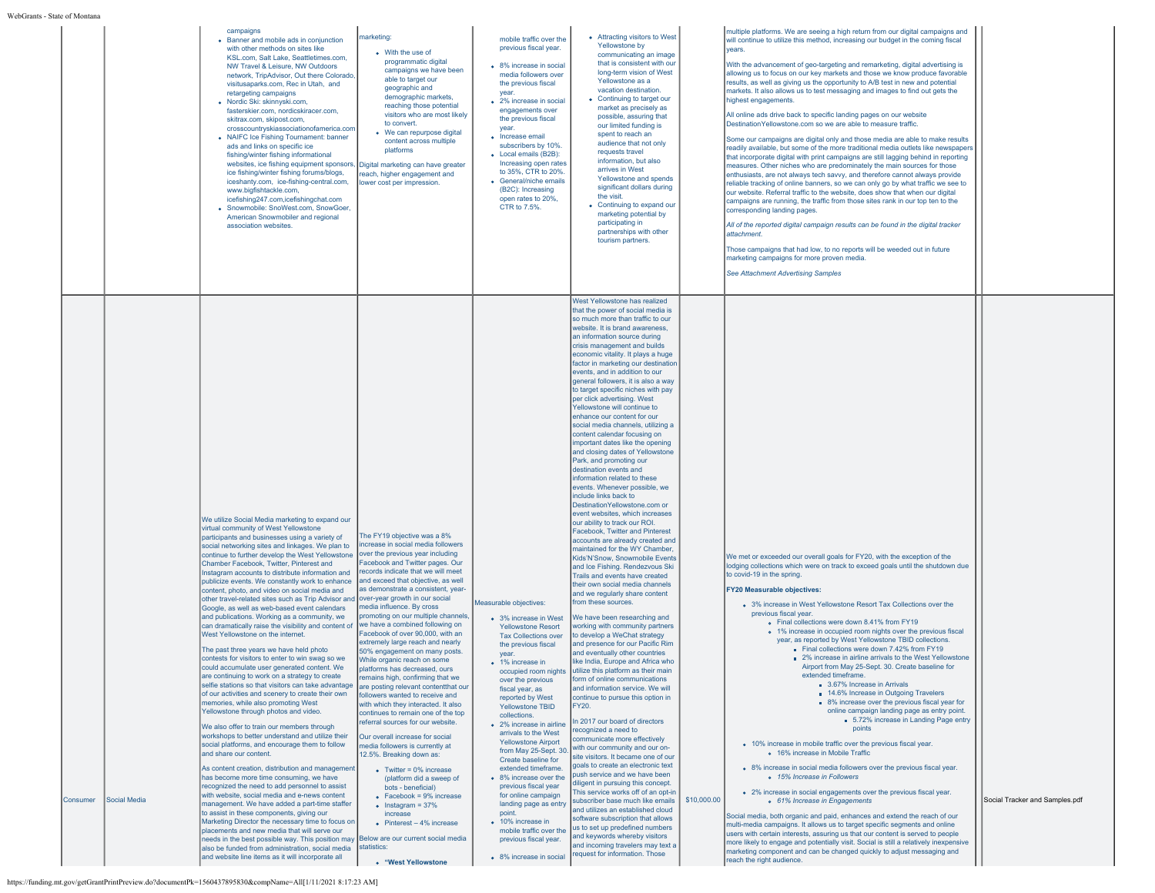|                          | campaigns<br>marketing<br>• Banner and mobile ads in conjunction<br>with other methods on sites like<br>• With the use of<br>KSL.com, Salt Lake, Seattletimes.com,<br>programmatic digital<br>NW Travel & Leisure, NW Outdoors<br>campaigns we have been<br>network. TripAdvisor. Out there Colorado.<br>able to target our<br>visitusaparks.com, Rec in Utah, and<br>geographic and<br>retargeting campaigns<br>demographic markets,<br>· Nordic Ski: skinnyski.com,<br>reaching those potential<br>fasterskier.com, nordicskiracer.com,<br>visitors who are most likely<br>skitrax.com, skipost.com,<br>to convert.<br>crosscountryskiassociationofamerica.com<br>• We can repurpose digital<br>• NAIFC Ice Fishing Tournament: banner<br>content across multiple<br>ads and links on specific ice<br>platforms<br>fishing/winter fishing informational<br>websites, ice fishing equipment sponsors, Digital marketing can have greater<br>ice fishing/winter fishing forums/blogs,<br>reach, higher engagement and<br>iceshanty.com, ice-fishing-central.com,<br>lower cost per impression.<br>www.bigfishtackle.com,<br>icefishing247.com,icefishingchat.com<br>· Snowmobile: SnoWest.com, SnowGoer,<br>American Snowmobiler and regional<br>association websites                                                                                                                                                                                                                                                                                                                                                                                                                                                                                                                                                                                                                                                                                                                                                                                                                                                                                                                                                                                                                                                                                                                                                                                                                                                                                                                                                                                                                                                                                                                                                                                                                                                                                                                                                                                                                                                                           | mobile traffic over the<br>previous fiscal year.<br>• 8% increase in social<br>media followers over<br>the previous fiscal<br>vear.<br>• 2% increase in social<br>engagements over<br>the previous fiscal<br>vear.<br>• Increase email<br>subscribers by 10%<br>• Local emails (B2B):<br>Increasing open rates<br>to 35%, CTR to 20%.<br>• General/niche emails<br>(B2C): Increasing<br>open rates to 20%,<br>CTR to 7.5%.                                                                                                                                                                                                                      | • Attracting visitors to West<br>Yellowstone by<br>communicating an image<br>that is consistent with our<br>long-term vision of West<br>Yellowstone as a<br>vacation destination.<br>• Continuing to target our<br>market as precisely as<br>possible, assuring that<br>our limited funding is<br>spent to reach an<br>audience that not only<br>requests travel<br>information, but also<br>arrives in West<br>Yellowstone and spends<br>significant dollars during<br>the visit.<br>• Continuing to expand our<br>marketing potential by<br>participating in<br>partnerships with other<br>tourism partners.<br>West Yellowstone has realized<br>that the power of social media is                                                                                                                                                                                                                                                                                                                                                                                                                                                                                                                                                                                                                                                                                                                                                                                                                                                                                                                                                                                                                                                                                                                                                                                                                                                                                                                                                                                                                                            |             | multiple platforms. We are seeing a high return from our digital campaigns and<br>will continue to utilize this method, increasing our budget in the coming fiscal<br>vears.<br>With the advancement of geo-targeting and remarketing, digital advertising is<br>allowing us to focus on our key markets and those we know produce favorable<br>results, as well as giving us the opportunity to A/B test in new and potential<br>markets. It also allows us to test messaging and images to find out gets the<br>highest engagements.<br>All online ads drive back to specific landing pages on our website<br>Destination Yellowstone.com so we are able to measure traffic.<br>Some our campaigns are digital only and those media are able to make results<br>readily available, but some of the more traditional media outlets like newspapers<br>that incorporate digital with print campaigns are still lagging behind in reporting<br>measures. Other niches who are predominately the main sources for those<br>enthusiasts, are not always tech savvy, and therefore cannot always provide<br>reliable tracking of online banners, so we can only go by what traffic we see to<br>our website. Referral traffic to the website, does show that when our digital<br>campaigns are running, the traffic from those sites rank in our top ten to the<br>corresponding landing pages.<br>All of the reported digital campaign results can be found in the digital tracker<br>attachment<br>Those campaigns that had low, to no reports will be weeded out in future<br>marketing campaigns for more proven media.<br><b>See Attachment Advertising Samples</b>              |                                |
|--------------------------|-------------------------------------------------------------------------------------------------------------------------------------------------------------------------------------------------------------------------------------------------------------------------------------------------------------------------------------------------------------------------------------------------------------------------------------------------------------------------------------------------------------------------------------------------------------------------------------------------------------------------------------------------------------------------------------------------------------------------------------------------------------------------------------------------------------------------------------------------------------------------------------------------------------------------------------------------------------------------------------------------------------------------------------------------------------------------------------------------------------------------------------------------------------------------------------------------------------------------------------------------------------------------------------------------------------------------------------------------------------------------------------------------------------------------------------------------------------------------------------------------------------------------------------------------------------------------------------------------------------------------------------------------------------------------------------------------------------------------------------------------------------------------------------------------------------------------------------------------------------------------------------------------------------------------------------------------------------------------------------------------------------------------------------------------------------------------------------------------------------------------------------------------------------------------------------------------------------------------------------------------------------------------------------------------------------------------------------------------------------------------------------------------------------------------------------------------------------------------------------------------------------------------------------------------------------------------------------------------------------------------------------------------------------------------------------------------------------------------------------------------------------------------------------------------------------------------------------------------------------------------------------------------------------------------------------------------------------------------------------------------------------------------------------------------------------------------------------------------------------------------------------------------|-------------------------------------------------------------------------------------------------------------------------------------------------------------------------------------------------------------------------------------------------------------------------------------------------------------------------------------------------------------------------------------------------------------------------------------------------------------------------------------------------------------------------------------------------------------------------------------------------------------------------------------------------|---------------------------------------------------------------------------------------------------------------------------------------------------------------------------------------------------------------------------------------------------------------------------------------------------------------------------------------------------------------------------------------------------------------------------------------------------------------------------------------------------------------------------------------------------------------------------------------------------------------------------------------------------------------------------------------------------------------------------------------------------------------------------------------------------------------------------------------------------------------------------------------------------------------------------------------------------------------------------------------------------------------------------------------------------------------------------------------------------------------------------------------------------------------------------------------------------------------------------------------------------------------------------------------------------------------------------------------------------------------------------------------------------------------------------------------------------------------------------------------------------------------------------------------------------------------------------------------------------------------------------------------------------------------------------------------------------------------------------------------------------------------------------------------------------------------------------------------------------------------------------------------------------------------------------------------------------------------------------------------------------------------------------------------------------------------------------------------------------------------------------------|-------------|-----------------------------------------------------------------------------------------------------------------------------------------------------------------------------------------------------------------------------------------------------------------------------------------------------------------------------------------------------------------------------------------------------------------------------------------------------------------------------------------------------------------------------------------------------------------------------------------------------------------------------------------------------------------------------------------------------------------------------------------------------------------------------------------------------------------------------------------------------------------------------------------------------------------------------------------------------------------------------------------------------------------------------------------------------------------------------------------------------------------------------------------------------------------------------------------------------------------------------------------------------------------------------------------------------------------------------------------------------------------------------------------------------------------------------------------------------------------------------------------------------------------------------------------------------------------------------------------------------------------------------------------------------------------------------------|--------------------------------|
| Social Media<br>Consumer | We utilize Social Media marketing to expand our<br>virtual community of West Yellowstone<br>The FY19 objective was a 8%<br>participants and businesses using a variety of<br>increase in social media followers<br>social networking sites and linkages. We plan to<br>over the previous year including<br>continue to further develop the West Yellowstone<br>Facebook and Twitter pages. Our<br>Chamber Facebook, Twitter, Pinterest and<br>records indicate that we will meet<br>Instagram accounts to distribute information and<br>publicize events. We constantly work to enhance   and exceed that objective, as well<br>as demonstrate a consistent, year-<br>content, photo, and video on social media and<br>other travel-related sites such as Trip Advisor and over-year growth in our social<br>media influence. By cross<br>Google, as well as web-based event calendars<br>promoting on our multiple channels<br>and publications. Working as a community, we<br>can dramatically raise the visibility and content of  we have a combined following on<br>Facebook of over 90,000, with an<br>West Yellowstone on the internet.<br>extremely large reach and nearly<br>The past three years we have held photo<br>50% engagement on many posts.<br>contests for visitors to enter to win swag so we<br>While organic reach on some<br>could accumulate user generated content. We<br>platforms has decreased, ours<br>are continuing to work on a strategy to create<br>remains high, confirming that we<br>selfie stations so that visitors can take advantage are posting relevant contentthat our<br>of our activities and scenery to create their own<br>followers wanted to receive and<br>memories, while also promoting West<br>with which they interacted. It also<br>Yellowstone through photos and video.<br>continues to remain one of the top<br>referral sources for our website.<br>We also offer to train our members through<br>workshops to better understand and utilize their<br>Our overall increase for social<br>social platforms, and encourage them to follow<br>media followers is currently at<br>and share our content.<br>12.5%. Breaking down as:<br>As content creation, distribution and management<br>• Twitter = $0\%$ increase<br>has become more time consuming, we have<br>(platform did a sweep of<br>recognized the need to add personnel to assist<br>bots - beneficial)<br>with website, social media and e-news content<br>$\bullet$ Facebook = 9% increase<br>management. We have added a part-time staffer<br>$\bullet$ Instagram = 37%<br>to assist in these components, giving our<br>increase<br>Marketing Director the necessary time to focus on<br>• Pinterest $-4%$ increase<br>placements and new media that will serve our<br>needs in the best possible way. This position may Below are our current social media<br>also be funded from administration, social media statistics:<br>and website line items as it will incorporate all<br>• "West Yellowstone<br>https://funding.mt.gov/getGrantPrintPreview.do?documentPk=1560437895830&compName=All[1/11/2021 8:17:23 AM] | Measurable objectives:<br>• 3% increase in West<br><b>Yellowstone Resort</b><br><b>Tax Collections over</b><br>the previous fiscal<br>year.<br>• 1% increase in<br>over the previous<br>fiscal year, as<br>reported by West<br><b>Yellowstone TBID</b><br>collections.<br>• 2% increase in airline<br>arrivals to the West<br><b>Yellowstone Airport</b><br>from May 25-Sept. 30.<br>Create baseline for<br>extended timeframe.<br>• 8% increase over the<br>previous fiscal year<br>for online campaign<br>landing page as entry<br>point.<br>• 10% increase in<br>mobile traffic over the<br>previous fiscal year.<br>• 8% increase in social | so much more than traffic to our<br>website. It is brand awareness.<br>an information source during<br>crisis management and builds<br>economic vitality. It plays a huge<br>factor in marketing our destination<br>events, and in addition to our<br>general followers, it is also a way<br>to target specific niches with pay<br>per click advertising. West<br>Yellowstone will continue to<br>enhance our content for our<br>social media channels, utilizing a<br>content calendar focusing on<br>important dates like the opening<br>and closing dates of Yellowstone<br>Park, and promoting our<br>destination events and<br>information related to these<br>events. Whenever possible, we<br>include links back to<br>Destination Yellowstone.com or<br>event websites, which increases<br>our ability to track our ROI.<br>Facebook, Twitter and Pinterest<br>accounts are already created and<br>maintained for the WY Chamber<br>Kids'N'Snow, Snowmobile Events<br>and Ice Fishing. Rendezvous Ski<br>Trails and events have created<br>their own social media channels<br>and we regularly share content<br>from these sources.<br>We have been researching and<br>working with community partners<br>to develop a WeChat strategy<br>and presence for our Pacific Rim<br>and eventually other countries<br>like India, Europe and Africa who<br>occupied room nights utilize this platform as their main<br><b>Iform of online communications</b><br>and information service. We will<br>continue to pursue this option in<br>FY20.<br>In 2017 our board of directors<br>ecognized a need to<br>communicate more effectively<br>with our community and our on-<br>site visitors. It became one of our<br>goals to create an electronic text<br>push service and we have been<br>diligent in pursuing this concept.<br>This service works off of an opt-in<br>subscriber base much like emails<br>and utilizes an established cloud<br>software subscription that allows<br>us to set up predefined numbers<br>and keywords whereby visitors<br>and incoming travelers may text a<br>request for information. Those | \$10,000.00 | We met or exceeded our overall goals for FY20, with the exception of the<br>lodging collections which were on track to exceed goals until the shutdown due<br>to covid-19 in the spring.<br><b>FY20 Measurable objectives:</b><br>• 3% increase in West Yellowstone Resort Tax Collections over the<br>previous fiscal year.<br>. Final collections were down 8.41% from FY19<br>o 1% increase in occupied room nights over the previous fiscal<br>year, as reported by West Yellowstone TBID collections.<br>Final collections were down 7.42% from FY19<br>■ 2% increase in airline arrivals to the West Yellowstone<br>Airport from May 25-Sept. 30. Create baseline for<br>3.67% Increase in Arrivals<br><b>14.6% Increase in Outgoing Travelers</b><br>• 8% increase over the previous fiscal year for<br>online campaign landing page as entry point.<br>5.72% increase in Landing Page entry<br>points<br>• 10% increase in mobile traffic over the previous fiscal year.<br>o 16% increase in Mobile Traffic<br>. 8% increase in social media followers over the previous fiscal year.<br>o 15% Increase in Followers<br>• 2% increase in social engagements over the previous fiscal year.<br>o 61% Increase in Engagements<br>Social media, both organic and paid, enhances and extend the reach of our<br>multi-media campaigns. It allows us to target specific segments and online<br>users with certain interests, assuring us that our content is served to people<br>more likely to engage and potentially visit. Social is still a relatively inexpensive<br>marketing component and can be changed quickly to adjust messaging and<br>reach the right audience. | Social Tracker and Samples.pdf |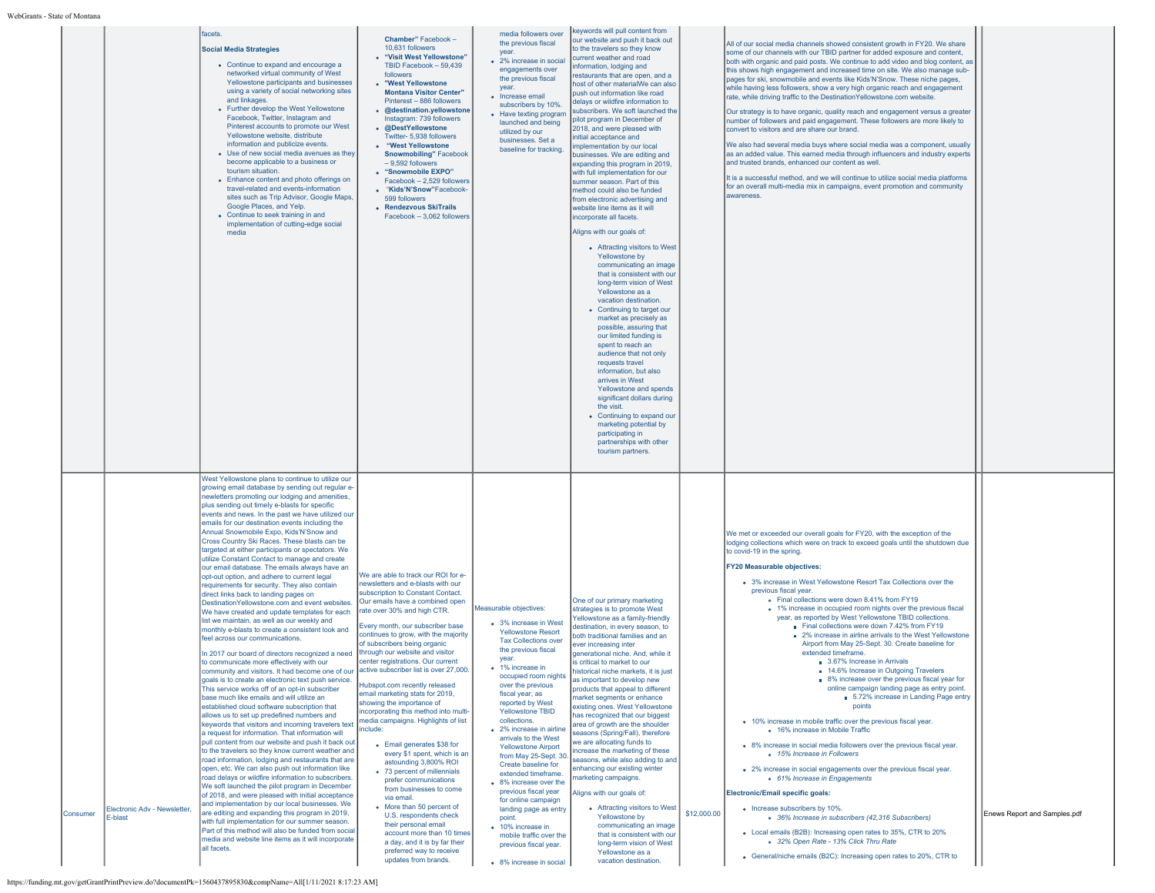| ате от імощан |                                         |                                                                                                                                                                                                                                                                                                                                                                                                                                                                                                                                                                                                                                                                                                                                                                                                                                                                                                                                                                                                                                                                                                                                                                                                                                                                                                                                                                                                                                                                                                                                                                                                                                                                                                                                                                                                                                                                                                                                                                                                                                                                                                                                              |                                                                                                                                                                                                                                                                                                                                                                                                                                                                                                                                                                                                                                                                                                                                                                                                                                                                                                                                                                                                     |                                                                                                                                                                                                                                                                                                                                                                                                                                                                                                                                                                                                                                                                         |                                                                                                                                                                                                                                                                                                                                                                                                                                                                                                                                                                                                                                                                                                                                                                                                                                                                                                                                                                                                                                                                                                                                                                                                                                                                                                                                                                                               |             |                                                                                                                                                                                                                                                                                                                                                                                                                                                                                                                                                                                                                                                                                                                                                                                                                                                                                                                                                                                                                                                                                                                                                                                                                                                                                                                                                                                                                                                                                                                                                                 |                              |
|---------------|-----------------------------------------|----------------------------------------------------------------------------------------------------------------------------------------------------------------------------------------------------------------------------------------------------------------------------------------------------------------------------------------------------------------------------------------------------------------------------------------------------------------------------------------------------------------------------------------------------------------------------------------------------------------------------------------------------------------------------------------------------------------------------------------------------------------------------------------------------------------------------------------------------------------------------------------------------------------------------------------------------------------------------------------------------------------------------------------------------------------------------------------------------------------------------------------------------------------------------------------------------------------------------------------------------------------------------------------------------------------------------------------------------------------------------------------------------------------------------------------------------------------------------------------------------------------------------------------------------------------------------------------------------------------------------------------------------------------------------------------------------------------------------------------------------------------------------------------------------------------------------------------------------------------------------------------------------------------------------------------------------------------------------------------------------------------------------------------------------------------------------------------------------------------------------------------------|-----------------------------------------------------------------------------------------------------------------------------------------------------------------------------------------------------------------------------------------------------------------------------------------------------------------------------------------------------------------------------------------------------------------------------------------------------------------------------------------------------------------------------------------------------------------------------------------------------------------------------------------------------------------------------------------------------------------------------------------------------------------------------------------------------------------------------------------------------------------------------------------------------------------------------------------------------------------------------------------------------|-------------------------------------------------------------------------------------------------------------------------------------------------------------------------------------------------------------------------------------------------------------------------------------------------------------------------------------------------------------------------------------------------------------------------------------------------------------------------------------------------------------------------------------------------------------------------------------------------------------------------------------------------------------------------|-----------------------------------------------------------------------------------------------------------------------------------------------------------------------------------------------------------------------------------------------------------------------------------------------------------------------------------------------------------------------------------------------------------------------------------------------------------------------------------------------------------------------------------------------------------------------------------------------------------------------------------------------------------------------------------------------------------------------------------------------------------------------------------------------------------------------------------------------------------------------------------------------------------------------------------------------------------------------------------------------------------------------------------------------------------------------------------------------------------------------------------------------------------------------------------------------------------------------------------------------------------------------------------------------------------------------------------------------------------------------------------------------|-------------|-----------------------------------------------------------------------------------------------------------------------------------------------------------------------------------------------------------------------------------------------------------------------------------------------------------------------------------------------------------------------------------------------------------------------------------------------------------------------------------------------------------------------------------------------------------------------------------------------------------------------------------------------------------------------------------------------------------------------------------------------------------------------------------------------------------------------------------------------------------------------------------------------------------------------------------------------------------------------------------------------------------------------------------------------------------------------------------------------------------------------------------------------------------------------------------------------------------------------------------------------------------------------------------------------------------------------------------------------------------------------------------------------------------------------------------------------------------------------------------------------------------------------------------------------------------------|------------------------------|
|               |                                         | facets.<br><b>Social Media Strategies</b><br>• Continue to expand and encourage a<br>networked virtual community of West<br>Yellowstone participants and businesses<br>using a variety of social networking sites<br>and linkages.<br>• Further develop the West Yellowstone<br>Facebook, Twitter, Instagram and<br>Pinterest accounts to promote our West<br>Yellowstone website, distribute<br>information and publicize events.<br>• Use of new social media avenues as they<br>become applicable to a business or<br>tourism situation.<br>• Enhance content and photo offerings on<br>travel-related and events-information<br>sites such as Trip Advisor, Google Maps,<br>Google Places, and Yelp.<br>• Continue to seek training in and<br>implementation of cutting-edge social<br>media                                                                                                                                                                                                                                                                                                                                                                                                                                                                                                                                                                                                                                                                                                                                                                                                                                                                                                                                                                                                                                                                                                                                                                                                                                                                                                                                             | Chamber" Facebook -<br>10.631 followers<br>• "Visit West Yellowstone"<br>TBID Facebook - 59.439<br>followers<br>• "West Yellowstone<br><b>Montana Visitor Center"</b><br>Pinterest - 886 followers<br>• @destination.yellowstone<br>Instagram: 739 followers<br>• @DestYellowstone<br>Twitter- 5,938 followers<br>• "West Yellowstone<br><b>Snowmobiling</b> " Facebook<br>$-9,592$ followers<br>• "Snowmobile EXPO"<br>Facebook - 2.529 followers<br>• "Kids'N'Snow"Facebook-<br>599 followers<br>• Rendezvous SkiTrails<br>Facebook - 3.062 followers                                                                                                                                                                                                                                                                                                                                                                                                                                             | media followers over<br>the previous fiscal<br>year.<br>• 2% increase in social<br>engagements over<br>the previous fiscal<br>year.<br>• Increase email<br>subscribers by 10%.<br>• Have texting program<br>launched and being<br>utilized by our<br>businesses. Set a<br>baseline for tracking.                                                                                                                                                                                                                                                                                                                                                                        | keywords will pull content from<br>our website and push it back out<br>to the travelers so they know<br>current weather and road<br>information, lodging and<br>restaurants that are open, and a<br>host of other materialWe can also<br>push out information like road<br>delays or wildfire information to<br>subscribers. We soft launched the<br>pilot program in December of<br>2018, and were pleased with<br>initial acceptance and<br>mplementation by our local<br>pusinesses. We are editing and<br>expanding this program in 2019,<br>with full implementation for our<br>summer season. Part of this<br>method could also be funded<br>from electronic advertising and<br>website line items as it will<br>incorporate all facets.<br>Aligns with our goals of:<br>• Attracting visitors to West<br>Yellowstone by<br>communicating an image<br>that is consistent with our<br>long-term vision of West<br>Yellowstone as a<br>vacation destination.<br>• Continuing to target our<br>market as precisely as<br>possible, assuring that<br>our limited funding is<br>spent to reach an<br>audience that not only<br>requests travel<br>information, but also<br>arrives in West<br>Yellowstone and spends<br>significant dollars during<br>the visit.<br>• Continuing to expand our<br>marketing potential by<br>participating in<br>partnerships with other<br>tourism partners. |             | All of our social media channels showed consistent growth in FY20. We share<br>some of our channels with our TBID partner for added exposure and content,<br>both with organic and paid posts. We continue to add video and blog content, as<br>this shows high engagement and increased time on site. We also manage sub-<br>pages for ski, snowmobile and events like Kids'N'Snow. These niche pages,<br>while having less followers, show a very high organic reach and engagement<br>rate, while driving traffic to the Destination Yellowstone.com website.<br>Our strategy is to have organic, quality reach and engagement versus a greater<br>number of followers and paid engagement. These followers are more likely to<br>convert to visitors and are share our brand.<br>We also had several media buys where social media was a component, usually<br>as an added value. This earned media through influencers and industry experts<br>and trusted brands, enhanced our content as well.<br>It is a successful method, and we will continue to utilize social media platforms<br>for an overall multi-media mix in campaigns, event promotion and community<br>awareness                                                                                                                                                                                                                                                                                                                                                                           |                              |
| Consumer      | Electronic Adv - Newsletter,<br>E-blast | West Yellowstone plans to continue to utilize our<br>growing email database by sending out regular e-<br>newletters promoting our lodging and amenities,<br>plus sending out timely e-blasts for specific<br>events and news. In the past we have utilized our<br>emails for our destination events including the<br>Annual Snowmobile Expo, Kids'N'Snow and<br>Cross Country Ski Races. These blasts can be<br>targeted at either participants or spectators. We<br>utilize Constant Contact to manage and create<br>our email database. The emails always have an<br>opt-out option, and adhere to current legal<br>requirements for security. They also contain<br>direct links back to landing pages on<br>Destination Yellowstone.com and event websites<br>We have created and update templates for each<br>list we maintain, as well as our weekly and<br>monthly e-blasts to create a consistent look and<br>feel across our communications.<br>In 2017 our board of directors recognized a need<br>to communicate more effectively with our<br>community and visitors. It had become one of ou<br>goals is to create an electronic text push service.<br>This service works off of an opt-in subscriber<br>base much like emails and will utilize an<br>established cloud software subscription that<br>allows us to set up predefined numbers and<br>keywords that visitors and incoming travelers text<br>a request for information. That information will<br>pull content from our website and push it back out<br>to the travelers so they know current weather and<br>road information, lodging and restaurants that are<br>open, etc. We can also push out information like<br>road delays or wildfire information to subscribers<br>We soft launched the pilot program in December<br>of 2018, and were pleased with initial acceptance<br>and implementation by our local businesses. We<br>are editing and expanding this program in 2019,<br>with full implementation for our summer season.<br>Part of this method will also be funded from social<br>media and website line items as it will incorporate<br>all facets. | We are able to track our ROI for e-<br>newsletters and e-blasts with our<br>subscription to Constant Contact.<br>Our emails have a combined open<br>rate over 30% and high CTR.<br>Every month, our subscriber base<br>continues to grow, with the majority<br>of subscribers being organic<br>through our website and visitor<br>center registrations. Our current<br>active subscriber list is over 27,000.<br>Hubspot.com recently released<br>email marketing stats for 2019,<br>showing the importance of<br>incorporating this method into multi-<br>media campaigns. Highlights of list<br>include:<br>• Email generates \$38 for<br>every \$1 spent, which is an<br>astounding 3,800% ROI<br>• 73 percent of millennials<br>prefer communications<br>from businesses to come<br>via email<br>• More than 50 percent of<br>U.S. respondents check<br>their personal email<br>account more than 10 times<br>a day, and it is by far their<br>preferred way to receive<br>updates from brands. | Measurable objectives:<br>• 3% increase in West<br><b>Yellowstone Resort</b><br><b>Tax Collections over</b><br>the previous fiscal<br>year.<br>• 1% increase in<br>occupied room nights<br>over the previous<br>fiscal year, as<br>reported by West<br><b>Yellowstone TBID</b><br>collections.<br>• 2% increase in airline<br>arrivals to the West<br><b>Yellowstone Airport</b><br>from May 25-Sept. 30.<br>Create baseline for<br>extended timeframe.<br>• 8% increase over the<br>previous fiscal year<br>for online campaign<br>landing page as entry<br>point.<br>• 10% increase in<br>mobile traffic over the<br>previous fiscal year.<br>• 8% increase in social | One of our primary marketing<br>strategies is to promote West<br>Yellowstone as a family-friendly<br>destination, in every season, to<br>ooth traditional families and an<br>ever increasing inter<br>generational niche. And, while it<br>is critical to market to our<br>istorical niche markets, it is<br>as important to develop new<br>products that appeal to different<br>market segments or enhance<br>existing ones. West Yellowstone<br>has recognized that our biggest<br>area of growth are the shoulder<br>seasons (Spring/Fall), therefore<br>we are allocating funds to<br>increase the marketing of these<br>seasons, while also adding to and<br>inhancing our existing winter<br>narketing campaigns.<br>Aligns with our goals of:<br>• Attracting visitors to West<br>Yellowstone by<br>communicating an image<br>that is consistent with our<br>long-term vision of West<br>Yellowstone as a<br>vacation destination.                                                                                                                                                                                                                                                                                                                                                                                                                                                     | \$12,000.00 | We met or exceeded our overall goals for FY20, with the exception of the<br>lodging collections which were on track to exceed goals until the shutdown due<br>to covid-19 in the spring.<br><b>FY20 Measurable objectives:</b><br>• 3% increase in West Yellowstone Resort Tax Collections over the<br>previous fiscal year.<br>. Final collections were down 8.41% from FY19<br>• 1% increase in occupied room nights over the previous fiscal<br>year, as reported by West Yellowstone TBID collections.<br>Final collections were down 7.42% from FY19<br>■ 2% increase in airline arrivals to the West Yellowstone<br>Airport from May 25-Sept. 30. Create baseline for<br>extended timeframe.<br>3.67% Increase in Arrivals<br>14.6% Increase in Outgoing Travelers<br>8% increase over the previous fiscal year for<br>online campaign landing page as entry point.<br>5.72% increase in Landing Page entry<br>points<br>• 10% increase in mobile traffic over the previous fiscal year.<br>o 16% increase in Mobile Traffic<br>• 8% increase in social media followers over the previous fiscal year.<br>o 15% Increase in Followers<br>• 2% increase in social engagements over the previous fiscal year.<br>o 61% Increase in Engagements<br>Electronic/Email specific goals:<br>• Increase subscribers by 10%.<br>o 36% Increase in subscribers (42,316 Subscribers)<br>• Local emails (B2B): Increasing open rates to 35%, CTR to 20%<br>o 32% Open Rate - 13% Click Thru Rate<br>• General/niche emails (B2C): Increasing open rates to 20%, CTR to | Enews Report and Samples.pdf |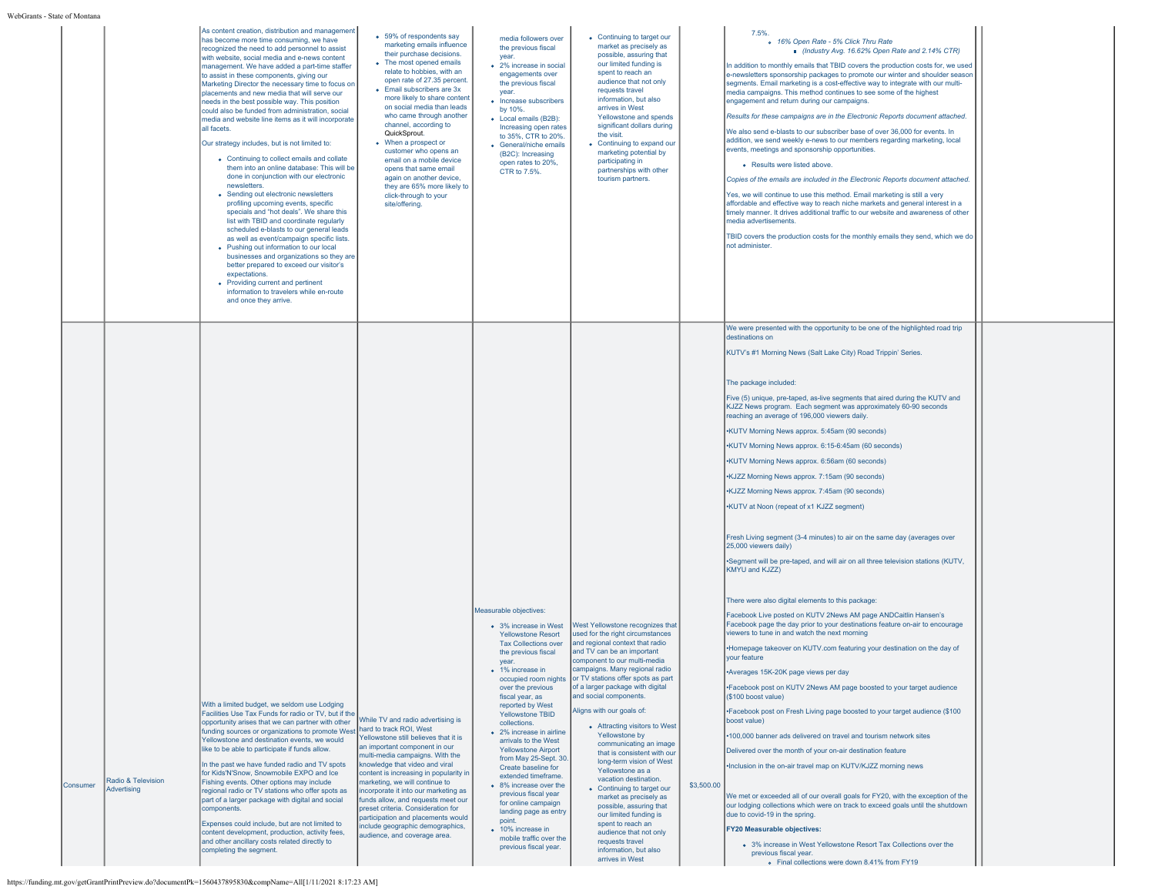|          |                                   | As content creation, distribution and management<br>has become more time consuming, we have<br>recognized the need to add personnel to assist<br>with website, social media and e-news content<br>management. We have added a part-time staffer<br>to assist in these components, giving our<br>Marketing Director the necessary time to focus on<br>placements and new media that will serve our<br>needs in the best possible way. This position<br>could also be funded from administration, social<br>media and website line items as it will incorporate<br>all facets.<br>Our strategy includes, but is not limited to:<br>• Continuing to collect emails and collate<br>them into an online database: This will be<br>done in conjunction with our electronic<br>newsletters.<br>• Sending out electronic newsletters<br>profiling upcoming events, specific<br>specials and "hot deals". We share this<br>list with TBID and coordinate regularly<br>scheduled e-blasts to our general leads<br>as well as event/campaign specific lists.<br>• Pushing out information to our local<br>businesses and organizations so they are<br>better prepared to exceed our visitor's<br>expectations.<br>• Providing current and pertinent<br>information to travelers while en-route<br>and once they arrive. | • 59% of respondents say<br>marketing emails influence<br>their purchase decisions.<br>• The most opened emails<br>relate to hobbies, with an<br>open rate of 27.35 percent<br>• Email subscribers are 3x<br>more likely to share content<br>on social media than leads<br>who came through another<br>channel, according to<br>QuickSprout.<br>• When a prospect or<br>customer who opens an<br>email on a mobile device<br>opens that same email<br>again on another device,<br>they are 65% more likely to<br>click-through to your<br>site/offering. | media followers over<br>the previous fiscal<br>vear.<br>• 2% increase in social<br>engagements over<br>the previous fiscal<br>vear.<br>• Increase subscribers<br>by 10%.<br>• Local emails (B2B):<br>Increasing open rates<br>to 35%, CTR to 20%.<br>• General/niche emails<br>(B2C): Increasing<br>open rates to 20%,<br>CTR to 7.5%.                                                                                                                                                                                                                                                                                        | • Continuing to target our<br>market as precisely as<br>possible, assuring that<br>our limited funding is<br>spent to reach an<br>audience that not only<br>requests travel<br>information, but also<br>arrives in West<br>Yellowstone and spends<br>significant dollars during<br>the visit.<br>• Continuing to expand our<br>marketing potential by<br>participating in<br>partnerships with other<br>tourism partners.                                                                                                                                                                                                                                                                                                                                |            | 7.5%<br>o 16% Open Rate - 5% Click Thru Rate<br>Industry Avg. 16.62% Open Rate and 2.14% CTR)<br>In addition to monthly emails that TBID covers the production costs for, we used<br>e-newsletters sponsorship packages to promote our winter and shoulder season<br>segments. Email marketing is a cost-effective way to integrate with our multi-<br>media campaigns. This method continues to see some of the highest<br>engagement and return during our campaigns.<br>Results for these campaigns are in the Electronic Reports document attached.<br>We also send e-blasts to our subscriber base of over 36,000 for events. In<br>addition, we send weekly e-news to our members regarding marketing, local<br>events, meetings and sponsorship opportunities.<br>• Results were listed above<br>Copies of the emails are included in the Electronic Reports document attached.<br>Yes, we will continue to use this method. Email marketing is still a very<br>affordable and effective way to reach niche markets and general interest in a<br>timely manner. It drives additional traffic to our website and awareness of other<br>media advertisements.<br>TBID covers the production costs for the monthly emails they send, which we do<br>not administer                                                                                                                                                                                                                                                                                                                                                                                                                                                                                                                                                                                                                                                                                                                                                                                                                                        |  |
|----------|-----------------------------------|--------------------------------------------------------------------------------------------------------------------------------------------------------------------------------------------------------------------------------------------------------------------------------------------------------------------------------------------------------------------------------------------------------------------------------------------------------------------------------------------------------------------------------------------------------------------------------------------------------------------------------------------------------------------------------------------------------------------------------------------------------------------------------------------------------------------------------------------------------------------------------------------------------------------------------------------------------------------------------------------------------------------------------------------------------------------------------------------------------------------------------------------------------------------------------------------------------------------------------------------------------------------------------------------------------------|----------------------------------------------------------------------------------------------------------------------------------------------------------------------------------------------------------------------------------------------------------------------------------------------------------------------------------------------------------------------------------------------------------------------------------------------------------------------------------------------------------------------------------------------------------|-------------------------------------------------------------------------------------------------------------------------------------------------------------------------------------------------------------------------------------------------------------------------------------------------------------------------------------------------------------------------------------------------------------------------------------------------------------------------------------------------------------------------------------------------------------------------------------------------------------------------------|----------------------------------------------------------------------------------------------------------------------------------------------------------------------------------------------------------------------------------------------------------------------------------------------------------------------------------------------------------------------------------------------------------------------------------------------------------------------------------------------------------------------------------------------------------------------------------------------------------------------------------------------------------------------------------------------------------------------------------------------------------|------------|---------------------------------------------------------------------------------------------------------------------------------------------------------------------------------------------------------------------------------------------------------------------------------------------------------------------------------------------------------------------------------------------------------------------------------------------------------------------------------------------------------------------------------------------------------------------------------------------------------------------------------------------------------------------------------------------------------------------------------------------------------------------------------------------------------------------------------------------------------------------------------------------------------------------------------------------------------------------------------------------------------------------------------------------------------------------------------------------------------------------------------------------------------------------------------------------------------------------------------------------------------------------------------------------------------------------------------------------------------------------------------------------------------------------------------------------------------------------------------------------------------------------------------------------------------------------------------------------------------------------------------------------------------------------------------------------------------------------------------------------------------------------------------------------------------------------------------------------------------------------------------------------------------------------------------------------------------------------------------------------------------------------------------------------------------------------------------------------------------------|--|
| Consumer | Radio & Television<br>Advertising | With a limited budget, we seldom use Lodging<br>Facilities Use Tax Funds for radio or TV, but if the<br>opportunity arises that we can partner with other<br>funding sources or organizations to promote West<br>Yellowstone and destination events, we would<br>like to be able to participate if funds allow.<br>In the past we have funded radio and TV spots<br>for Kids'N'Snow, Snowmobile EXPO and Ice<br>Fishing events. Other options may include<br>regional radio or TV stations who offer spots as<br>part of a larger package with digital and social<br>components.<br>Expenses could include, but are not limited to<br>content development, production, activity fees,<br>and other ancillary costs related directly to<br>completing the segment.                                                                                                                                                                                                                                                                                                                                                                                                                                                                                                                                            | While TV and radio advertising is<br>hard to track ROI, West<br>Yellowstone still believes that it is<br>an important component in our<br>multi-media campaigns. With the<br>knowledge that video and viral<br>content is increasing in popularity in<br>marketing, we will continue to<br>ncorporate it into our marketing as<br>funds allow, and requests meet our<br>preset criteria. Consideration for<br>participation and placements would<br>nclude geographic demographics,<br>audience, and coverage area.                                      | Measurable objectives:<br>• 3% increase in West<br><b>Yellowstone Resort</b><br><b>Tax Collections over</b><br>the previous fiscal<br>year.<br>• 1% increase in<br>occupied room nights<br>over the previous<br>fiscal year, as<br>reported by West<br>Yellowstone TBID<br>collections.<br>• 2% increase in airline<br>arrivals to the West<br>Yellowstone Airport<br>from May 25-Sept. 30<br>Create baseline for<br>extended timeframe.<br>• 8% increase over the<br>previous fiscal year<br>for online campaign<br>landing page as entry<br>point.<br>• 10% increase in<br>mobile traffic over the<br>previous fiscal year. | West Yellowstone recognizes that<br>used for the right circumstances<br>and regional context that radio<br>and TV can be an important<br>component to our multi-media<br>campaigns. Many regional radio<br>or TV stations offer spots as part<br>of a larger package with digital<br>and social components.<br>Aligns with our goals of:<br>• Attracting visitors to West<br>Yellowstone by<br>communicating an image<br>that is consistent with our<br>long-term vision of West<br>Yellowstone as a<br>vacation destination.<br>• Continuing to target our<br>market as precisely as<br>possible, assuring that<br>our limited funding is<br>spent to reach an<br>audience that not only<br>requests travel<br>information, but also<br>arrives in West | \$3,500.00 | We were presented with the opportunity to be one of the highlighted road trip<br>destinations on<br>KUTV's #1 Morning News (Salt Lake City) Road Trippin' Series.<br>The package included:<br>Five (5) unique, pre-taped, as-live segments that aired during the KUTV and<br>KJZZ News program. Each segment was approximately 60-90 seconds<br>reaching an average of 196,000 viewers daily.<br>•KUTV Morning News approx. 5:45am (90 seconds)<br>•KUTV Morning News approx. 6:15-6:45am (60 seconds)<br>•KUTV Morning News approx. 6:56am (60 seconds)<br>•KJZZ Morning News approx. 7:15am (90 seconds)<br>•KJZZ Morning News approx. 7:45am (90 seconds)<br>•KUTV at Noon (repeat of x1 KJZZ segment)<br>Fresh Living segment (3-4 minutes) to air on the same day (averages over<br>25,000 viewers daily)<br>•Segment will be pre-taped, and will air on all three television stations (KUTV,<br>KMYU and KJZZ)<br>There were also digital elements to this package:<br>Facebook Live posted on KUTV 2News AM page ANDCaitlin Hansen's<br>Facebook page the day prior to your destinations feature on-air to encourage<br>viewers to tune in and watch the next morning<br>. Homepage takeover on KUTV.com featuring your destination on the day of<br>your feature<br>Averages 15K-20K page views per day<br>*Facebook post on KUTV 2News AM page boosted to your target audience<br>(\$100 boost value)<br>•Facebook post on Fresh Living page boosted to your target audience (\$100<br>boost value)<br>*100,000 banner ads delivered on travel and tourism network sites<br>Delivered over the month of your on-air destination feature<br>.Inclusion in the on-air travel map on KUTV/KJZZ morning news<br>We met or exceeded all of our overall goals for FY20, with the exception of the<br>our lodging collections which were on track to exceed goals until the shutdown<br>due to covid-19 in the spring.<br><b>FY20 Measurable objectives:</b><br>• 3% increase in West Yellowstone Resort Tax Collections over the<br>previous fiscal year.<br>• Final collections were down 8.41% from FY19 |  |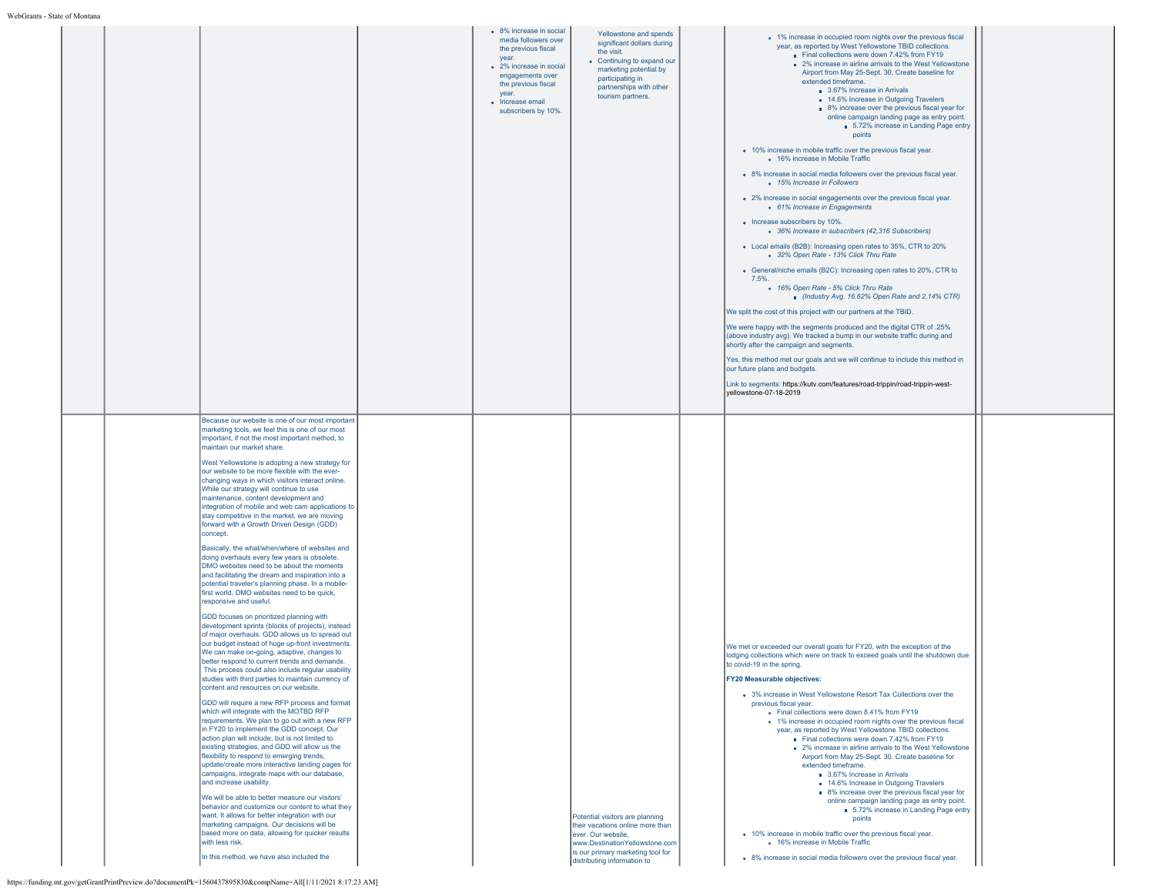|                                                                                                            |                                                                                                                                                                                                                                                                                                                                                                                                                                                                                                                                                                                                                                                                                                                                                                                                                                                                                                                                                                                                                                                                                                                                                                                                                                                                                                                                                                                                                                                                                                                                                                                                                                                                                                                                                                                                                                                                                                                                                                                                                                                                                                                                                                                                      | • 8% increase in social<br>media followers over<br>the previous fiscal<br>vear.<br>• 2% increase in social<br>engagements over<br>the previous fiscal<br>vear.<br>• Increase email<br>subscribers by 10%. | Yellowstone and spends<br>significant dollars during<br>the visit.<br>• Continuing to expand our<br>marketing potential by<br>participating in<br>partnerships with other<br>tourism partners.  | • 1% increase in occupied room nights over the previous fiscal<br>year, as reported by West Yellowstone TBID collections.<br>Final collections were down 7.42% from FY19<br>■ 2% increase in airline arrivals to the West Yellowstone<br>Airport from May 25-Sept. 30. Create baseline for<br>extended timeframe.<br>3.67% Increase in Arrivals<br>14.6% Increase in Outgoing Travelers<br>• 8% increase over the previous fiscal year for<br>online campaign landing page as entry point.<br>5.72% increase in Landing Page entry<br>points<br>• 10% increase in mobile traffic over the previous fiscal year.<br>o 16% increase in Mobile Traffic<br>• 8% increase in social media followers over the previous fiscal year.<br>o 15% Increase in Followers<br>• 2% increase in social engagements over the previous fiscal year.<br>o 61% Increase in Engagements<br>• Increase subscribers by 10%.<br>o 36% Increase in subscribers (42,316 Subscribers)<br>• Local emails (B2B): Increasing open rates to 35%, CTR to 20%<br>o 32% Open Rate - 13% Click Thru Rate<br>• General/niche emails (B2C): Increasing open rates to 20%, CTR to<br>7.5%.<br>o 16% Open Rate - 5% Click Thru Rate<br>Industry Avg. 16.62% Open Rate and 2.14% CTR)<br>We split the cost of this project with our partners at the TBID.<br>We were happy with the segments produced and the digital CTR of .25%<br>(above industry avg). We tracked a bump in our website traffic during and<br>shortly after the campaign and segments.<br>Yes, this method met our goals and we will continue to include this method in<br>our future plans and budgets.<br>Link to segments: https://kutv.com/features/road-trippin/road-trippin-west-<br>yellowstone-07-18-2019 |  |
|------------------------------------------------------------------------------------------------------------|------------------------------------------------------------------------------------------------------------------------------------------------------------------------------------------------------------------------------------------------------------------------------------------------------------------------------------------------------------------------------------------------------------------------------------------------------------------------------------------------------------------------------------------------------------------------------------------------------------------------------------------------------------------------------------------------------------------------------------------------------------------------------------------------------------------------------------------------------------------------------------------------------------------------------------------------------------------------------------------------------------------------------------------------------------------------------------------------------------------------------------------------------------------------------------------------------------------------------------------------------------------------------------------------------------------------------------------------------------------------------------------------------------------------------------------------------------------------------------------------------------------------------------------------------------------------------------------------------------------------------------------------------------------------------------------------------------------------------------------------------------------------------------------------------------------------------------------------------------------------------------------------------------------------------------------------------------------------------------------------------------------------------------------------------------------------------------------------------------------------------------------------------------------------------------------------------|-----------------------------------------------------------------------------------------------------------------------------------------------------------------------------------------------------------|-------------------------------------------------------------------------------------------------------------------------------------------------------------------------------------------------|------------------------------------------------------------------------------------------------------------------------------------------------------------------------------------------------------------------------------------------------------------------------------------------------------------------------------------------------------------------------------------------------------------------------------------------------------------------------------------------------------------------------------------------------------------------------------------------------------------------------------------------------------------------------------------------------------------------------------------------------------------------------------------------------------------------------------------------------------------------------------------------------------------------------------------------------------------------------------------------------------------------------------------------------------------------------------------------------------------------------------------------------------------------------------------------------------------------------------------------------------------------------------------------------------------------------------------------------------------------------------------------------------------------------------------------------------------------------------------------------------------------------------------------------------------------------------------------------------------------------------------------------------------------------------------------------------------------------------------------------|--|
| https://funding.mt.gov/getGrantPrintPreview.do?documentPk=1560437895830&compName=All[1/11/2021 8:17:23 AM] | Because our website is one of our most important<br>marketing tools, we feel this is one of our most<br>important, if not the most important method, to<br>maintain our market share.<br>West Yellowstone is adopting a new strategy for<br>our website to be more flexible with the ever-<br>changing ways in which visitors interact online.<br>While our strategy will continue to use<br>maintenance, content development and<br>integration of mobile and web cam applications to<br>stay competitive in the market, we are moving<br>forward with a Growth Driven Design (GDD)<br>concept.<br>Basically, the what/when/where of websites and<br>doing overhauls every few years is obsolete.<br>DMO websites need to be about the moments<br>and facilitating the dream and inspiration into a<br>potential traveler's planning phase. In a mobile-<br>first world, DMO websites need to be quick,<br>responsive and useful.<br>GDD focuses on prioritized planning with<br>development sprints (blocks of projects), instead<br>of major overhauls. GDD allows us to spread out<br>our budget instead of huge up-front investments.<br>We can make on-going, adaptive, changes to<br>better respond to current trends and demands.<br>This process could also include regular usability<br>tudies with third parties to maintain currency of<br>content and resources on our website.<br>GDD will require a new RFP process and format<br>which will integrate with the MOTBD RFP<br>requirements. We plan to go out with a new RFP<br>in FY20 to implement the GDD concept. Our<br>action plan will include, but is not limited to<br>existing strategies, and GDD will allow us the<br>flexibility to respond to emerging trends,<br>update/create more interactive landing pages for<br>campaigns, integrate maps with our database,<br>and increase usability.<br>We will be able to better measure our visitors'<br>behavior and customize our content to what they<br>want. It allows for better integration with our<br>marketing campaigns. Our decisions will be<br>based more on data, allowing for quicker results<br>with less risk.<br>In this method, we have also included the |                                                                                                                                                                                                           | Potential visitors are planning<br>their vacations online more than<br>ever. Our website,<br>www.DestinationYellowstone.com<br>is our primary marketing tool for<br>distributing information to | We met or exceeded our overall goals for FY20, with the exception of the<br>lodging collections which were on track to exceed goals until the shutdown due<br>to covid-19 in the spring.<br><b>TY20 Measurable objectives:</b><br>• 3% increase in West Yellowstone Resort Tax Collections over the<br>previous fiscal year.<br>• Final collections were down 8.41% from FY19<br>• 1% increase in occupied room nights over the previous fiscal<br>year, as reported by West Yellowstone TBID collections.<br>Final collections were down 7.42% from FY19<br>2% increase in airline arrivals to the West Yellowstone<br>Airport from May 25-Sept. 30. Create baseline for<br>extended timeframe.<br>3.67% Increase in Arrivals<br>14.6% Increase in Outgoing Travelers<br>8% increase over the previous fiscal year for<br>online campaign landing page as entry point.<br>5.72% increase in Landing Page entry<br>points<br>• 10% increase in mobile traffic over the previous fiscal year.<br>o 16% increase in Mobile Traffic<br>• 8% increase in social media followers over the previous fiscal year.                                                                                                                                                                                                                                                                                                                                                                                                                                                                                                                                                                                                                                     |  |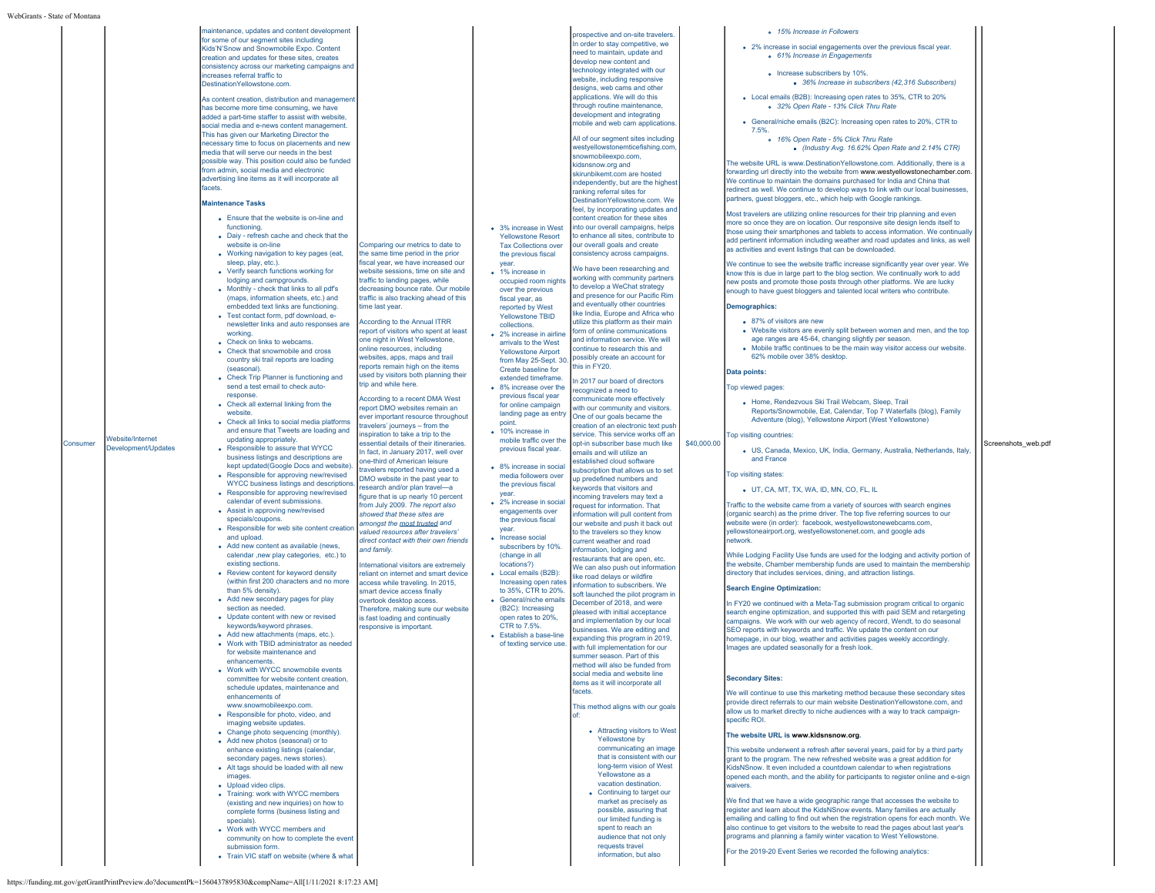| Kids'N'Snow and Snowmobile Expo. Content<br>creation and updates for these sites, creates<br>consistency across our marketing campaigns and<br>increases referral traffic to<br>DestinationYellowstone.com.<br>As content creation, distribution and management<br>has become more time consuming, we have<br>added a part-time staffer to assist with website,<br>social media and e-news content management.<br>This has given our Marketing Director the<br>necessary time to focus on placements and new<br>media that will serve our needs in the best<br>possible way. This position could also be funded<br>from admin, social media and electronic<br>advertising line items as it will incorporate all<br>facets.<br><b>Maintenance Tasks</b><br>• Ensure that the website is on-line and<br>functioning<br>• Daiy - refresh cache and check that the<br>Comparing our metrics to date to<br>website is on-line<br>• Working navigation to key pages (eat,<br>the same time period in the prior<br>fiscal year, we have increased our<br>sleep, play, etc.).<br>• Verify search functions working for<br>website sessions, time on site and<br>lodging and campgrounds.<br>traffic to landing pages, while<br>• Monthly - check that links to all pdf's<br>decreasing bounce rate. Our mobile<br>(maps, information sheets, etc.) and<br>traffic is also tracking ahead of this<br>embedded text links are functioning.<br>time last year.<br>• Test contact form, pdf download, e-<br>According to the Annual ITRR<br>newsletter links and auto responses are<br>report of visitors who spent at least<br>working.<br>one night in West Yellowstone.<br>• Check on links to webcams.<br>online resources, including<br>• Check that snowmobile and cross<br>websites, apps, maps and trail<br>country ski trail reports are loading<br>reports remain high on the items<br>(seasonal).<br>used by visitors both planning their<br>• Check Trip Planner is functioning and<br>trip and while here.<br>send a test email to check auto-<br>response.<br>According to a recent DMA West<br>• Check all external linking from the<br>eport DMO websites remain an<br>website<br>ever important resource throughout<br>• Check all links to social media platforms<br>travelers' journeys - from the<br>and ensure that Tweets are loading and<br>inspiration to take a trip to the<br><b>Nebsite/Internet</b><br>updating appropriately.<br>Consumer<br>essential details of their itineraries.<br>Development/Updates<br>• Responsible to assure that WYCC<br>In fact, in January 2017, well over<br>business listings and descriptions are<br>one-third of American leisure<br>kept updated(Google Docs and website).<br>travelers reported having used a<br>• Responsible for approving new/revised<br>DMO website in the past year to<br>WYCC business listings and descriptions<br>research and/or plan travel-a<br>• Responsible for approving new/revised<br>figure that is up nearly 10 percent<br>calendar of event submissions.<br>from July 2009. The report also<br>• Assist in approving new/revised<br>showed that these sites are<br>specials/coupons.<br>amongst the most trusted and<br>• Responsible for web site content creation<br>valued resources after travelers'<br>and upload.<br>direct contact with their own friends<br>• Add new content as available (news,<br>and family.<br>calendar , new play categories, etc.) to<br>existing sections.<br>International visitors are extremely<br>• Review content for keyword density<br>reliant on internet and smart device<br>(within first 200 characters and no more<br>access while traveling. In 2015.<br>than 5% density).<br>smart device access finally<br>• Add new secondary pages for play<br>overtook desktop access.<br>section as needed<br>Therefore, making sure our website<br>• Update content with new or revised<br>is fast loading and continually<br>keywords/keyword phrases.<br>responsive is important.<br>• Add new attachments (maps, etc.).<br>• Work with TBID administrator as needed<br>for website maintenance and<br>enhancements.<br>• Work with WYCC snowmobile events<br>committee for website content creation,<br>schedule updates, maintenance and<br>enhancements of<br>www.snowmobileexpo.com.<br>• Responsible for photo, video, and<br>imaging website updates.<br>• Change photo sequencing (monthly).<br>• Add new photos (seasonal) or to<br>enhance existing listings (calendar,<br>secondary pages, news stories).<br>• Alt tags should be loaded with all new<br>images.<br>• Upload video clips.<br>• Training: work with WYCC members<br>(existing and new inquiries) on how to<br>complete forms (business listing and<br>specials).<br>• Work with WYCC members and<br>community on how to complete the event<br>submission form.<br>• Train VIC staff on website (where & what | In order to stay competitive, we<br>eed to maintain, update and<br>develop new content and<br>technology integrated with our<br>website, including responsive<br>designs, web cams and other<br>applications. We will do this<br>through routine maintenance,<br>development and integrating<br>nobile and web cam applications<br>All of our segment sites including<br>westyellowstonemticefishing.com<br>snowmobileexpo.com,<br>kidsnsnow.org and<br>skirunbikemt.com are hosted<br>independently, but are the highest<br>ranking referral sites for<br>DestinationYellowstone.com. We<br>feel, by incorporating updates and<br>content creation for these sites<br>nto our overall campaigns, helps<br>• 3% increase in West<br><b>Yellowstone Resort</b><br>to enhance all sites, contribute to<br>our overall goals and create<br><b>Tax Collections over</b><br>consistency across campaigns.<br>the previous fiscal<br>vear.<br>We have been researching and<br>• 1% increase in<br>working with community partners<br>occupied room nights<br>to develop a WeChat strategy<br>over the previous<br>and presence for our Pacific Rim<br>fiscal year, as<br>and eventually other countries<br>reported by West<br>like India, Europe and Africa who<br>Yellowstone TBID<br>utilize this platform as their main<br>collections.<br>form of online communications<br>• 2% increase in airline<br>and information service. We will<br>arrivals to the West<br>continue to research this and<br><b>Yellowstone Airport</b><br>possibly create an account for<br>from May 25-Sept. 30<br>his in FY20.<br>Create baseline for<br>extended timeframe.<br>n 2017 our board of directors<br>• 8% increase over the<br>recognized a need to<br>previous fiscal year<br>communicate more effectively<br>for online campaign<br>with our community and visitors.<br>landing page as entry<br>One of our goals became the<br>point.<br>creation of an electronic text push<br>• 10% increase in<br>service. This service works off an<br>mobile traffic over the<br>opt-in subscriber base much like<br>previous fiscal year.<br>emails and will utilize an<br>established cloud software<br>• 8% increase in social<br>subscription that allows us to set<br>media followers over<br>up predefined numbers and<br>the previous fiscal<br>keywords that visitors and<br>year.<br>ncoming travelers may text a<br>• 2% increase in social<br>request for information. That<br>engagements over<br>nformation will pull content from<br>the previous fiscal<br>our website and push it back out<br>vear.<br>to the travelers so they know<br>• Increase social<br>current weather and road<br>subscribers by 10%.<br>nformation, lodging and<br>(change in all<br>restaurants that are open, etc.<br>locations?)<br>We can also push out information<br>• Local emails (B2B):<br>like road delays or wildfire<br>Increasing open rates<br>information to subscribers. We<br>to 35%, CTR to 20%.<br>soft launched the pilot program in<br>• General/niche emails<br>December of 2018, and were<br>(B2C): Increasing<br>pleased with initial acceptance<br>open rates to 20%,<br>and implementation by our local<br>CTR to 7.5%.<br>businesses. We are editing and<br>• Establish a base-line<br>expanding this program in 2019,<br>of texting service use.<br>with full implementation for our<br>summer season. Part of this<br>method will also be funded from<br>ial madia and waheita<br>tems as it will incorporate all<br>acets.<br>This method aligns with our goals<br>• Attracting visitors to West<br>Yellowstone by<br>communicating an image<br>that is consistent with our<br>long-term vision of West<br>Yellowstone as a<br>vacation destination.<br>• Continuing to target our<br>market as precisely as<br>possible, assuring that<br>our limited funding is<br>spent to reach an<br>audience that not only<br>requests travel<br>information, but also | • 2% increase in social engagements over the previous fiscal year.<br>o 61% Increase in Engagements<br>o Increase subscribers by 10%.<br>36% Increase in subscribers (42,316 Subscribers)<br>• Local emails (B2B): Increasing open rates to 35%. CTR to 20%<br>o 32% Open Rate - 13% Click Thru Rate<br>• General/niche emails (B2C): Increasing open rates to 20%, CTR to<br>7.5%<br>o 16% Open Rate - 5% Click Thru Rate<br>Industry Avg. 16.62% Open Rate and 2.14% CTR)<br>The website URL is www.DestinationYellowstone.com. Additionally, there is a<br>forwarding url directly into the website from www.westyellowstonechamber.com.<br>We continue to maintain the domains purchased for India and China that<br>redirect as well. We continue to develop ways to link with our local businesses,<br>partners, guest bloggers, etc., which help with Google rankings.<br>Most travelers are utilizing online resources for their trip planning and even<br>more so once they are on location. Our responsive site design lends itself to<br>those using their smartphones and tablets to access information. We continually<br>add pertinent information including weather and road updates and links, as well<br>as activities and event listings that can be downloaded.<br>We continue to see the website traffic increase significantly year over year. We<br>know this is due in large part to the blog section. We continually work to add<br>new posts and promote those posts through other platforms. We are lucky<br>enough to have guest bloggers and talented local writers who contribute.<br>Demographics:<br>• 87% of visitors are new<br>• Website visitors are evenly split between women and men, and the top<br>age ranges are 45-64, changing slightly per season.<br>• Mobile traffic continues to be the main way visitor access our website.<br>62% mobile over 38% desktop.<br>Data points:<br>Top viewed pages:<br>• Home, Rendezvous Ski Trail Webcam, Sleep, Trail<br>Reports/Snowmobile, Eat, Calendar, Top 7 Waterfalls (blog), Family<br>Adventure (blog), Yellowstone Airport (West Yellowstone)<br>Top visiting countries:<br>\$40,000.00<br>· US, Canada, Mexico, UK, India, Germany, Australia, Netherlands, Italy,<br>and France<br>Top visiting states:<br>• UT, CA, MT, TX, WA, ID, MN, CO, FL, IL<br>Traffic to the website came from a variety of sources with search engines<br>(organic search) as the prime driver. The top five referring sources to our<br>website were (in order): facebook, westyellowstonewebcams.com,<br>yellowstoneairport.org, westyellowstonenet.com, and google ads<br>network.<br>While Lodging Facility Use funds are used for the lodging and activity portion of<br>the website, Chamber membership funds are used to maintain the membership<br>directory that includes services, dining, and attraction listings.<br><b>Search Engine Optimization:</b><br>In FY20 we continued with a Meta-Tag submission program critical to organic<br>search engine optimization, and supported this with paid SEM and retargeting<br>campaigns. We work with our web agency of record, Wendt, to do seasonal<br>SEO reports with keywords and traffic. We update the content on our<br>homepage, in our blog, weather and activities pages weekly accordingly.<br>Images are updated seasonally for a fresh look.<br><b>Secondary Sites:</b><br>We will continue to use this marketing method because these secondary sites<br>provide direct referrals to our main website DestinationYellowstone.com, and<br>allow us to market directly to niche audiences with a way to track campaign-<br>specific ROI.<br>The website URL is www.kidsnsnow.org.<br>This website underwent a refresh after several years, paid for by a third party<br>grant to the program. The new refreshed website was a great addition for<br>KidsNSnow. It even included a countdown calendar to when registrations<br>opened each month, and the ability for participants to register online and e-sign<br>waivers.<br>We find that we have a wide geographic range that accesses the website to<br>register and learn about the KidsNSnow events. Many families are actually<br>emailing and calling to find out when the registration opens for each month. We<br>also continue to get visitors to the website to read the pages about last year's<br>programs and planning a family winter vacation to West Yellowstone.<br>For the 2019-20 Event Series we recorded the following analytics: | Screenshots web.pdf |
|--------------------------------------------------------------------------------------------------------------------------------------------------------------------------------------------------------------------------------------------------------------------------------------------------------------------------------------------------------------------------------------------------------------------------------------------------------------------------------------------------------------------------------------------------------------------------------------------------------------------------------------------------------------------------------------------------------------------------------------------------------------------------------------------------------------------------------------------------------------------------------------------------------------------------------------------------------------------------------------------------------------------------------------------------------------------------------------------------------------------------------------------------------------------------------------------------------------------------------------------------------------------------------------------------------------------------------------------------------------------------------------------------------------------------------------------------------------------------------------------------------------------------------------------------------------------------------------------------------------------------------------------------------------------------------------------------------------------------------------------------------------------------------------------------------------------------------------------------------------------------------------------------------------------------------------------------------------------------------------------------------------------------------------------------------------------------------------------------------------------------------------------------------------------------------------------------------------------------------------------------------------------------------------------------------------------------------------------------------------------------------------------------------------------------------------------------------------------------------------------------------------------------------------------------------------------------------------------------------------------------------------------------------------------------------------------------------------------------------------------------------------------------------------------------------------------------------------------------------------------------------------------------------------------------------------------------------------------------------------------------------------------------------------------------------------------------------------------------------------------------------------------------------------------------------------------------------------------------------------------------------------------------------------------------------------------------------------------------------------------------------------------------------------------------------------------------------------------------------------------------------------------------------------------------------------------------------------------------------------------------------------------------------------------------------------------------------------------------------------------------------------------------------------------------------------------------------------------------------------------------------------------------------------------------------------------------------------------------------------------------------------------------------------------------------------------------------------------------------------------------------------------------------------------------------------------------------------------------------------------------------------------------------------------------------------------------------------------------------------------------------------------------------------------------------------------------------------------------------------------------------------------------------------------------------------------------------------------------------------------------------------------------------------------------------------------------------------------------------------------------------------------------------------------------------------------------------------------------------------------------------------------------------------------|-----------------------------------------------------------------------------------------------------------------------------------------------------------------------------------------------------------------------------------------------------------------------------------------------------------------------------------------------------------------------------------------------------------------------------------------------------------------------------------------------------------------------------------------------------------------------------------------------------------------------------------------------------------------------------------------------------------------------------------------------------------------------------------------------------------------------------------------------------------------------------------------------------------------------------------------------------------------------------------------------------------------------------------------------------------------------------------------------------------------------------------------------------------------------------------------------------------------------------------------------------------------------------------------------------------------------------------------------------------------------------------------------------------------------------------------------------------------------------------------------------------------------------------------------------------------------------------------------------------------------------------------------------------------------------------------------------------------------------------------------------------------------------------------------------------------------------------------------------------------------------------------------------------------------------------------------------------------------------------------------------------------------------------------------------------------------------------------------------------------------------------------------------------------------------------------------------------------------------------------------------------------------------------------------------------------------------------------------------------------------------------------------------------------------------------------------------------------------------------------------------------------------------------------------------------------------------------------------------------------------------------------------------------------------------------------------------------------------------------------------------------------------------------------------------------------------------------------------------------------------------------------------------------------------------------------------------------------------------------------------------------------------------------------------------------------------------------------------------------------------------------------------------------------------------------------------------------------------------------------------------------------------------------------------------------------------------------------------------------------------------------------------------------------------------------------------------------------------------------------------------------------------------------------------------------------------------------------------------------------------------------------------------------------------------------------------------------------------------------------------------------------------------------------------------------------------------------------------------------------------------------------------------------------------------------------------------------------|-----------------------------------------------------------------------------------------------------------------------------------------------------------------------------------------------------------------------------------------------------------------------------------------------------------------------------------------------------------------------------------------------------------------------------------------------------------------------------------------------------------------------------------------------------------------------------------------------------------------------------------------------------------------------------------------------------------------------------------------------------------------------------------------------------------------------------------------------------------------------------------------------------------------------------------------------------------------------------------------------------------------------------------------------------------------------------------------------------------------------------------------------------------------------------------------------------------------------------------------------------------------------------------------------------------------------------------------------------------------------------------------------------------------------------------------------------------------------------------------------------------------------------------------------------------------------------------------------------------------------------------------------------------------------------------------------------------------------------------------------------------------------------------------------------------------------------------------------------------------------------------------------------------------------------------------------------------------------------------------------------------------------------------------------------------------------------------------------------------------------------------------------------------------------------------------------------------------------------------------------------------------------------------------------------------------------------------------------------------------------------------------------------------------------------------------------------------------------------------------------------------------------------------------------------------------------------------------------------------------------------------------------------------------------------------------------------------------------------------------------------------------------------------------------------------------------------------------------------------------------------------------------------------------------------------------------------------------------------------------------------------------------------------------------------------------------------------------------------------------------------------------------------------------------------------------------------------------------------------------------------------------------------------------------------------------------------------------------------------------------------------------------------------------------------------------------------------------------------------------------------------------------------------------------------------------------------------------------------------------------------------------------------------------------------------------------------------------------------------------------------------------------------------------------------------------------------------------------------------------------------------------------------------------------------------------------------------------------------------------------------------------------------------------------------------------------------------------------------------------------------------------------------------------------------------------------------------------------------------------------------------------------------------------------------------------------------------------------------------------------------------------------------------------------------------------------------------------------------------------------------------------------------------------------------|---------------------|
|--------------------------------------------------------------------------------------------------------------------------------------------------------------------------------------------------------------------------------------------------------------------------------------------------------------------------------------------------------------------------------------------------------------------------------------------------------------------------------------------------------------------------------------------------------------------------------------------------------------------------------------------------------------------------------------------------------------------------------------------------------------------------------------------------------------------------------------------------------------------------------------------------------------------------------------------------------------------------------------------------------------------------------------------------------------------------------------------------------------------------------------------------------------------------------------------------------------------------------------------------------------------------------------------------------------------------------------------------------------------------------------------------------------------------------------------------------------------------------------------------------------------------------------------------------------------------------------------------------------------------------------------------------------------------------------------------------------------------------------------------------------------------------------------------------------------------------------------------------------------------------------------------------------------------------------------------------------------------------------------------------------------------------------------------------------------------------------------------------------------------------------------------------------------------------------------------------------------------------------------------------------------------------------------------------------------------------------------------------------------------------------------------------------------------------------------------------------------------------------------------------------------------------------------------------------------------------------------------------------------------------------------------------------------------------------------------------------------------------------------------------------------------------------------------------------------------------------------------------------------------------------------------------------------------------------------------------------------------------------------------------------------------------------------------------------------------------------------------------------------------------------------------------------------------------------------------------------------------------------------------------------------------------------------------------------------------------------------------------------------------------------------------------------------------------------------------------------------------------------------------------------------------------------------------------------------------------------------------------------------------------------------------------------------------------------------------------------------------------------------------------------------------------------------------------------------------------------------------------------------------------------------------------------------------------------------------------------------------------------------------------------------------------------------------------------------------------------------------------------------------------------------------------------------------------------------------------------------------------------------------------------------------------------------------------------------------------------------------------------------------------------------------------------------------------------------------------------------------------------------------------------------------------------------------------------------------------------------------------------------------------------------------------------------------------------------------------------------------------------------------------------------------------------------------------------------------------------------------------------------------------------------------------------------|-----------------------------------------------------------------------------------------------------------------------------------------------------------------------------------------------------------------------------------------------------------------------------------------------------------------------------------------------------------------------------------------------------------------------------------------------------------------------------------------------------------------------------------------------------------------------------------------------------------------------------------------------------------------------------------------------------------------------------------------------------------------------------------------------------------------------------------------------------------------------------------------------------------------------------------------------------------------------------------------------------------------------------------------------------------------------------------------------------------------------------------------------------------------------------------------------------------------------------------------------------------------------------------------------------------------------------------------------------------------------------------------------------------------------------------------------------------------------------------------------------------------------------------------------------------------------------------------------------------------------------------------------------------------------------------------------------------------------------------------------------------------------------------------------------------------------------------------------------------------------------------------------------------------------------------------------------------------------------------------------------------------------------------------------------------------------------------------------------------------------------------------------------------------------------------------------------------------------------------------------------------------------------------------------------------------------------------------------------------------------------------------------------------------------------------------------------------------------------------------------------------------------------------------------------------------------------------------------------------------------------------------------------------------------------------------------------------------------------------------------------------------------------------------------------------------------------------------------------------------------------------------------------------------------------------------------------------------------------------------------------------------------------------------------------------------------------------------------------------------------------------------------------------------------------------------------------------------------------------------------------------------------------------------------------------------------------------------------------------------------------------------------------------------------------------------------------------------------------------------------------------------------------------------------------------------------------------------------------------------------------------------------------------------------------------------------------------------------------------------------------------------------------------------------------------------------------------------------------------------------------------------------------------------------------------------------------------------|-----------------------------------------------------------------------------------------------------------------------------------------------------------------------------------------------------------------------------------------------------------------------------------------------------------------------------------------------------------------------------------------------------------------------------------------------------------------------------------------------------------------------------------------------------------------------------------------------------------------------------------------------------------------------------------------------------------------------------------------------------------------------------------------------------------------------------------------------------------------------------------------------------------------------------------------------------------------------------------------------------------------------------------------------------------------------------------------------------------------------------------------------------------------------------------------------------------------------------------------------------------------------------------------------------------------------------------------------------------------------------------------------------------------------------------------------------------------------------------------------------------------------------------------------------------------------------------------------------------------------------------------------------------------------------------------------------------------------------------------------------------------------------------------------------------------------------------------------------------------------------------------------------------------------------------------------------------------------------------------------------------------------------------------------------------------------------------------------------------------------------------------------------------------------------------------------------------------------------------------------------------------------------------------------------------------------------------------------------------------------------------------------------------------------------------------------------------------------------------------------------------------------------------------------------------------------------------------------------------------------------------------------------------------------------------------------------------------------------------------------------------------------------------------------------------------------------------------------------------------------------------------------------------------------------------------------------------------------------------------------------------------------------------------------------------------------------------------------------------------------------------------------------------------------------------------------------------------------------------------------------------------------------------------------------------------------------------------------------------------------------------------------------------------------------------------------------------------------------------------------------------------------------------------------------------------------------------------------------------------------------------------------------------------------------------------------------------------------------------------------------------------------------------------------------------------------------------------------------------------------------------------------------------------------------------------------------------------------------------------------------------------------------------------------------------------------------------------------------------------------------------------------------------------------------------------------------------------------------------------------------------------------------------------------------------------------------------------------------------------------------------------------------------------------------------------------------------------------------------------------------------------------------------------------------|---------------------|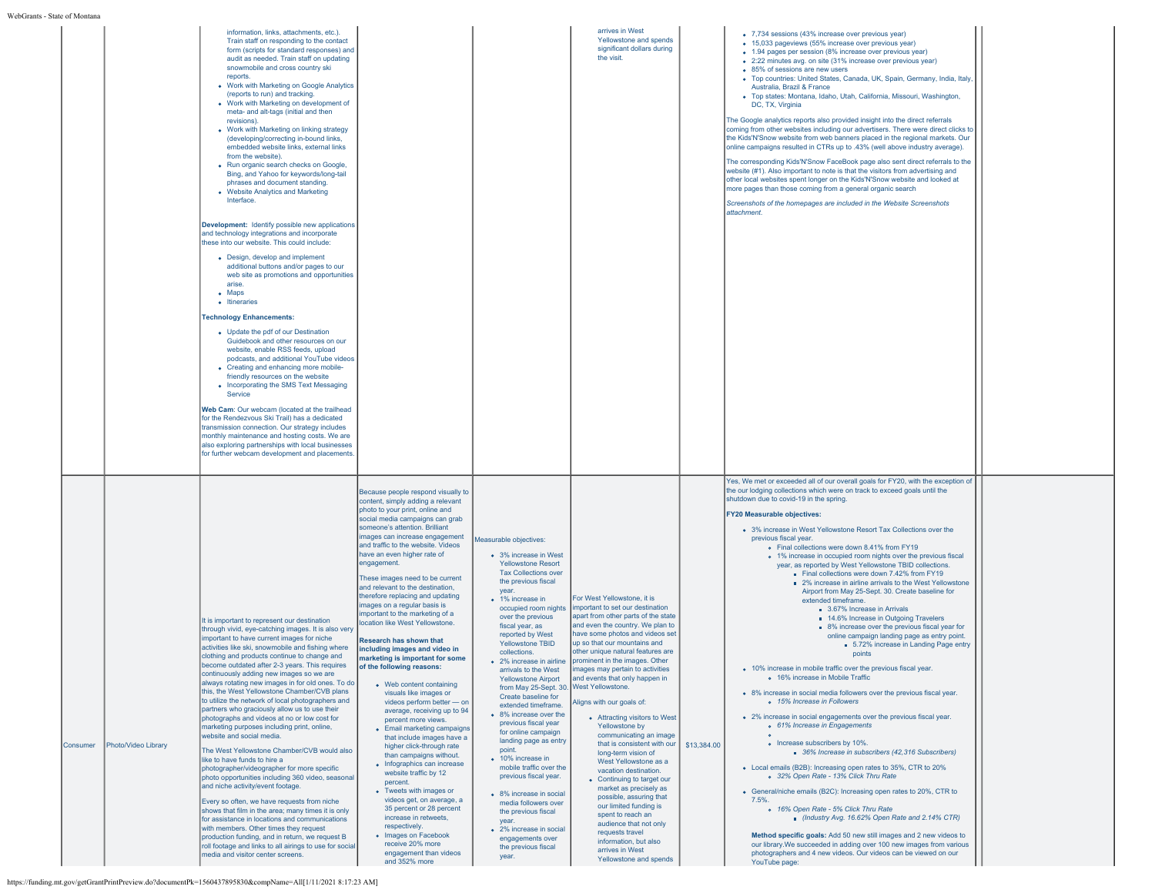|          |                     | information, links, attachments, etc.).<br>Train staff on responding to the contact<br>form (scripts for standard responses) and<br>audit as needed. Train staff on updating<br>snowmobile and cross country ski<br>reports.<br>• Work with Marketing on Google Analytics<br>(reports to run) and tracking.<br>• Work with Marketing on development of<br>meta- and alt-tags (initial and then<br>revisions)<br>• Work with Marketing on linking strategy<br>(developing/correcting in-bound links,<br>embedded website links, external links<br>from the website).<br>• Run organic search checks on Google,<br>Bing, and Yahoo for keywords/long-tail<br>phrases and document standing.<br>• Website Analytics and Marketing<br>Interface.<br>Development: Identify possible new applications<br>and technology integrations and incorporate<br>these into our website. This could include:<br>• Design, develop and implement<br>additional buttons and/or pages to our<br>web site as promotions and opportunities<br>arise.<br>$\bullet$ Maps<br>• Itineraries<br><b>Technology Enhancements:</b><br>• Update the pdf of our Destination<br>Guidebook and other resources on our<br>website, enable RSS feeds, upload<br>podcasts, and additional YouTube videos<br>• Creating and enhancing more mobile-<br>friendly resources on the website<br>• Incorporating the SMS Text Messaging<br>Service<br>Web Cam: Our webcam (located at the trailhead<br>for the Rendezvous Ski Trail) has a dedicated<br>transmission connection. Our strategy includes<br>monthly maintenance and hosting costs. We are<br>also exploring partnerships with local businesses<br>for further webcam development and placements. |                                                                                                                                                                                                                                                                                                                                                                                                                                                                                                                                                                                                                                                                                                                                                                                                                                                                                                                                                                                                                                                                                                                                                                                                            |                                                                                                                                                                                                                                                                                                                                                                                                                                                                                                                                                                                                                                                                                                                                                    | arrives in West<br>Yellowstone and spends<br>significant dollars during<br>the visit.                                                                                                                                                                                                                                                                                                                                                                                                                                                                                                                                                                                                                                                                                                                                                                                                                         |             | • 7,734 sessions (43% increase over previous year)<br>• 15,033 pageviews (55% increase over previous year)<br>• 1.94 pages per session (8% increase over previous year)<br>• 2:22 minutes avg. on site (31% increase over previous year)<br>• 85% of sessions are new users<br>· Top countries: United States, Canada, UK, Spain, Germany, India, Italy,<br>Australia, Brazil & France<br>· Top states: Montana, Idaho, Utah, California, Missouri, Washington,<br>DC, TX, Virginia<br>The Google analytics reports also provided insight into the direct referrals<br>coming from other websites including our advertisers. There were direct clicks to<br>the Kids'N'Snow website from web banners placed in the regional markets. Our<br>online campaigns resulted in CTRs up to .43% (well above industry average).<br>The corresponding Kids'N'Snow FaceBook page also sent direct referrals to the<br>website (#1). Also important to note is that the visitors from advertising and<br>other local websites spent longer on the Kids'N'Snow website and looked at<br>more pages than those coming from a general organic search<br>Screenshots of the homepages are included in the Website Screenshots<br>attachment.                                                                                                                                                                                                                                                                                                                                                                                                                                                                                                                                                                                                                                              |  |
|----------|---------------------|----------------------------------------------------------------------------------------------------------------------------------------------------------------------------------------------------------------------------------------------------------------------------------------------------------------------------------------------------------------------------------------------------------------------------------------------------------------------------------------------------------------------------------------------------------------------------------------------------------------------------------------------------------------------------------------------------------------------------------------------------------------------------------------------------------------------------------------------------------------------------------------------------------------------------------------------------------------------------------------------------------------------------------------------------------------------------------------------------------------------------------------------------------------------------------------------------------------------------------------------------------------------------------------------------------------------------------------------------------------------------------------------------------------------------------------------------------------------------------------------------------------------------------------------------------------------------------------------------------------------------------------------------------------------------------------------------------------------|------------------------------------------------------------------------------------------------------------------------------------------------------------------------------------------------------------------------------------------------------------------------------------------------------------------------------------------------------------------------------------------------------------------------------------------------------------------------------------------------------------------------------------------------------------------------------------------------------------------------------------------------------------------------------------------------------------------------------------------------------------------------------------------------------------------------------------------------------------------------------------------------------------------------------------------------------------------------------------------------------------------------------------------------------------------------------------------------------------------------------------------------------------------------------------------------------------|----------------------------------------------------------------------------------------------------------------------------------------------------------------------------------------------------------------------------------------------------------------------------------------------------------------------------------------------------------------------------------------------------------------------------------------------------------------------------------------------------------------------------------------------------------------------------------------------------------------------------------------------------------------------------------------------------------------------------------------------------|---------------------------------------------------------------------------------------------------------------------------------------------------------------------------------------------------------------------------------------------------------------------------------------------------------------------------------------------------------------------------------------------------------------------------------------------------------------------------------------------------------------------------------------------------------------------------------------------------------------------------------------------------------------------------------------------------------------------------------------------------------------------------------------------------------------------------------------------------------------------------------------------------------------|-------------|----------------------------------------------------------------------------------------------------------------------------------------------------------------------------------------------------------------------------------------------------------------------------------------------------------------------------------------------------------------------------------------------------------------------------------------------------------------------------------------------------------------------------------------------------------------------------------------------------------------------------------------------------------------------------------------------------------------------------------------------------------------------------------------------------------------------------------------------------------------------------------------------------------------------------------------------------------------------------------------------------------------------------------------------------------------------------------------------------------------------------------------------------------------------------------------------------------------------------------------------------------------------------------------------------------------------------------------------------------------------------------------------------------------------------------------------------------------------------------------------------------------------------------------------------------------------------------------------------------------------------------------------------------------------------------------------------------------------------------------------------------------------------------------------------------------------------------------------------------------------------|--|
| Consumer | Photo/Video Library | It is important to represent our destination<br>through vivid, eye-catching images. It is also very<br>important to have current images for niche<br>activities like ski, snowmobile and fishing where<br>clothing and products continue to change and<br>become outdated after 2-3 years. This requires<br>continuously adding new images so we are<br>always rotating new images in for old ones. To do<br>this, the West Yellowstone Chamber/CVB plans<br>to utilize the network of local photographers and<br>partners who graciously allow us to use their<br>photographs and videos at no or low cost for<br>marketing purposes including print, online,<br>website and social media.<br>The West Yellowstone Chamber/CVB would also<br>like to have funds to hire a<br>photographer/videographer for more specific<br>photo opportunities including 360 video, seasonal<br>and niche activity/event footage.<br>Every so often, we have requests from niche<br>shows that film in the area; many times it is only<br>for assistance in locations and communications<br>with members. Other times they request<br>production funding, and in return, we request B<br>roll footage and links to all airings to use for social<br>media and visitor center screens.                                                                                                                                                                                                                                                                                                                                                                                                                                              | Because people respond visually to<br>content, simply adding a relevant<br>photo to your print, online and<br>social media campaigns can grab<br>someone's attention. Brilliant<br>images can increase engagement<br>and traffic to the website. Videos<br>have an even higher rate of<br>engagement.<br>These images need to be current<br>and relevant to the destination,<br>therefore replacing and updating<br>images on a regular basis is<br>important to the marketing of a<br>location like West Yellowstone.<br>Research has shown that<br>including images and video in<br>marketing is important for some<br>of the following reasons:<br>• Web content containing<br>visuals like images or<br>videos perform better - on<br>average, receiving up to 94<br>percent more views.<br>• Email marketing campaigns<br>that include images have a<br>higher click-through rate<br>than campaigns without.<br>• Infographics can increase<br>website traffic by 12<br>percent.<br>• Tweets with images or<br>videos get, on average, a<br>35 percent or 28 percent<br>increase in retweets,<br>respectively.<br>• Images on Facebook<br>receive 20% more<br>engagement than videos<br>and 352% more | Measurable objectives:<br>• 3% increase in West<br><b>Yellowstone Resort</b><br><b>Tax Collections over</b><br>the previous fiscal<br>vear.<br>• 1% increase in<br>occupied room nights<br>over the previous<br>fiscal year, as<br>reported by West<br>Yellowstone TBID<br>collections.<br><b>Yellowstone Airport</b><br>from May 25-Sept. 30.<br>Create baseline for<br>extended timeframe.<br>• 8% increase over the<br>previous fiscal year<br>for online campaign<br>landing page as entry<br>point.<br>• 10% increase in<br>mobile traffic over the<br>previous fiscal year.<br>• 8% increase in social<br>media followers over<br>the previous fiscal<br>vear<br>• 2% increase in social<br>engagements over<br>the previous fiscal<br>year. | For West Yellowstone, it is<br>important to set our destination<br>apart from other parts of the state<br>and even the country. We plan to<br>have some photos and videos set<br>up so that our mountains and<br>other unique natural features are<br>• 2% increase in airline prominent in the images. Other<br>arrivals to the West   images may pertain to activities<br>and events that only happen in<br><b>West Yellowstone.</b><br>Aligns with our goals of:<br>• Attracting visitors to West<br>Yellowstone by<br>communicating an image<br>that is consistent with our<br>long-term vision of<br>West Yellowstone as a<br>vacation destination.<br>• Continuing to target our<br>market as precisely as<br>possible, assuring that<br>our limited funding is<br>spent to reach an<br>audience that not only<br>requests travel<br>information, but also<br>arrives in West<br>Yellowstone and spends | \$13,384.00 | Yes, We met or exceeded all of our overall goals for FY20, with the exception of<br>the our lodging collections which were on track to exceed goals until the<br>shutdown due to covid-19 in the spring.<br><b>FY20 Measurable objectives:</b><br>• 3% increase in West Yellowstone Resort Tax Collections over the<br>previous fiscal year.<br>. Final collections were down 8.41% from FY19<br>• 1% increase in occupied room nights over the previous fiscal<br>year, as reported by West Yellowstone TBID collections.<br>Final collections were down 7.42% from FY19<br>2% increase in airline arrivals to the West Yellowstone<br>Airport from May 25-Sept. 30. Create baseline for<br>extended timeframe<br>3.67% Increase in Arrivals<br>14.6% Increase in Outgoing Travelers<br>8% increase over the previous fiscal year for<br>online campaign landing page as entry point.<br>5.72% increase in Landing Page entry<br>points<br>• 10% increase in mobile traffic over the previous fiscal year.<br>o 16% increase in Mobile Traffic<br>• 8% increase in social media followers over the previous fiscal year.<br>o 15% Increase in Followers<br>• 2% increase in social engagements over the previous fiscal year.<br>o 61% Increase in Engagements<br>o Increase subscribers by 10%.<br>36% Increase in subscribers (42,316 Subscribers)<br>• Local emails (B2B): Increasing open rates to 35%. CTR to 20%<br>o 32% Open Rate - 13% Click Thru Rate<br>• General/niche emails (B2C): Increasing open rates to 20%, CTR to<br>7.5%.<br>o 16% Open Rate - 5% Click Thru Rate<br>Industry Avg. 16.62% Open Rate and 2.14% CTR)<br>Method specific goals: Add 50 new still images and 2 new videos to<br>our library. We succeeded in adding over 100 new images from various<br>photographers and 4 new videos. Our videos can be viewed on our<br>YouTube page: |  |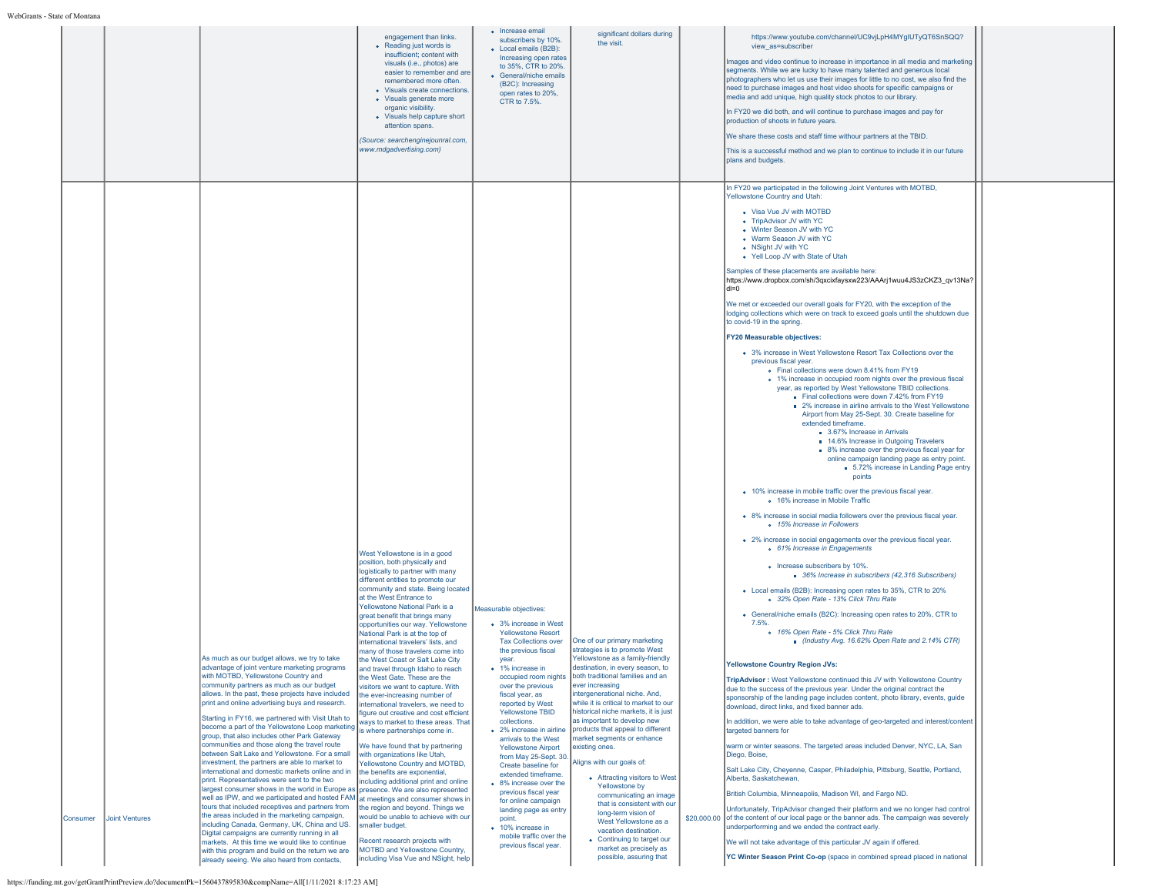|          |                       |                                                                                                                                                                                                                                                                                                                                                                                                                                                                                                                                                                                                                                                                                                                                                                                                                                                                                                                                                                                         | engagement than links.<br>• Reading just words is<br>insufficient; content with<br>visuals (i.e., photos) are<br>easier to remember and are<br>remembered more often.<br>• Visuals create connections.<br>• Visuals generate more<br>organic visibility.<br>• Visuals help capture short<br>attention spans.<br>(Source: searchenginejounral.com,<br>www.mdgadvertising.com)                                                                                                                                                                                                                                                                                                                                                                                                                                                                                                                                                                                                                                                         | • Increase email<br>subscribers by 10%.<br>• Local emails (B2B):<br>Increasing open rates<br>to 35%, CTR to 20%.<br>• General/niche emails<br>(B2C): Increasing<br>open rates to 20%,<br>CTR to 7.5%.                                                                                                                                                                                                                                                                                                                               | significant dollars during<br>the visit.                                                                                                                                                                                                                                                                                                                                                                                                                                                                                                                                                                                  | https://www.youtube.com/channel/UC9vjLpH4MYqIUTyQT6SnSQQ?<br>view as=subscriber<br>Images and video continue to increase in importance in all media and marketing<br>segments. While we are lucky to have many talented and generous local<br>photographers who let us use their images for little to no cost, we also find the<br>need to purchase images and host video shoots for specific campaigns or<br>media and add unique, high quality stock photos to our library.<br>In FY20 we did both, and will continue to purchase images and pay for<br>production of shoots in future years.<br>We share these costs and staff time withour partners at the TBID.<br>This is a successful method and we plan to continue to include it in our future<br>plans and budgets.                                                                                                                                                                                                                                                                                                                                                                                                                                                                                                                                                                                                                                                                                                                                                                                                                                                                                                                                                                                                                                                                                                                                                                                                                                                                                                                                                                                                                                                                                                                                                                                                                                                                                                                                                                                                                                                                                                                                                                                                                                                                                                                                                                               |  |
|----------|-----------------------|-----------------------------------------------------------------------------------------------------------------------------------------------------------------------------------------------------------------------------------------------------------------------------------------------------------------------------------------------------------------------------------------------------------------------------------------------------------------------------------------------------------------------------------------------------------------------------------------------------------------------------------------------------------------------------------------------------------------------------------------------------------------------------------------------------------------------------------------------------------------------------------------------------------------------------------------------------------------------------------------|--------------------------------------------------------------------------------------------------------------------------------------------------------------------------------------------------------------------------------------------------------------------------------------------------------------------------------------------------------------------------------------------------------------------------------------------------------------------------------------------------------------------------------------------------------------------------------------------------------------------------------------------------------------------------------------------------------------------------------------------------------------------------------------------------------------------------------------------------------------------------------------------------------------------------------------------------------------------------------------------------------------------------------------|-------------------------------------------------------------------------------------------------------------------------------------------------------------------------------------------------------------------------------------------------------------------------------------------------------------------------------------------------------------------------------------------------------------------------------------------------------------------------------------------------------------------------------------|---------------------------------------------------------------------------------------------------------------------------------------------------------------------------------------------------------------------------------------------------------------------------------------------------------------------------------------------------------------------------------------------------------------------------------------------------------------------------------------------------------------------------------------------------------------------------------------------------------------------------|-------------------------------------------------------------------------------------------------------------------------------------------------------------------------------------------------------------------------------------------------------------------------------------------------------------------------------------------------------------------------------------------------------------------------------------------------------------------------------------------------------------------------------------------------------------------------------------------------------------------------------------------------------------------------------------------------------------------------------------------------------------------------------------------------------------------------------------------------------------------------------------------------------------------------------------------------------------------------------------------------------------------------------------------------------------------------------------------------------------------------------------------------------------------------------------------------------------------------------------------------------------------------------------------------------------------------------------------------------------------------------------------------------------------------------------------------------------------------------------------------------------------------------------------------------------------------------------------------------------------------------------------------------------------------------------------------------------------------------------------------------------------------------------------------------------------------------------------------------------------------------------------------------------------------------------------------------------------------------------------------------------------------------------------------------------------------------------------------------------------------------------------------------------------------------------------------------------------------------------------------------------------------------------------------------------------------------------------------------------------------------------------------------------------------------------------------------------------------------------------------------------------------------------------------------------------------------------------------------------------------------------------------------------------------------------------------------------------------------------------------------------------------------------------------------------------------------------------------------------------------------------------------------------------------------------------------------------|--|
| Consumer | <b>Joint Ventures</b> | As much as our budget allows, we try to take<br>advantage of joint venture marketing programs<br>with MOTBD, Yellowstone Country and<br>community partners as much as our budget<br>allows. In the past, these projects have included<br>print and online advertising buys and research.<br>Starting in FY16, we partnered with Visit Utah to<br>become a part of the Yellowstone Loop marketing<br>group, that also includes other Park Gateway<br>communities and those along the travel route<br>between Salt Lake and Yellowstone. For a small<br>investment, the partners are able to market to<br>international and domestic markets online and in<br>print. Representatives were sent to the two<br>largest consumer shows in the world in Europe as presence. We are also represented<br>well as IPW, and we participated and hosted FAM at meetings and consumer shows in<br>tours that included receptives and partners from<br>the areas included in the marketing campaign, | West Yellowstone is in a good<br>position, both physically and<br>logistically to partner with many<br>different entities to promote our<br>community and state. Being located<br>at the West Entrance to<br>Yellowstone National Park is a<br>great benefit that brings many<br>opportunities our way. Yellowstone<br>National Park is at the top of<br>international travelers' lists, and<br>many of those travelers come into<br>the West Coast or Salt Lake City<br>and travel through Idaho to reach<br>the West Gate. These are the<br>isitors we want to capture. With<br>the ever-increasing number of<br>nternational travelers, we need to<br>figure out creative and cost efficient<br>ways to market to these areas. That<br>is where partnerships come in.<br>We have found that by partnering<br>with organizations like Utah,<br>Yellowstone Country and MOTBD,<br>the benefits are exponential,<br>including additional print and online<br>the region and beyond. Things we<br>would be unable to achieve with our | Measurable objectives:<br>• 3% increase in West<br><b>Yellowstone Resort</b><br><b>Tax Collections over</b><br>the previous fiscal<br>year.<br>• 1% increase in<br>over the previous<br>fiscal year, as<br>reported by West<br>Yellowstone TBID<br>collections.<br>• 2% increase in airline<br>arrivals to the West<br><b>Yellowstone Airport</b><br>from May 25-Sept. 30<br>Create baseline for<br>extended timeframe.<br>• 8% increase over the<br>previous fiscal year<br>for online campaign<br>landing page as entry<br>point. | One of our primary marketing<br>strategies is to promote West<br>Yellowstone as a family-friendly<br>destination, in every season, to<br>occupied room nights   both traditional families and an<br>ever increasing<br>intergenerational niche. And,<br>while it is critical to market to our<br>historical niche markets, it is just<br>as important to develop new<br>products that appeal to different<br>market segments or enhance<br>existing ones.<br>Aligns with our goals of:<br>• Attracting visitors to West<br>Yellowstone by<br>communicating an image<br>that is consistent with our<br>long-term vision of | In FY20 we participated in the following Joint Ventures with MOTBD,<br>Yellowstone Country and Utah:<br>• Visa Vue JV with MOTBD<br>• TripAdvisor JV with YC<br>• Winter Season JV with YC<br>• Warm Season JV with YC<br>• NSight JV with YC<br>• Yell Loop JV with State of Utah<br>Samples of these placements are available here:<br>https://www.dropbox.com/sh/3qxcixfaysxw223/AAArj1wuu4JS3zCKZ3_qv13Na?<br>$dl = 0$<br>We met or exceeded our overall goals for FY20, with the exception of the<br>lodging collections which were on track to exceed goals until the shutdown due<br>to covid-19 in the spring.<br><b>FY20 Measurable objectives:</b><br>• 3% increase in West Yellowstone Resort Tax Collections over the<br>previous fiscal year.<br>. Final collections were down 8.41% from FY19<br>• 1% increase in occupied room nights over the previous fiscal<br>vear, as reported by West Yellowstone TBID collections.<br>Final collections were down 7.42% from FY19<br>2% increase in airline arrivals to the West Yellowstone<br>Airport from May 25-Sept. 30. Create baseline for<br>extended timeframe.<br>3.67% Increase in Arrivals<br>14.6% Increase in Outgoing Travelers<br>8% increase over the previous fiscal year for<br>online campaign landing page as entry point.<br>5.72% increase in Landing Page entry<br>points<br>• 10% increase in mobile traffic over the previous fiscal year.<br>o 16% increase in Mobile Traffic<br>• 8% increase in social media followers over the previous fiscal year.<br>o 15% Increase in Followers<br>• 2% increase in social engagements over the previous fiscal year.<br>o 61% Increase in Engagements<br>• Increase subscribers by 10%.<br>36% Increase in subscribers (42,316 Subscribers)<br>• Local emails (B2B): Increasing open rates to 35%, CTR to 20%<br>o 32% Open Rate - 13% Click Thru Rate<br>• General/niche emails (B2C): Increasing open rates to 20%, CTR to<br>7.5%.<br>o 16% Open Rate - 5% Click Thru Rate<br>Industry Avg. 16.62% Open Rate and 2.14% CTR)<br><b>Yellowstone Country Region JVs:</b><br>TripAdvisor: West Yellowstone continued this JV with Yellowstone Country<br>due to the success of the previous year. Under the original contract the<br>sponsorship of the landing page includes content, photo library, events, guide<br>download, direct links, and fixed banner ads.<br>In addition, we were able to take advantage of geo-targeted and interest/content<br>targeted banners for<br>warm or winter seasons. The targeted areas included Denver, NYC, LA, San<br>Diego, Boise,<br>Salt Lake City, Cheyenne, Casper, Philadelphia, Pittsburg, Seattle, Portland,<br>Alberta, Saskatchewan,<br>British Columbia, Minneapolis, Madison WI, and Fargo ND.<br>Unfortunately. TripAdvisor changed their platform and we no longer had control<br>\$20,000.00 of the content of our local page or the banner ads. The campaign was severely |  |
|          |                       | including Canada, Germany, UK, China and US.<br>Digital campaigns are currently running in all<br>markets. At this time we would like to continue<br>with this program and build on the return we are<br>already seeing. We also heard from contacts,                                                                                                                                                                                                                                                                                                                                                                                                                                                                                                                                                                                                                                                                                                                                   | smaller budget.<br>Recent research projects with<br>MOTBD and Yellowstone Country,<br>including Visa Vue and NSight, help                                                                                                                                                                                                                                                                                                                                                                                                                                                                                                                                                                                                                                                                                                                                                                                                                                                                                                            | • 10% increase in<br>mobile traffic over the<br>previous fiscal year.                                                                                                                                                                                                                                                                                                                                                                                                                                                               | West Yellowstone as a<br>vacation destination.<br>• Continuing to target our<br>market as precisely as<br>possible, assuring that                                                                                                                                                                                                                                                                                                                                                                                                                                                                                         | underperforming and we ended the contract early.<br>We will not take advantage of this particular JV again if offered.<br>YC Winter Season Print Co-op (space in combined spread placed in national                                                                                                                                                                                                                                                                                                                                                                                                                                                                                                                                                                                                                                                                                                                                                                                                                                                                                                                                                                                                                                                                                                                                                                                                                                                                                                                                                                                                                                                                                                                                                                                                                                                                                                                                                                                                                                                                                                                                                                                                                                                                                                                                                                                                                                                                                                                                                                                                                                                                                                                                                                                                                                                                                                                                                         |  |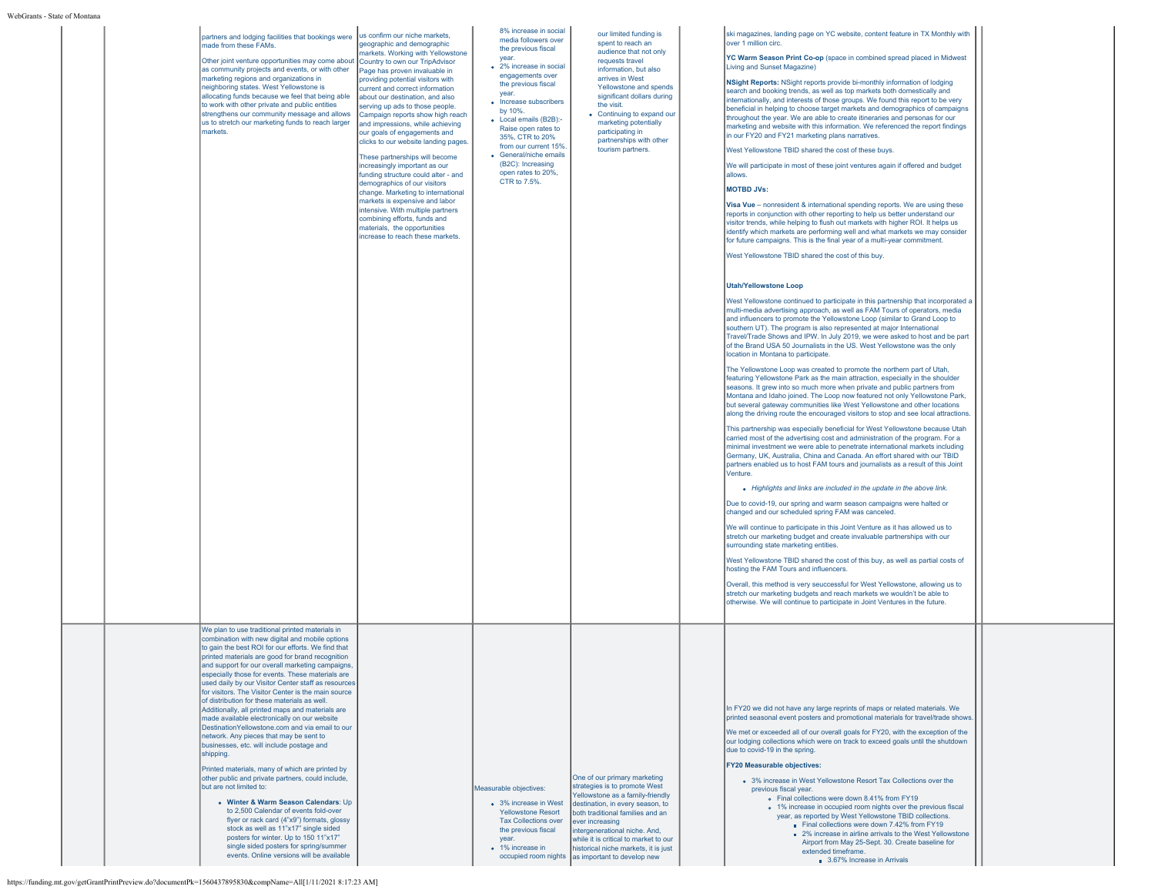|  | partners and lodging facilities that bookings were<br>made from these FAMs.<br>Other joint venture opportunities may come about Country to own our TripAdvisor<br>as community projects and events, or with other<br>marketing regions and organizations in<br>neighboring states. West Yellowstone is<br>allocating funds because we feel that being able<br>to work with other private and public entities<br>strengthens our community message and allows<br>us to stretch our marketing funds to reach larger<br>markets.                                                                                                                                                                                                                                                                                                                                                                                                                                                                                                                                                                                                                                                              | us confirm our niche markets,<br>geographic and demographic<br>markets. Working with Yellowstone<br>Page has proven invaluable in<br>providing potential visitors with<br>current and correct information<br>about our destination, and also<br>serving up ads to those people.<br>Campaign reports show high reach<br>and impressions, while achieving<br>our goals of engagements and<br>clicks to our website landing pages.<br>These partnerships will become<br>increasingly important as our<br>funding structure could alter - and<br>demographics of our visitors<br>change. Marketing to international<br>markets is expensive and labor<br>intensive. With multiple partners<br>combining efforts, funds and<br>materials, the opportunities<br>increase to reach these markets. | 8% increase in social<br>media followers over<br>the previous fiscal<br>year.<br>• 2% increase in social<br>engagements over<br>the previous fiscal<br>year.<br>• Increase subscribers<br>by 10%.<br>• Local emails (B2B):-<br>Raise open rates to<br>35%, CTR to 20%<br>from our current 15%.<br>• General/niche emails<br>(B2C): Increasing<br>open rates to 20%.<br>CTR to 7.5%. | our limited funding is<br>spent to reach an<br>audience that not only<br>requests travel<br>information, but also<br>arrives in West<br>Yellowstone and spends<br>significant dollars during<br>the visit.<br>• Continuing to expand our<br>marketing potentially<br>participating in<br>partnerships with other<br>tourism partners.         | ski magazines, landing page on YC website, content feature in TX Monthly with<br>over 1 million circ.<br>YC Warm Season Print Co-op (space in combined spread placed in Midwest<br>Living and Sunset Magazine)<br>NSight Reports: NSight reports provide bi-monthly information of lodging<br>search and booking trends, as well as top markets both domestically and<br>internationally, and interests of those groups. We found this report to be very<br>beneficial in helping to choose target markets and demographics of campaigns<br>throughout the year. We are able to create itineraries and personas for our<br>marketing and website with this information. We referenced the report findings<br>in our FY20 and FY21 marketing plans narratives.<br>West Yellowstone TBID shared the cost of these buys.<br>We will participate in most of these joint ventures again if offered and budget<br>allows.<br><b>MOTBD JVs:</b><br>Visa Vue - nonresident & international spending reports. We are using these<br>reports in conjunction with other reporting to help us better understand our<br>visitor trends, while helping to flush out markets with higher ROI. It helps us<br>identify which markets are performing well and what markets we may consider<br>for future campaigns. This is the final year of a multi-year commitment.<br>West Yellowstone TBID shared the cost of this buy.<br><b>Utah/Yellowstone Loop</b><br>West Yellowstone continued to participate in this partnership that incorporated a<br>multi-media advertising approach, as well as FAM Tours of operators, media<br>and influencers to promote the Yellowstone Loop (similar to Grand Loop to<br>southern UT). The program is also represented at major International<br>Travel/Trade Shows and IPW. In July 2019, we were asked to host and be part<br>of the Brand USA 50 Journalists in the US. West Yellowstone was the only<br>location in Montana to participate.<br>The Yellowstone Loop was created to promote the northern part of Utah.<br>featuring Yellowstone Park as the main attraction, especially in the shoulder<br>seasons. It grew into so much more when private and public partners from<br>Montana and Idaho joined. The Loop now featured not only Yellowstone Park,<br>but several gateway communities like West Yellowstone and other locations<br>along the driving route the encouraged visitors to stop and see local attractions.<br>This partnership was especially beneficial for West Yellowstone because Utah<br>carried most of the advertising cost and administration of the program. For a<br>minimal investment we were able to penetrate international markets including<br>Germany, UK, Australia, China and Canada. An effort shared with our TBID<br>partners enabled us to host FAM tours and journalists as a result of this Joint<br>Venture.<br>• Highlights and links are included in the update in the above link.<br>Due to covid-19, our spring and warm season campaigns were halted or<br>changed and our scheduled spring FAM was canceled.<br>We will continue to participate in this Joint Venture as it has allowed us to<br>stretch our marketing budget and create invaluable partnerships with our<br>surrounding state marketing entities.<br>West Yellowstone TBID shared the cost of this buy, as well as partial costs of<br>hosting the FAM Tours and influencers.<br>Overall, this method is very seuccessful for West Yellowstone, allowing us to<br>stretch our marketing budgets and reach markets we wouldn't be able to<br>otherwise. We will continue to participate in Joint Ventures in the future. |  |
|--|--------------------------------------------------------------------------------------------------------------------------------------------------------------------------------------------------------------------------------------------------------------------------------------------------------------------------------------------------------------------------------------------------------------------------------------------------------------------------------------------------------------------------------------------------------------------------------------------------------------------------------------------------------------------------------------------------------------------------------------------------------------------------------------------------------------------------------------------------------------------------------------------------------------------------------------------------------------------------------------------------------------------------------------------------------------------------------------------------------------------------------------------------------------------------------------------|--------------------------------------------------------------------------------------------------------------------------------------------------------------------------------------------------------------------------------------------------------------------------------------------------------------------------------------------------------------------------------------------------------------------------------------------------------------------------------------------------------------------------------------------------------------------------------------------------------------------------------------------------------------------------------------------------------------------------------------------------------------------------------------------|-------------------------------------------------------------------------------------------------------------------------------------------------------------------------------------------------------------------------------------------------------------------------------------------------------------------------------------------------------------------------------------|-----------------------------------------------------------------------------------------------------------------------------------------------------------------------------------------------------------------------------------------------------------------------------------------------------------------------------------------------|-----------------------------------------------------------------------------------------------------------------------------------------------------------------------------------------------------------------------------------------------------------------------------------------------------------------------------------------------------------------------------------------------------------------------------------------------------------------------------------------------------------------------------------------------------------------------------------------------------------------------------------------------------------------------------------------------------------------------------------------------------------------------------------------------------------------------------------------------------------------------------------------------------------------------------------------------------------------------------------------------------------------------------------------------------------------------------------------------------------------------------------------------------------------------------------------------------------------------------------------------------------------------------------------------------------------------------------------------------------------------------------------------------------------------------------------------------------------------------------------------------------------------------------------------------------------------------------------------------------------------------------------------------------------------------------------------------------------------------------------------------------------------------------------------------------------------------------------------------------------------------------------------------------------------------------------------------------------------------------------------------------------------------------------------------------------------------------------------------------------------------------------------------------------------------------------------------------------------------------------------------------------------------------------------------------------------------------------------------------------------------------------------------------------------------------------------------------------------------------------------------------------------------------------------------------------------------------------------------------------------------------------------------------------------------------------------------------------------------------------------------------------------------------------------------------------------------------------------------------------------------------------------------------------------------------------------------------------------------------------------------------------------------------------------------------------------------------------------------------------------------------------------------------------------------------------------------------------------------------------------------------------------------------------------------------------------------------------------------------------------------------------------------------------------------------------------------------------------------------------------------------------------------------------------------------------------------------------------------------------------------------------------------------------------------|--|
|  | We plan to use traditional printed materials in<br>combination with new digital and mobile options<br>to gain the best ROI for our efforts. We find that<br>printed materials are good for brand recognition<br>and support for our overall marketing campaigns,<br>especially those for events. These materials are<br>used daily by our Visitor Center staff as resources<br>for visitors. The Visitor Center is the main source<br>of distribution for these materials as well.<br>Additionally, all printed maps and materials are<br>made available electronically on our website<br>Destination Yellowstone.com and via email to our<br>network. Any pieces that may be sent to<br>businesses, etc. will include postage and<br>shipping.<br>Printed materials, many of which are printed by<br>other public and private partners, could include,<br>but are not limited to:<br>• Winter & Warm Season Calendars: Up<br>to 2,500 Calendar of events fold-over<br>flyer or rack card (4"x9") formats, glossy<br>stock as well as 11"x17" single sided<br>posters for winter. Up to 150 11"x17"<br>single sided posters for spring/summer<br>events. Online versions will be available |                                                                                                                                                                                                                                                                                                                                                                                                                                                                                                                                                                                                                                                                                                                                                                                            | Measurable objectives:<br>• 3% increase in West<br><b>Yellowstone Resort</b><br><b>Tax Collections over</b><br>the previous fiscal<br>vear.<br>• 1% increase in<br>occupied room nights                                                                                                                                                                                             | One of our primary marketing<br>strategies is to promote West<br>Yellowstone as a family-friendly<br>destination, in every season, to<br>both traditional families and an<br>ever increasing<br>intergenerational niche. And,<br>while it is critical to market to our<br>historical niche markets, it is just<br>as important to develop new | In FY20 we did not have any large reprints of maps or related materials. We<br>printed seasonal event posters and promotional materials for travel/trade shows.<br>We met or exceeded all of our overall goals for FY20, with the exception of the<br>our lodging collections which were on track to exceed goals until the shutdown<br>due to covid-19 in the spring.<br><b>FY20 Measurable objectives:</b><br>• 3% increase in West Yellowstone Resort Tax Collections over the<br>previous fiscal year.<br>. Final collections were down 8.41% from FY19<br>• 1% increase in occupied room nights over the previous fiscal<br>year, as reported by West Yellowstone TBID collections.<br>Final collections were down 7.42% from FY19<br>■ 2% increase in airline arrivals to the West Yellowstone<br>Airport from May 25-Sept. 30. Create baseline for<br>extended timeframe.<br>3.67% Increase in Arrivals                                                                                                                                                                                                                                                                                                                                                                                                                                                                                                                                                                                                                                                                                                                                                                                                                                                                                                                                                                                                                                                                                                                                                                                                                                                                                                                                                                                                                                                                                                                                                                                                                                                                                                                                                                                                                                                                                                                                                                                                                                                                                                                                                                                                                                                                                                                                                                                                                                                                                                                                                                                                                                                                                                                                                              |  |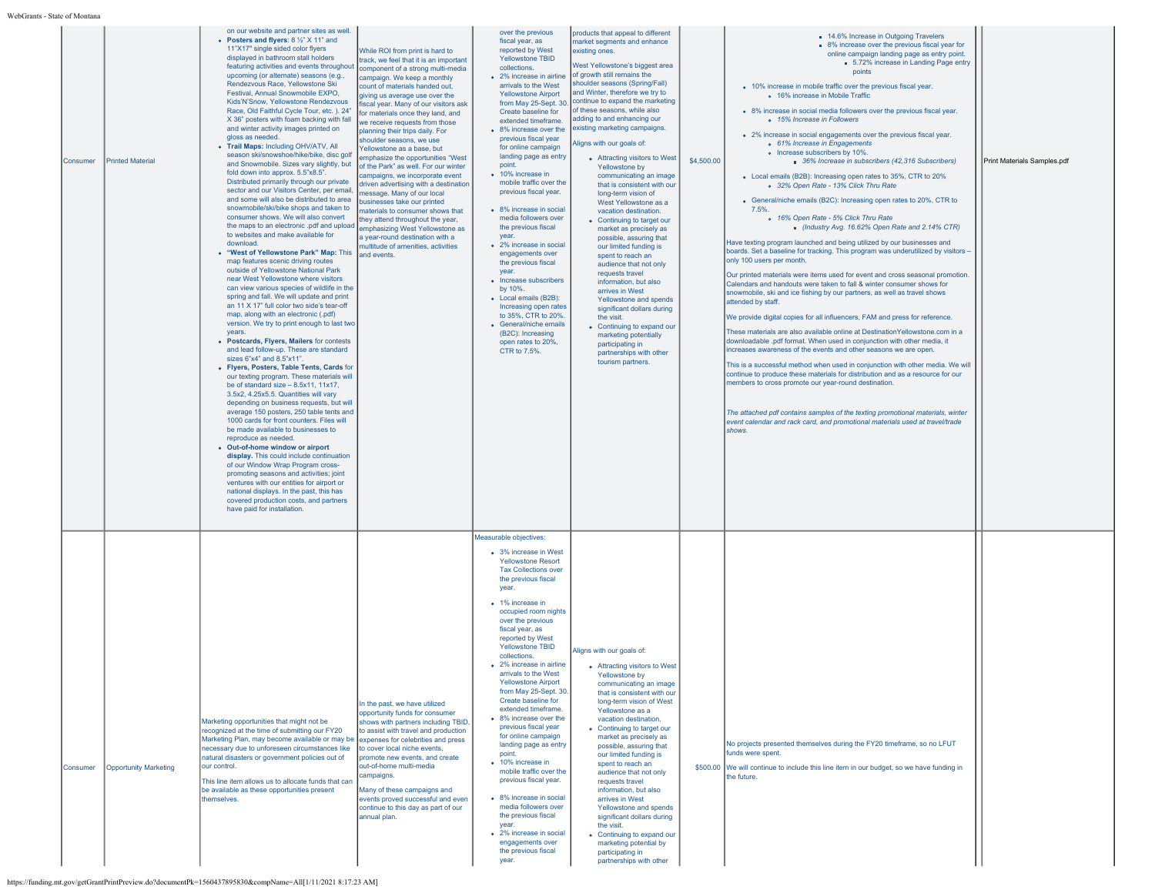| Consumer | <b>Printed Material</b> |                              | on our website and partner sites as well.<br>• Posters and flyers: 8 1/2" X 11" and<br>11"X17" single sided color flyers<br>displayed in bathroom stall holders<br>featuring activities and events throughout<br>upcoming (or alternate) seasons (e.g.,<br>Rendezvous Race, Yellowstone Ski<br>Festival, Annual Snowmobile EXPO,<br>Kids'N'Snow, Yellowstone Rendezvous<br>Race, Old Faithful Cycle Tour, etc.). 24"<br>X 36" posters with foam backing with fall<br>and winter activity images printed on<br>gloss as needed.<br>• Trail Maps: Including OHV/ATV, All<br>season ski/snowshoe/hike/bike, disc golf<br>and Snowmobile. Sizes vary slightly, but<br>fold down into approx. 5.5"x8.5".<br>Distributed primarily through our private<br>sector and our Visitors Center, per email.<br>and some will also be distributed to area<br>snowmobile/ski/bike shops and taken to<br>consumer shows. We will also convert<br>the maps to an electronic .pdf and upload<br>to websites and make available for<br>download<br>• "West of Yellowstone Park" Map: This and events.<br>map features scenic driving routes<br>outside of Yellowstone National Park<br>near West Yellowstone where visitors<br>can view various species of wildlife in the<br>spring and fall. We will update and print<br>an 11 X 17" full color two side's tear-off<br>map, along with an electronic (.pdf)<br>version. We try to print enough to last two<br>years.<br>• Postcards, Fivers, Mailers for contests<br>and lead follow-up. These are standard<br>sizes 6"x4" and 8.5"x11".<br>• Flyers, Posters, Table Tents, Cards for<br>our texting program. These materials will<br>be of standard size $-8.5x11$ . 11x17.<br>3.5x2, 4.25x5.5. Quantities will vary<br>depending on business requests, but will<br>average 150 posters, 250 table tents and<br>1000 cards for front counters. Files will<br>be made available to businesses to<br>reproduce as needed.<br>• Out-of-home window or airport<br>display. This could include continuation<br>of our Window Wrap Program cross-<br>promoting seasons and activities; joint<br>ventures with our entities for airport or<br>national displays. In the past, this has<br>covered production costs, and partners<br>have paid for installation. | While ROI from print is hard to<br>track, we feel that it is an important<br>component of a strong multi-media<br>campaign. We keep a monthly<br>count of materials handed out,<br>giving us average use over the<br>fiscal year. Many of our visitors ask<br>for materials once they land, and<br>we receive requests from those<br>planning their trips daily. For<br>shoulder seasons, we use<br>Yellowstone as a base, but<br>emphasize the opportunities "West<br>of the Park" as well. For our winter<br>campaigns, we incorporate event<br>driven advertising with a destination<br>message. Many of our local<br>businesses take our printed<br>materials to consumer shows that<br>they attend throughout the year,<br>emphasizing West Yellowstone as<br>a year-round destination with a<br>multitude of amenities, activities | over the previous<br>fiscal year, as<br>reported by West<br>Yellowstone TBID<br>collections.<br>• 2% increase in airline<br>arrivals to the West<br><b>Yellowstone Airport</b><br>from May 25-Sept. 30.<br>Create baseline for<br>extended timeframe.<br>• 8% increase over the<br>previous fiscal year<br>for online campaign<br>landing page as entry<br>point.<br>• 10% increase in<br>mobile traffic over the<br>previous fiscal year.<br>• 8% increase in social<br>media followers over<br>the previous fiscal<br>year.<br>• 2% increase in social<br>engagements over<br>the previous fiscal<br>year.<br>• Increase subscribers<br>by 10%.<br>• Local emails (B2B):<br>Increasing open rates<br>to 35%, CTR to 20%.<br>• General/niche emails<br>(B2C): Increasing<br>open rates to 20%,<br>CTR to 7.5%. | products that appeal to different<br>market segments and enhance<br>existing ones.<br>West Yellowstone's biggest area<br>of growth still remains the<br>shoulder seasons (Spring/Fall)<br>and Winter, therefore we try to<br>continue to expand the marketing<br>of these seasons, while also<br>adding to and enhancing our<br>existing marketing campaigns.<br>Aligns with our goals of:<br>• Attracting visitors to West<br>Yellowstone by<br>communicating an image<br>that is consistent with our<br>long-term vision of<br>West Yellowstone as a<br>vacation destination.<br>• Continuing to target our<br>market as precisely as<br>possible, assuring that<br>our limited funding is<br>spent to reach an<br>audience that not only<br>requests travel<br>information, but also<br>arrives in West<br>Yellowstone and spends<br>significant dollars during<br>the visit.<br>• Continuing to expand our<br>marketing potentially<br>participating in<br>partnerships with other<br>tourism partners | \$4,500.00 | ■ 14.6% Increase in Outgoing Travelers<br>• 8% increase over the previous fiscal year for<br>online campaign landing page as entry point.<br>5.72% increase in Landing Page entry<br>points<br>• 10% increase in mobile traffic over the previous fiscal year.<br>o 16% increase in Mobile Traffic<br>. 8% increase in social media followers over the previous fiscal year.<br>o 15% Increase in Followers<br>• 2% increase in social engagements over the previous fiscal year.<br>o 61% Increase in Engagements<br>• Increase subscribers by 10%<br>36% Increase in subscribers (42,316 Subscribers)<br>• Local emails (B2B): Increasing open rates to 35%, CTR to 20%<br>o 32% Open Rate - 13% Click Thru Rate<br>• General/niche emails (B2C): Increasing open rates to 20%, CTR to<br>7.5%<br>o 16% Open Rate - 5% Click Thru Rate<br>Industry Avg. 16.62% Open Rate and 2.14% CTR)<br>Have texting program launched and being utilized by our businesses and<br>boards. Set a baseline for tracking. This program was underutilized by visitors -<br>only 100 users per month.<br>Our printed materials were items used for event and cross seasonal promotion.<br>Calendars and handouts were taken to fall & winter consumer shows for<br>snowmobile, ski and ice fishing by our partners, as well as travel shows<br>attended by staff.<br>We provide digital copies for all influencers, FAM and press for reference.<br>These materials are also available online at DestinationYellowstone.com in a<br>downloadable .pdf format. When used in conjunction with other media, it<br>increases awareness of the events and other seasons we are open.<br>This is a successful method when used in conjunction with other media. We will<br>continue to produce these materials for distribution and as a resource for our<br>members to cross promote our year-round destination.<br>The attached pdf contains samples of the texting promotional materials, winter<br>event calendar and rack card, and promotional materials used at travel/trade<br>shows. | Print Materials Samples.pdf |
|----------|-------------------------|------------------------------|------------------------------------------------------------------------------------------------------------------------------------------------------------------------------------------------------------------------------------------------------------------------------------------------------------------------------------------------------------------------------------------------------------------------------------------------------------------------------------------------------------------------------------------------------------------------------------------------------------------------------------------------------------------------------------------------------------------------------------------------------------------------------------------------------------------------------------------------------------------------------------------------------------------------------------------------------------------------------------------------------------------------------------------------------------------------------------------------------------------------------------------------------------------------------------------------------------------------------------------------------------------------------------------------------------------------------------------------------------------------------------------------------------------------------------------------------------------------------------------------------------------------------------------------------------------------------------------------------------------------------------------------------------------------------------------------------------------------------------------------------------------------------------------------------------------------------------------------------------------------------------------------------------------------------------------------------------------------------------------------------------------------------------------------------------------------------------------------------------------------------------------------------------------------------------------------------------------------------------------------------------------------------------------|------------------------------------------------------------------------------------------------------------------------------------------------------------------------------------------------------------------------------------------------------------------------------------------------------------------------------------------------------------------------------------------------------------------------------------------------------------------------------------------------------------------------------------------------------------------------------------------------------------------------------------------------------------------------------------------------------------------------------------------------------------------------------------------------------------------------------------------|-----------------------------------------------------------------------------------------------------------------------------------------------------------------------------------------------------------------------------------------------------------------------------------------------------------------------------------------------------------------------------------------------------------------------------------------------------------------------------------------------------------------------------------------------------------------------------------------------------------------------------------------------------------------------------------------------------------------------------------------------------------------------------------------------------------------|------------------------------------------------------------------------------------------------------------------------------------------------------------------------------------------------------------------------------------------------------------------------------------------------------------------------------------------------------------------------------------------------------------------------------------------------------------------------------------------------------------------------------------------------------------------------------------------------------------------------------------------------------------------------------------------------------------------------------------------------------------------------------------------------------------------------------------------------------------------------------------------------------------------------------------------------------------------------------------------------------------|------------|-------------------------------------------------------------------------------------------------------------------------------------------------------------------------------------------------------------------------------------------------------------------------------------------------------------------------------------------------------------------------------------------------------------------------------------------------------------------------------------------------------------------------------------------------------------------------------------------------------------------------------------------------------------------------------------------------------------------------------------------------------------------------------------------------------------------------------------------------------------------------------------------------------------------------------------------------------------------------------------------------------------------------------------------------------------------------------------------------------------------------------------------------------------------------------------------------------------------------------------------------------------------------------------------------------------------------------------------------------------------------------------------------------------------------------------------------------------------------------------------------------------------------------------------------------------------------------------------------------------------------------------------------------------------------------------------------------------------------------------------------------------------------------------------------------------------------------------------------------------------------------------------------------------------------------------------------------------------------------------------------------------------------------------------------------------------------|-----------------------------|
| Consumer |                         | <b>Opportunity Marketing</b> | Marketing opportunities that might not be<br>recognized at the time of submitting our FY20<br>Marketing Plan, may become available or may be expenses for celebrities and press<br>necessary due to unforeseen circumstances like<br>natural disasters or government policies out of<br>our control.<br>This line item allows us to allocate funds that can<br>be available as these opportunities present<br>themselves.                                                                                                                                                                                                                                                                                                                                                                                                                                                                                                                                                                                                                                                                                                                                                                                                                                                                                                                                                                                                                                                                                                                                                                                                                                                                                                                                                                                                                                                                                                                                                                                                                                                                                                                                                                                                                                                                | In the past, we have utilized<br>opportunity funds for consumer<br>shows with partners including TBID.<br>to assist with travel and production<br>to cover local niche events,<br>promote new events, and create<br>out-of-home multi-media<br>campaigns.<br>Many of these campaigns and<br>events proved successful and even<br>continue to this day as part of our<br>annual plan.                                                                                                                                                                                                                                                                                                                                                                                                                                                     | Measurable objectives:<br>• 3% increase in West<br><b>Yellowstone Resort</b><br><b>Tax Collections over</b><br>the previous fiscal<br>year.<br>• 1% increase in<br>occupied room nights<br>over the previous<br>fiscal year, as<br>reported by West<br><b>Yellowstone TBID</b><br>collections.<br>• 2% increase in airline<br>arrivals to the West<br><b>Yellowstone Airport</b><br>from May 25-Sept. 30.<br>Create baseline for<br>extended timeframe.<br>• 8% increase over the<br>previous fiscal year<br>for online campaign<br>landing page as entry<br>point.<br>• 10% increase in<br>mobile traffic over the<br>previous fiscal year.<br>• 8% increase in social<br>media followers over<br>the previous fiscal<br>vear.<br>• 2% increase in social<br>engagements over<br>the previous fiscal<br>year.  | Aligns with our goals of:<br>• Attracting visitors to West<br>Yellowstone by<br>communicating an image<br>that is consistent with our<br>long-term vision of West<br>Yellowstone as a<br>vacation destination.<br>• Continuing to target our<br>market as precisely as<br>possible, assuring that<br>our limited funding is<br>spent to reach an<br>audience that not only<br>requests travel<br>information, but also<br>arrives in West<br>Yellowstone and spends<br>significant dollars during<br>the visit.<br>• Continuing to expand our<br>marketing potential by<br>participating in<br>partnerships with other                                                                                                                                                                                                                                                                                                                                                                                     |            | No projects presented themselves during the FY20 timeframe, so no LFUT<br>funds were spent.<br>\$500.00 We will continue to include this line item in our budget, so we have funding in<br>the future.                                                                                                                                                                                                                                                                                                                                                                                                                                                                                                                                                                                                                                                                                                                                                                                                                                                                                                                                                                                                                                                                                                                                                                                                                                                                                                                                                                                                                                                                                                                                                                                                                                                                                                                                                                                                                                                                  |                             |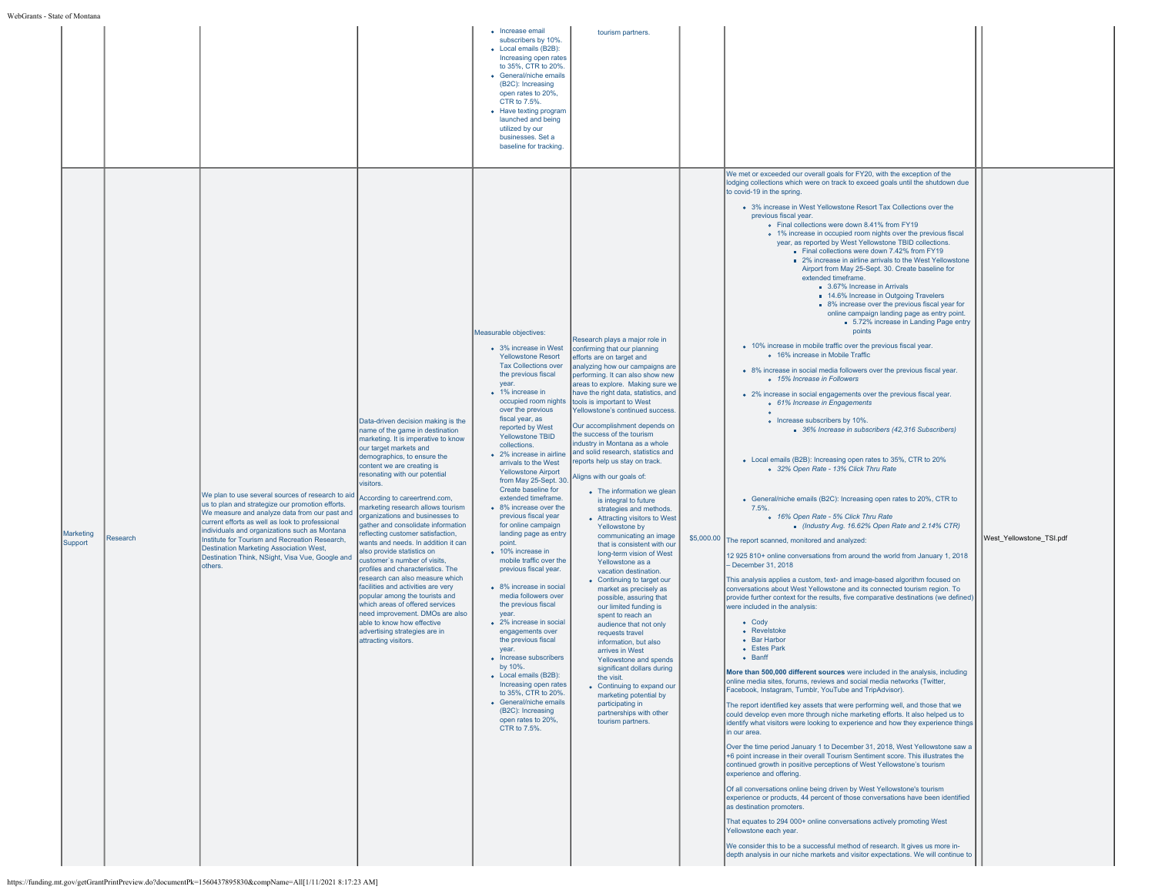|                      |          |                                                                                                                                                                                                                                                                                                                                                                                                                       |                                                                                                                                                                                                                                                                                                                                                                                                                                                                                                                                                                                                                                                                                                                                                                                                                                                         | • Increase email<br>subscribers by 10%.<br>• Local emails (B2B):<br>Increasing open rates<br>to 35%, CTR to 20%.<br>• General/niche emails<br>(B2C): Increasing<br>open rates to 20%.<br>CTR to 7.5%.<br>• Have texting program<br>launched and being<br>utilized by our<br>businesses. Set a<br>baseline for tracking.                                                                                                                                                                                                                                                                                                                                                                                                                                                                                                                                                                                                                                                                                          | tourism partners.                                                                                                                                                                                                                                                                                                                                                                                                                                                                                                                                                                                                                                                                                                                                                                                                                                                                                                                                                                                                                                                                                                                                                                                                        |                                                                                                                                                                                                                                                                                                                                                                                                                                                                                                                                                                                                                                                                                                                                                                                                                                                                                                                                                                                                                                                                                                                                                                                                                                                                                                                                                                                                                                                                                                                                                                                                                                                                                                                                                                                                                                                                                                                                                                                                                                                                                                                                                                                                                                                                                                                                                                                                                                                                                                                                                                                                                                                                                                                                                                                                                                                                                                                                                                                                                                                                                                                                                                                                                                                                                                                                                         |                          |
|----------------------|----------|-----------------------------------------------------------------------------------------------------------------------------------------------------------------------------------------------------------------------------------------------------------------------------------------------------------------------------------------------------------------------------------------------------------------------|---------------------------------------------------------------------------------------------------------------------------------------------------------------------------------------------------------------------------------------------------------------------------------------------------------------------------------------------------------------------------------------------------------------------------------------------------------------------------------------------------------------------------------------------------------------------------------------------------------------------------------------------------------------------------------------------------------------------------------------------------------------------------------------------------------------------------------------------------------|------------------------------------------------------------------------------------------------------------------------------------------------------------------------------------------------------------------------------------------------------------------------------------------------------------------------------------------------------------------------------------------------------------------------------------------------------------------------------------------------------------------------------------------------------------------------------------------------------------------------------------------------------------------------------------------------------------------------------------------------------------------------------------------------------------------------------------------------------------------------------------------------------------------------------------------------------------------------------------------------------------------|--------------------------------------------------------------------------------------------------------------------------------------------------------------------------------------------------------------------------------------------------------------------------------------------------------------------------------------------------------------------------------------------------------------------------------------------------------------------------------------------------------------------------------------------------------------------------------------------------------------------------------------------------------------------------------------------------------------------------------------------------------------------------------------------------------------------------------------------------------------------------------------------------------------------------------------------------------------------------------------------------------------------------------------------------------------------------------------------------------------------------------------------------------------------------------------------------------------------------|---------------------------------------------------------------------------------------------------------------------------------------------------------------------------------------------------------------------------------------------------------------------------------------------------------------------------------------------------------------------------------------------------------------------------------------------------------------------------------------------------------------------------------------------------------------------------------------------------------------------------------------------------------------------------------------------------------------------------------------------------------------------------------------------------------------------------------------------------------------------------------------------------------------------------------------------------------------------------------------------------------------------------------------------------------------------------------------------------------------------------------------------------------------------------------------------------------------------------------------------------------------------------------------------------------------------------------------------------------------------------------------------------------------------------------------------------------------------------------------------------------------------------------------------------------------------------------------------------------------------------------------------------------------------------------------------------------------------------------------------------------------------------------------------------------------------------------------------------------------------------------------------------------------------------------------------------------------------------------------------------------------------------------------------------------------------------------------------------------------------------------------------------------------------------------------------------------------------------------------------------------------------------------------------------------------------------------------------------------------------------------------------------------------------------------------------------------------------------------------------------------------------------------------------------------------------------------------------------------------------------------------------------------------------------------------------------------------------------------------------------------------------------------------------------------------------------------------------------------------------------------------------------------------------------------------------------------------------------------------------------------------------------------------------------------------------------------------------------------------------------------------------------------------------------------------------------------------------------------------------------------------------------------------------------------------------------------------------------------|--------------------------|
| Marketing<br>Support | Research | We plan to use several sources of research to aid<br>us to plan and strategize our promotion efforts.<br>We measure and analyze data from our past and<br>current efforts as well as look to professional<br>individuals and organizations such as Montana<br>Institute for Tourism and Recreation Research,<br>Destination Marketing Association West,<br>Destination Think, NSight, Visa Vue, Google and<br>others. | Data-driven decision making is the<br>name of the game in destination<br>marketing. It is imperative to know<br>our target markets and<br>demographics, to ensure the<br>content we are creating is<br>resonating with our potential<br>visitors.<br>According to careertrend.com,<br>marketing research allows tourism<br>organizations and businesses to<br>qather and consolidate information<br>reflecting customer satisfaction,<br>wants and needs. In addition it can<br>also provide statistics on<br>customer's number of visits,<br>profiles and characteristics. The<br>research can also measure which<br>facilities and activities are very<br>popular among the tourists and<br>which areas of offered services<br>need improvement. DMOs are also<br>able to know how effective<br>advertising strategies are in<br>attracting visitors. | Measurable objectives:<br>• 3% increase in West<br><b>Yellowstone Resort</b><br><b>Tax Collections over</b><br>the previous fiscal<br>vear.<br>• 1% increase in<br>occupied room nights<br>over the previous<br>fiscal year, as<br>reported by West<br><b>Yellowstone TBID</b><br>collections.<br>• 2% increase in airline<br>arrivals to the West<br><b>Yellowstone Airport</b><br>from May 25-Sept. 30.<br>Create baseline for<br>extended timeframe.<br>• 8% increase over the<br>previous fiscal year<br>for online campaign<br>landing page as entry<br>point.<br>• 10% increase in<br>mobile traffic over the<br>previous fiscal year.<br>• 8% increase in social<br>media followers over<br>the previous fiscal<br>vear.<br>• 2% increase in social<br>engagements over<br>the previous fiscal<br>vear<br>• Increase subscribers<br>by 10%.<br>• Local emails (B2B):<br>Increasing open rates<br>to 35%, CTR to 20%.<br>• General/niche emails<br>(B2C): Increasing<br>open rates to 20%,<br>CTR to 7.5%. | Research plays a major role in<br>confirming that our planning<br>efforts are on target and<br>analyzing how our campaigns are<br>performing. It can also show new<br>areas to explore. Making sure we<br>have the right data, statistics, and<br>tools is important to West<br>Yellowstone's continued success<br>Our accomplishment depends on<br>the success of the tourism<br>industry in Montana as a whole<br>and solid research, statistics and<br>eports help us stay on track.<br>Aligns with our goals of:<br>• The information we glean<br>is integral to future<br>strategies and methods.<br>• Attracting visitors to West<br>Yellowstone by<br>communicating an image<br>that is consistent with our<br>long-term vision of West<br>Yellowstone as a<br>vacation destination.<br>• Continuing to target our<br>market as precisely as<br>possible, assuring that<br>our limited funding is<br>spent to reach an<br>audience that not only<br>requests travel<br>information, but also<br>arrives in West<br>Yellowstone and spends<br>significant dollars during<br>the visit.<br>• Continuing to expand our<br>marketing potential by<br>participating in<br>partnerships with other<br>tourism partners. | We met or exceeded our overall goals for FY20, with the exception of the<br>lodging collections which were on track to exceed goals until the shutdown due<br>to covid-19 in the spring.<br>• 3% increase in West Yellowstone Resort Tax Collections over the<br>previous fiscal year.<br>. Final collections were down 8.41% from FY19<br>• 1% increase in occupied room nights over the previous fiscal<br>year, as reported by West Yellowstone TBID collections.<br>Final collections were down 7.42% from FY19<br>2% increase in airline arrivals to the West Yellowstone<br>Airport from May 25-Sept. 30. Create baseline for<br>extended timeframe.<br>3.67% Increase in Arrivals<br>14.6% Increase in Outgoing Travelers<br>8% increase over the previous fiscal year for<br>online campaign landing page as entry point.<br>5.72% increase in Landing Page entry<br>points<br>• 10% increase in mobile traffic over the previous fiscal year.<br>o 16% increase in Mobile Traffic<br>• 8% increase in social media followers over the previous fiscal year.<br>o 15% Increase in Followers<br>• 2% increase in social engagements over the previous fiscal year.<br>o 61% Increase in Engagements<br>• Increase subscribers by 10%.<br>36% Increase in subscribers (42,316 Subscribers)<br>• Local emails (B2B): Increasing open rates to 35%, CTR to 20%<br>o 32% Open Rate - 13% Click Thru Rate<br>• General/niche emails (B2C): Increasing open rates to 20%, CTR to<br>7.5%<br>o 16% Open Rate - 5% Click Thru Rate<br>Industry Avg. 16.62% Open Rate and 2.14% CTR)<br>\$5,000.00 The report scanned, monitored and analyzed:<br>12 925 810+ online conversations from around the world from January 1, 2018<br>- December 31, 2018<br>This analysis applies a custom, text- and image-based algorithm focused on<br>conversations about West Yellowstone and its connected tourism region. To<br>provide further context for the results, five comparative destinations (we defined)<br>were included in the analysis:<br>$\bullet$ Cody<br>• Revelstoke<br>• Bar Harbor<br>• Estes Park<br>• Banff<br>More than 500,000 different sources were included in the analysis, including<br>niine media sites, forums, reviews and social media networks (Twitter,<br>Facebook, Instagram, Tumblr, YouTube and TripAdvisor).<br>The report identified key assets that were performing well, and those that we<br>could develop even more through niche marketing efforts. It also helped us to<br>identify what visitors were looking to experience and how they experience things<br>in our area.<br>Over the time period January 1 to December 31, 2018, West Yellowstone saw a<br>+6 point increase in their overall Tourism Sentiment score. This illustrates the<br>continued growth in positive perceptions of West Yellowstone's tourism<br>experience and offering.<br>Of all conversations online being driven by West Yellowstone's tourism<br>experience or products, 44 percent of those conversations have been identified<br>as destination promoters.<br>That equates to 294 000+ online conversations actively promoting West<br>Yellowstone each year.<br>We consider this to be a successful method of research. It gives us more in-<br>depth analysis in our niche markets and visitor expectations. We will continue to | West_Yellowstone_TSI.pdf |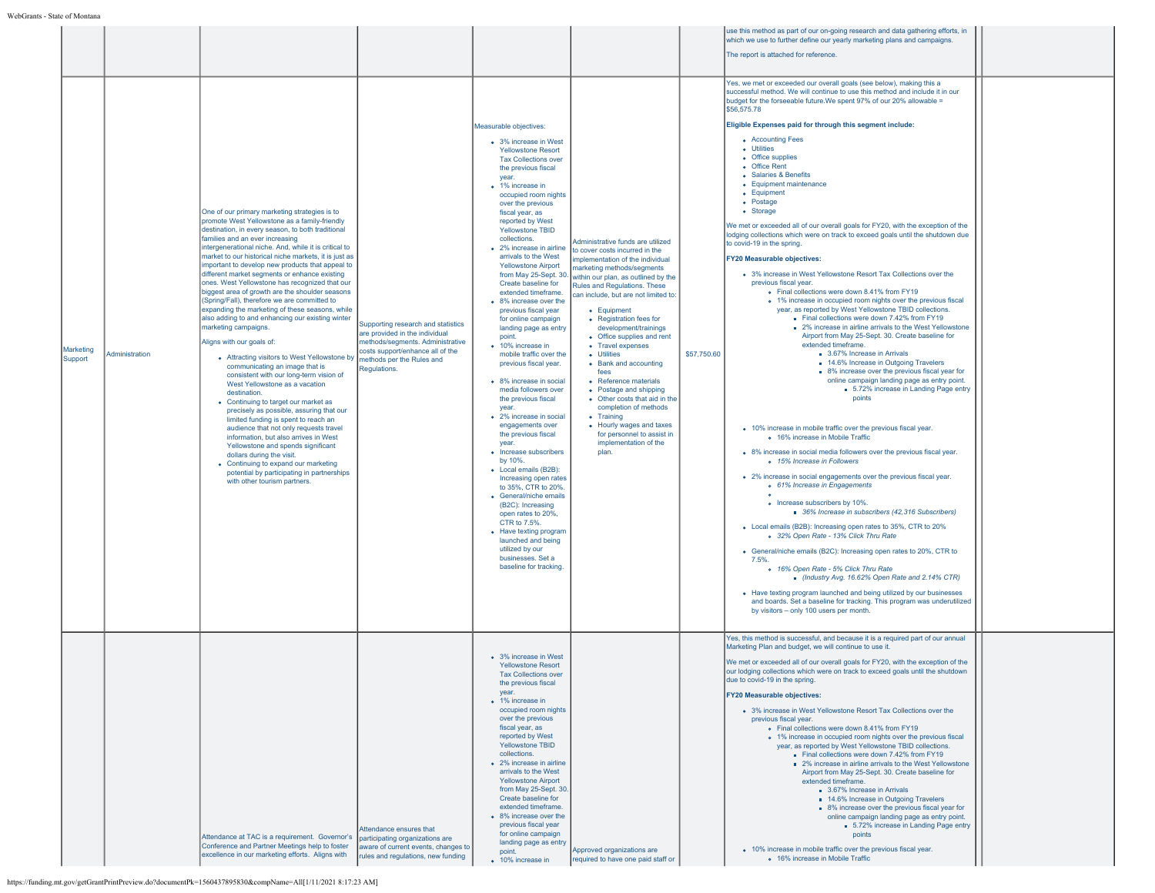|                      |                |                                                                                                                                                                                                                                                                                                                                                                                                                                                                                                                                                                                                                                                                                                                                                                                                                                                                                                                                                                                                                                                                                                                                                                                                                                                                                                                      |                                                                                                                                                                                           |                                                                                                                                                                                                                                                                                                                                                                                                                                                                                                                                                                                                                                                                                                                                                                                                                                                                                                                                                                                                                                                                                                                                   |                                                                                                                                                                                                                                                                                                                                                                                                                                                                                                                                                                                                                                                  |             | use this method as part of our on-going research and data gathering efforts, in<br>which we use to further define our yearly marketing plans and campaigns.                                                                                                                                                                                                                                                                                                                                                                                                                                                                                                                                                                                                                                                                                                                                                                                                                                                                                                                                                                                                                                                                                                                                                                                                                                                                                                                                                                                                                                                                                                                                                                                                                                                                                                                                                                                                                                                                                                                                                                                                                                                                                                                                                                                                                                                                          |  |
|----------------------|----------------|----------------------------------------------------------------------------------------------------------------------------------------------------------------------------------------------------------------------------------------------------------------------------------------------------------------------------------------------------------------------------------------------------------------------------------------------------------------------------------------------------------------------------------------------------------------------------------------------------------------------------------------------------------------------------------------------------------------------------------------------------------------------------------------------------------------------------------------------------------------------------------------------------------------------------------------------------------------------------------------------------------------------------------------------------------------------------------------------------------------------------------------------------------------------------------------------------------------------------------------------------------------------------------------------------------------------|-------------------------------------------------------------------------------------------------------------------------------------------------------------------------------------------|-----------------------------------------------------------------------------------------------------------------------------------------------------------------------------------------------------------------------------------------------------------------------------------------------------------------------------------------------------------------------------------------------------------------------------------------------------------------------------------------------------------------------------------------------------------------------------------------------------------------------------------------------------------------------------------------------------------------------------------------------------------------------------------------------------------------------------------------------------------------------------------------------------------------------------------------------------------------------------------------------------------------------------------------------------------------------------------------------------------------------------------|--------------------------------------------------------------------------------------------------------------------------------------------------------------------------------------------------------------------------------------------------------------------------------------------------------------------------------------------------------------------------------------------------------------------------------------------------------------------------------------------------------------------------------------------------------------------------------------------------------------------------------------------------|-------------|--------------------------------------------------------------------------------------------------------------------------------------------------------------------------------------------------------------------------------------------------------------------------------------------------------------------------------------------------------------------------------------------------------------------------------------------------------------------------------------------------------------------------------------------------------------------------------------------------------------------------------------------------------------------------------------------------------------------------------------------------------------------------------------------------------------------------------------------------------------------------------------------------------------------------------------------------------------------------------------------------------------------------------------------------------------------------------------------------------------------------------------------------------------------------------------------------------------------------------------------------------------------------------------------------------------------------------------------------------------------------------------------------------------------------------------------------------------------------------------------------------------------------------------------------------------------------------------------------------------------------------------------------------------------------------------------------------------------------------------------------------------------------------------------------------------------------------------------------------------------------------------------------------------------------------------------------------------------------------------------------------------------------------------------------------------------------------------------------------------------------------------------------------------------------------------------------------------------------------------------------------------------------------------------------------------------------------------------------------------------------------------------------------------------------------------|--|
|                      |                |                                                                                                                                                                                                                                                                                                                                                                                                                                                                                                                                                                                                                                                                                                                                                                                                                                                                                                                                                                                                                                                                                                                                                                                                                                                                                                                      |                                                                                                                                                                                           |                                                                                                                                                                                                                                                                                                                                                                                                                                                                                                                                                                                                                                                                                                                                                                                                                                                                                                                                                                                                                                                                                                                                   |                                                                                                                                                                                                                                                                                                                                                                                                                                                                                                                                                                                                                                                  |             | The report is attached for reference.                                                                                                                                                                                                                                                                                                                                                                                                                                                                                                                                                                                                                                                                                                                                                                                                                                                                                                                                                                                                                                                                                                                                                                                                                                                                                                                                                                                                                                                                                                                                                                                                                                                                                                                                                                                                                                                                                                                                                                                                                                                                                                                                                                                                                                                                                                                                                                                                |  |
| Marketing<br>Support | Administration | One of our primary marketing strategies is to<br>promote West Yellowstone as a family-friendly<br>destination, in every season, to both traditional<br>families and an ever increasing<br>intergenerational niche. And, while it is critical to<br>market to our historical niche markets, it is just as<br>important to develop new products that appeal to<br>different market segments or enhance existing<br>ones. West Yellowstone has recognized that our<br>biggest area of growth are the shoulder seasons<br>(Spring/Fall), therefore we are committed to<br>expanding the marketing of these seasons, while<br>also adding to and enhancing our existing winter<br>marketing campaigns.<br>Aligns with our goals of:<br>• Attracting visitors to West Yellowstone by<br>communicating an image that is<br>consistent with our long-term vision of<br>West Yellowstone as a vacation<br>destination<br>• Continuing to target our market as<br>precisely as possible, assuring that our<br>limited funding is spent to reach an<br>audience that not only requests travel<br>information, but also arrives in West<br>Yellowstone and spends significant<br>dollars during the visit.<br>• Continuing to expand our marketing<br>potential by participating in partnerships<br>with other tourism partners. | Supporting research and statistics<br>are provided in the individual<br>methods/seaments. Administrative<br>costs support/enhance all of the<br>methods per the Rules and<br>Regulations. | Measurable objectives:<br>• 3% increase in West<br><b>Yellowstone Resort</b><br><b>Tax Collections over</b><br>the previous fiscal<br>vear.<br>• 1% increase in<br>occupied room nights<br>over the previous<br>fiscal year, as<br>reported by West<br><b>Yellowstone TBID</b><br>collections.<br>• 2% increase in airline<br>arrivals to the West<br><b>Yellowstone Airport</b><br>from May 25-Sept. 30<br>Create baseline for<br>extended timeframe.<br>• 8% increase over the<br>previous fiscal year<br>for online campaign<br>landing page as entry<br>point.<br>• 10% increase in<br>mobile traffic over the<br>previous fiscal year.<br>• 8% increase in social<br>media followers over<br>the previous fiscal<br>vear.<br>• 2% increase in social<br>engagements over<br>the previous fiscal<br>year.<br>• Increase subscribers<br>by 10%.<br>• Local emails (B2B):<br>Increasing open rates<br>to 35%, CTR to 20%<br>• General/niche emails<br>(B2C): Increasing<br>open rates to 20%,<br>CTR to 7.5%.<br>• Have texting progran<br>launched and being<br>utilized by our<br>businesses. Set a<br>baseline for tracking. | Administrative funds are utilized<br>to cover costs incurred in the<br>mplementation of the individual<br>marketing methods/segments<br>within our plan, as outlined by the<br>Rules and Regulations. These<br>can include, but are not limited to:<br>• Equipment<br>• Registration fees for<br>development/trainings<br>• Office supplies and rent<br>• Travel expenses<br>• Utilities<br>• Bank and accounting<br>fees<br>• Reference materials<br>• Postage and shipping<br>• Other costs that aid in the<br>completion of methods<br>• Training<br>• Hourly wages and taxes<br>for personnel to assist in<br>implementation of the<br>plan. | \$57,750.60 | Yes, we met or exceeded our overall goals (see below), making this a<br>successful method. We will continue to use this method and include it in our<br>budget for the forseeable future. We spent 97% of our 20% allowable =<br>\$56,575.78<br>Eligible Expenses paid for through this segment include:<br>• Accounting Fees<br>• Utilities<br>• Office supplies<br>• Office Rent<br>• Salaries & Benefits<br>• Equipment maintenance<br>• Equipment<br>• Postage<br>• Storage<br>We met or exceeded all of our overall goals for FY20, with the exception of the<br>lodging collections which were on track to exceed goals until the shutdown due<br>to covid-19 in the spring.<br><b>FY20 Measurable objectives:</b><br>• 3% increase in West Yellowstone Resort Tax Collections over the<br>previous fiscal year.<br>• Final collections were down 8.41% from FY19<br>o 1% increase in occupied room nights over the previous fiscal<br>vear, as reported by West Yellowstone TBID collections.<br>Final collections were down 7.42% from FY19<br>2% increase in airline arrivals to the West Yellowstone<br>Airport from May 25-Sept. 30. Create baseline for<br>extended timeframe.<br>3.67% Increase in Arrivals<br><b>14.6% Increase in Outgoing Travelers</b><br>• 8% increase over the previous fiscal year for<br>online campaign landing page as entry point.<br>5.72% increase in Landing Page entry<br>points<br>• 10% increase in mobile traffic over the previous fiscal year.<br><sup>o</sup> 16% increase in Mobile Traffic<br>• 8% increase in social media followers over the previous fiscal year.<br>o 15% Increase in Followers<br>• 2% increase in social engagements over the previous fiscal year.<br>o 61% Increase in Engagements<br>$\bullet$<br>· Increase subscribers by 10%.<br>36% Increase in subscribers (42,316 Subscribers)<br>• Local emails (B2B): Increasing open rates to 35%, CTR to 20%<br>o 32% Open Rate - 13% Click Thru Rate<br>• General/niche emails (B2C): Increasing open rates to 20%, CTR to<br>7.5%<br>o 16% Open Rate - 5% Click Thru Rate<br>Industry Avg. 16.62% Open Rate and 2.14% CTR)<br>• Have texting program launched and being utilized by our businesses<br>and boards. Set a baseline for tracking. This program was underutilized<br>by visitors - only 100 users per month.<br>Yes, this method is successful, and because it is a required part of our annual |  |
|                      |                | Attendance at TAC is a requirement. Governor's<br>Conference and Partner Meetings help to foster<br>excellence in our marketing efforts. Aligns with                                                                                                                                                                                                                                                                                                                                                                                                                                                                                                                                                                                                                                                                                                                                                                                                                                                                                                                                                                                                                                                                                                                                                                 | Attendance ensures that<br>participating organizations are<br>aware of current events, changes to<br>rules and regulations, new funding                                                   | • 3% increase in West<br><b>Yellowstone Resort</b><br><b>Tax Collections over</b><br>the previous fiscal<br>year.<br>• 1% increase in<br>occupied room nights<br>over the previous<br>fiscal year, as<br>reported by West<br>Yellowstone TBID<br>collections.<br>• 2% increase in airline<br>arrivals to the West<br><b>Yellowstone Airport</b><br>from May 25-Sept. 30<br>Create baseline for<br>extended timeframe.<br>• 8% increase over the<br>previous fiscal year<br>for online campaign<br>landing page as entry<br>point.<br>• 10% increase in                                                                                                                                                                                                                                                                                                                                                                                                                                                                                                                                                                            | Approved organizations are<br>required to have one paid staff or                                                                                                                                                                                                                                                                                                                                                                                                                                                                                                                                                                                 |             | Marketing Plan and budget, we will continue to use it.<br>We met or exceeded all of our overall goals for FY20, with the exception of the<br>our lodging collections which were on track to exceed goals until the shutdown<br>due to covid-19 in the spring<br><b>FY20 Measurable objectives:</b><br>• 3% increase in West Yellowstone Resort Tax Collections over the<br>previous fiscal year.<br>. Final collections were down 8.41% from FY19<br>• 1% increase in occupied room nights over the previous fiscal<br>year, as reported by West Yellowstone TBID collections.<br>Final collections were down 7.42% from FY19<br>2% increase in airline arrivals to the West Yellowstone<br>Airport from May 25-Sept. 30. Create baseline for<br>extended timeframe.<br>3.67% Increase in Arrivals<br>14.6% Increase in Outgoing Travelers<br>8% increase over the previous fiscal year for<br>online campaign landing page as entry point.<br>5.72% increase in Landing Page entry<br>points<br>• 10% increase in mobile traffic over the previous fiscal year.<br>o 16% increase in Mobile Traffic                                                                                                                                                                                                                                                                                                                                                                                                                                                                                                                                                                                                                                                                                                                                                                                                                                                                                                                                                                                                                                                                                                                                                                                                                                                                                                                                 |  |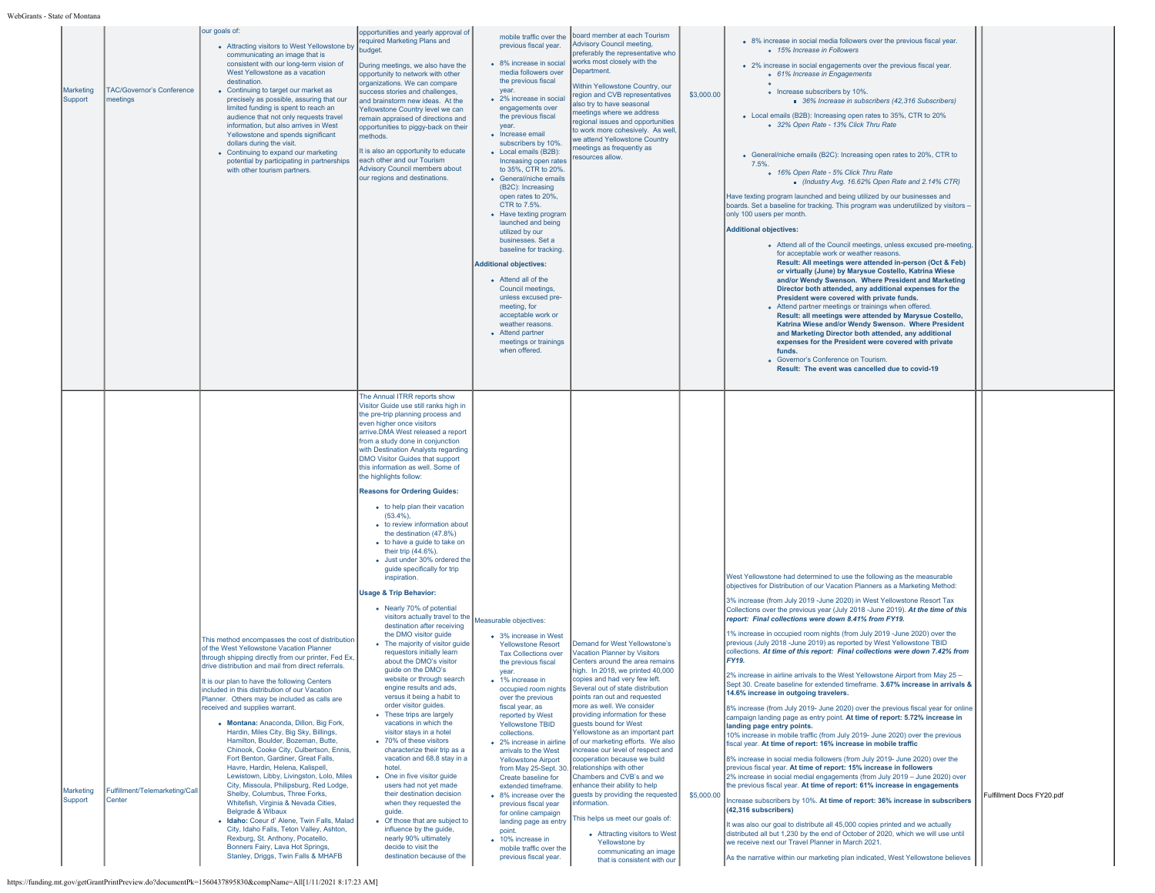|                      |                                              | our goals of:<br>• Attracting visitors to West Yellowstone by                                                                                                                                                                                                                                                                                                                                                                                                                                                                                                                                                                                                                                                                                                                                                                                                                                                                                                                                                                                 | opportunities and yearly approval of<br>required Marketing Plans and                                                                                                                                                                                                                                                                                                                                                                                                                                                                                                                                                                                                                                                                                                                                                                                                                                                                                                                                                                                                                                                                                                                                                                                                                                                                                                                                                                                                                                                    | mobile traffic over the<br>previous fiscal year.                                                                                                                                                                                                                                                                                                                                                                                                                                                                                                                                                                                                                                                                           | board member at each Tourism<br><b>Advisory Council meeting.</b>                                                                                                                                                                                                                                                                                                                                                                                                                                                                                                                                                                                                                                                                                                                       |            | • 8% increase in social media followers over the previous fiscal year.                                                                                                                                                                                                                                                                                                                                                                                                                                                                                                                                                                                                                                                                                                                                                                                                                                                                                                                                                                                                                                                                                                                                                                                                                                                                                                                                                                                                                                                                                                                                                                                                                                                                                                                                                                                                                                                     |                           |
|----------------------|----------------------------------------------|-----------------------------------------------------------------------------------------------------------------------------------------------------------------------------------------------------------------------------------------------------------------------------------------------------------------------------------------------------------------------------------------------------------------------------------------------------------------------------------------------------------------------------------------------------------------------------------------------------------------------------------------------------------------------------------------------------------------------------------------------------------------------------------------------------------------------------------------------------------------------------------------------------------------------------------------------------------------------------------------------------------------------------------------------|-------------------------------------------------------------------------------------------------------------------------------------------------------------------------------------------------------------------------------------------------------------------------------------------------------------------------------------------------------------------------------------------------------------------------------------------------------------------------------------------------------------------------------------------------------------------------------------------------------------------------------------------------------------------------------------------------------------------------------------------------------------------------------------------------------------------------------------------------------------------------------------------------------------------------------------------------------------------------------------------------------------------------------------------------------------------------------------------------------------------------------------------------------------------------------------------------------------------------------------------------------------------------------------------------------------------------------------------------------------------------------------------------------------------------------------------------------------------------------------------------------------------------|----------------------------------------------------------------------------------------------------------------------------------------------------------------------------------------------------------------------------------------------------------------------------------------------------------------------------------------------------------------------------------------------------------------------------------------------------------------------------------------------------------------------------------------------------------------------------------------------------------------------------------------------------------------------------------------------------------------------------|----------------------------------------------------------------------------------------------------------------------------------------------------------------------------------------------------------------------------------------------------------------------------------------------------------------------------------------------------------------------------------------------------------------------------------------------------------------------------------------------------------------------------------------------------------------------------------------------------------------------------------------------------------------------------------------------------------------------------------------------------------------------------------------|------------|----------------------------------------------------------------------------------------------------------------------------------------------------------------------------------------------------------------------------------------------------------------------------------------------------------------------------------------------------------------------------------------------------------------------------------------------------------------------------------------------------------------------------------------------------------------------------------------------------------------------------------------------------------------------------------------------------------------------------------------------------------------------------------------------------------------------------------------------------------------------------------------------------------------------------------------------------------------------------------------------------------------------------------------------------------------------------------------------------------------------------------------------------------------------------------------------------------------------------------------------------------------------------------------------------------------------------------------------------------------------------------------------------------------------------------------------------------------------------------------------------------------------------------------------------------------------------------------------------------------------------------------------------------------------------------------------------------------------------------------------------------------------------------------------------------------------------------------------------------------------------------------------------------------------------|---------------------------|
| Marketing<br>Support | <b>TAC/Governor's Conference</b><br>neetings | communicating an image that is<br>consistent with our long-term vision of<br>West Yellowstone as a vacation<br>destination<br>• Continuing to target our market as<br>precisely as possible, assuring that our<br>limited funding is spent to reach an<br>audience that not only requests travel<br>information, but also arrives in West<br>Yellowstone and spends significant<br>dollars during the visit.<br>• Continuing to expand our marketing<br>potential by participating in partnerships<br>with other tourism partners.                                                                                                                                                                                                                                                                                                                                                                                                                                                                                                            | budget<br>During meetings, we also have the<br>opportunity to network with other<br>organizations. We can compare<br>success stories and challenges,<br>and brainstorm new ideas. At the<br>Yellowstone Country level we can<br>remain appraised of directions and<br>opportunities to piggy-back on their<br>methods.<br>It is also an opportunity to educate<br>each other and our Tourism<br><b>Advisory Council members about</b><br>our regions and destinations.                                                                                                                                                                                                                                                                                                                                                                                                                                                                                                                                                                                                                                                                                                                                                                                                                                                                                                                                                                                                                                                  | • 8% increase in social<br>media followers over<br>the previous fiscal<br><b>vear</b><br>• 2% increase in social<br>engagements over<br>the previous fiscal<br>vear.<br>• Increase email<br>subscribers by 10%.<br>• Local emails (B2B):<br>Increasing open rates<br>to 35%, CTR to 20%.<br>• General/niche emails<br>(B2C): Increasing<br>open rates to 20%.<br>CTR to 7.5%<br>• Have texting program<br>launched and being<br>utilized by our<br>businesses. Set a<br>baseline for tracking.<br><b>Additional objectives:</b><br>• Attend all of the<br>Council meetings.<br>unless excused pre-<br>meeting, for<br>acceptable work or<br>weather reasons.<br>• Attend partner<br>meetings or trainings<br>when offered. | preferably the representative who<br>works most closely with the<br>Department.<br>Within Yellowstone Country, our<br>region and CVB representatives<br>also try to have seasonal<br>meetings where we address<br>regional issues and opportunities<br>to work more cohesively. As well,<br>we attend Yellowstone Country<br>meetings as frequently as<br>resources allow.                                                                                                                                                                                                                                                                                                                                                                                                             | \$3,000.00 | o 15% Increase in Followers<br>• 2% increase in social engagements over the previous fiscal year.<br>o 61% Increase in Engagements<br>• Increase subscribers by 10%.<br>36% Increase in subscribers (42,316 Subscribers)<br>• Local emails (B2B): Increasing open rates to 35%, CTR to 20%<br>o 32% Open Rate - 13% Click Thru Rate<br>• General/niche emails (B2C): Increasing open rates to 20%, CTR to<br>7.5%<br>o 16% Open Rate - 5% Click Thru Rate<br>Industry Avg. 16.62% Open Rate and 2.14% CTR)<br>Have texting program launched and being utilized by our businesses and<br>boards. Set a baseline for tracking. This program was underutilized by visitors -<br>only 100 users per month.<br><b>Additional objectives:</b><br>o Attend all of the Council meetings, unless excused pre-meeting,<br>for acceptable work or weather reasons.<br>Result: All meetings were attended in-person (Oct & Feb)<br>or virtually (June) by Marysue Costello, Katrina Wiese<br>and/or Wendy Swenson. Where President and Marketing<br>Director both attended, any additional expenses for the<br>President were covered with private funds.<br>• Attend partner meetings or trainings when offered.<br>Result: all meetings were attended by Marysue Costello,<br>Katrina Wiese and/or Wendy Swenson. Where President<br>and Marketing Director both attended, any additional<br>expenses for the President were covered with private<br>funds.<br>· Governor's Conference on Tourism.<br>Result: The event was cancelled due to covid-19                                                                                                                                                                                                                                                                                                                                                                                |                           |
| Marketing<br>Support | Fulfillment/Telemarketing/Call<br>Center     | This method encompasses the cost of distribution<br>of the West Yellowstone Vacation Planner<br>through shipping directly from our printer, Fed Ex,<br>drive distribution and mail from direct referrals.<br>It is our plan to have the following Centers<br>included in this distribution of our Vacation<br>Planner. Others may be included as calls are<br>received and supplies warrant.<br>• Montana: Anaconda, Dillon, Big Fork,<br>Hardin, Miles City, Big Sky, Billings,<br>Hamilton, Boulder, Bozeman, Butte,<br>Chinook, Cooke City, Culbertson, Ennis,<br>Fort Benton, Gardiner, Great Falls,<br>Havre, Hardin, Helena, Kalispell,<br>Lewistown, Libby, Livingston, Lolo, Miles<br>City, Missoula, Philipsburg, Red Lodge,<br>Shelby, Columbus, Three Forks,<br>Whitefish, Virginia & Nevada Cities,<br>Belgrade & Wibaux<br>· Idaho: Coeur d' Alene, Twin Falls, Malad<br>City, Idaho Falls, Teton Valley, Ashton,<br>Rexburg, St. Anthony, Pocatello,<br>Bonners Fairy, Lava Hot Springs,<br>Stanley, Driggs, Twin Falls & MHAFB | The Annual ITRR reports show<br>Visitor Guide use still ranks high in<br>the pre-trip planning process and<br>even higher once visitors<br>arrive.DMA West released a report<br>from a study done in conjunction<br>with Destination Analysts regarding<br>DMO Visitor Guides that support<br>this information as well. Some of<br>the highlights follow:<br><b>Reasons for Ordering Guides:</b><br>• to help plan their vacation<br>$(53.4\%)$ .<br>• to review information about<br>the destination (47.8%)<br>• to have a guide to take on<br>their trip (44.6%).<br>· Just under 30% ordered the<br>guide specifically for trip<br>inspiration.<br><b>Usage &amp; Trip Behavior:</b><br>• Nearly 70% of potential<br>visitors actually travel to the<br>destination after receiving<br>the DMO visitor guide<br>• The majority of visitor guide<br>requestors initially learn<br>about the DMO's visitor<br>guide on the DMO's<br>website or through search<br>engine results and ads,<br>versus it being a habit to<br>order visitor guides.<br>• These trips are largely<br>vacations in which the<br>visitor stays in a hotel<br>• 70% of these visitors<br>characterize their trip as a<br>vacation and 68.8 stay in a<br>hotel.<br>$\bullet$ One in five visitor guide<br>users had not yet made<br>their destination decision<br>when they requested the<br>quide.<br>• Of those that are subject to<br>influence by the guide,<br>nearly 90% ultimately<br>decide to visit the<br>destination because of the | Measurable objectives:<br>• 3% increase in West<br><b>Yellowstone Resort</b><br><b>Tax Collections over</b><br>the previous fiscal<br>vear.<br>• 1% increase in<br>occupied room nights<br>over the previous<br>fiscal year, as<br>reported by West<br><b>Yellowstone TBID</b><br>collections.<br>• 2% increase in airline<br>arrivals to the West<br><b>Yellowstone Airport</b><br>from May 25-Sept. 30<br>Create baseline for<br>extended timeframe.<br>• 8% increase over the<br>previous fiscal year<br>for online campaign<br>landing page as entry<br>point.<br>• 10% increase in<br>mobile traffic over the<br>previous fiscal year.                                                                                | Demand for West Yellowstone's<br><b>Vacation Planner by Visitors</b><br>Centers around the area remains<br>high. In 2018, we printed 40,000<br>copies and had very few left<br>Several out of state distribution<br>points ran out and requested<br>more as well. We consider<br>providing information for these<br>guests bound for West<br>Yellowstone as an important part<br>of our marketing efforts. We also<br>increase our level of respect and<br>cooperation because we build<br>relationships with other<br>Chambers and CVB's and we<br>enhance their ability to help<br>quests by providing the requested<br>information.<br>This helps us meet our goals of:<br>• Attracting visitors to West<br>Yellowstone by<br>communicating an image<br>that is consistent with our | \$5,000.00 | West Yellowstone had determined to use the following as the measurable<br>objectives for Distribution of our Vacation Planners as a Marketing Method:<br>3% increase (from July 2019 -June 2020) in West Yellowstone Resort Tax<br>Collections over the previous year (July 2018 -June 2019). At the time of this<br>report: Final collections were down 8.41% from FY19.<br>1% increase in occupied room nights (from July 2019 -June 2020) over the<br>previous (July 2018 -June 2019) as reported by West Yellowstone TBID<br>collections. At time of this report: Final collections were down 7.42% from<br><b>FY19.</b><br>2% increase in airline arrivals to the West Yellowstone Airport from May 25 -<br>Sept 30. Create baseline for extended timeframe. 3.67% increase in arrivals &<br>14.6% increase in outgoing travelers.<br>8% increase (from July 2019- June 2020) over the previous fiscal year for online<br>campaign landing page as entry point. At time of report: 5.72% increase in<br>landing page entry points.<br>10% increase in mobile traffic (from July 2019- June 2020) over the previous<br>fiscal year. At time of report: 16% increase in mobile traffic<br>8% increase in social media followers (from July 2019- June 2020) over the<br>previous fiscal year. At time of report: 15% increase in followers<br>2% increase in social medial engagements (from July 2019 - June 2020) over<br>the previous fiscal year. At time of report: 61% increase in engagements<br>Increase subscribers by 10%. At time of report: 36% increase in subscribers<br>(42,316 subscribers)<br>It was also our goal to distribute all 45,000 copies printed and we actually<br>distributed all but 1,230 by the end of October of 2020, which we will use until<br>we receive next our Travel Planner in March 2021.<br>As the narrative within our marketing plan indicated, West Yellowstone believes | Fulfillment Docs FY20.pdf |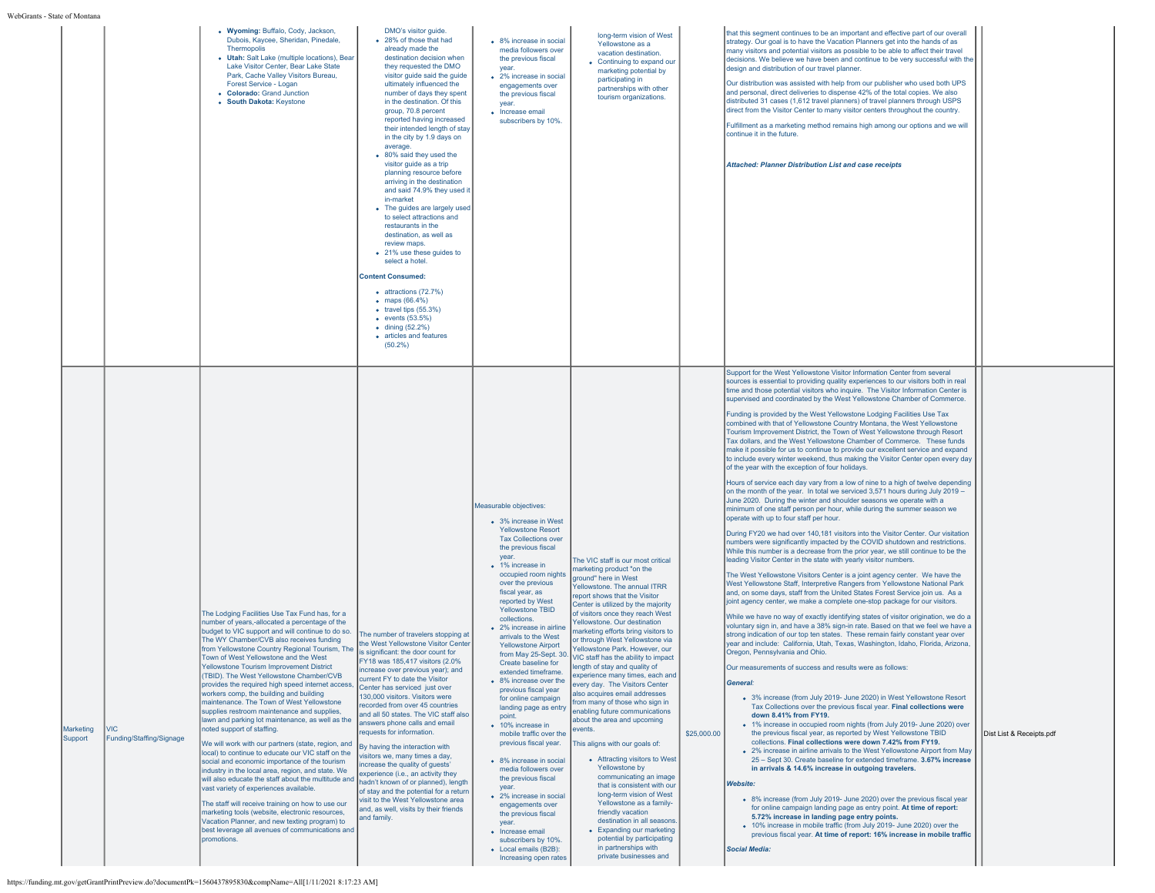WebGrants

| s - State of Montana |                                        |                                                                                                                                                                                                                                                                                                                                                                                                                                                                                                                                                                                                                                                                                                                                                                                                                                                                                                                                                                                                                                                                                                                                                                                                                 |                                                                                                                                                                                                                                                                                                                                                                                                                                                                                                                                                                                                                                                                                                                                                                                                                                                                                                                                                    |                                                                                                                                                                                                                                                                                                                                                                                                                                                                                                                                                                                                                                                                                                                                                                                                                                                                                                     |                                                                                                                                                                                                                                                                                                                                                                                                                                                                                                                                                                                                                                                                                                                                                                                                                                                                                                                                                                                                                                                 |             |                                                                                                                                                                                                                                                                                                                                                                                                                                                                                                                                                                                                                                                                                                                                                                                                                                                                                                                                                                                                                                                                                                                                                                                                                                                                                                                                                                                                                                                                                                                                                                                                                                                                                                                                                                                                                                                                                                                                                                                                                                                                                                                                                                                                                                                                                                                                                                                                                                                                                                                                                                                                                                                                                                                                                                                                                                                                                                                                                                                                                                                                                                                                                                                                                                                                                                                                              |                          |
|----------------------|----------------------------------------|-----------------------------------------------------------------------------------------------------------------------------------------------------------------------------------------------------------------------------------------------------------------------------------------------------------------------------------------------------------------------------------------------------------------------------------------------------------------------------------------------------------------------------------------------------------------------------------------------------------------------------------------------------------------------------------------------------------------------------------------------------------------------------------------------------------------------------------------------------------------------------------------------------------------------------------------------------------------------------------------------------------------------------------------------------------------------------------------------------------------------------------------------------------------------------------------------------------------|----------------------------------------------------------------------------------------------------------------------------------------------------------------------------------------------------------------------------------------------------------------------------------------------------------------------------------------------------------------------------------------------------------------------------------------------------------------------------------------------------------------------------------------------------------------------------------------------------------------------------------------------------------------------------------------------------------------------------------------------------------------------------------------------------------------------------------------------------------------------------------------------------------------------------------------------------|-----------------------------------------------------------------------------------------------------------------------------------------------------------------------------------------------------------------------------------------------------------------------------------------------------------------------------------------------------------------------------------------------------------------------------------------------------------------------------------------------------------------------------------------------------------------------------------------------------------------------------------------------------------------------------------------------------------------------------------------------------------------------------------------------------------------------------------------------------------------------------------------------------|-------------------------------------------------------------------------------------------------------------------------------------------------------------------------------------------------------------------------------------------------------------------------------------------------------------------------------------------------------------------------------------------------------------------------------------------------------------------------------------------------------------------------------------------------------------------------------------------------------------------------------------------------------------------------------------------------------------------------------------------------------------------------------------------------------------------------------------------------------------------------------------------------------------------------------------------------------------------------------------------------------------------------------------------------|-------------|----------------------------------------------------------------------------------------------------------------------------------------------------------------------------------------------------------------------------------------------------------------------------------------------------------------------------------------------------------------------------------------------------------------------------------------------------------------------------------------------------------------------------------------------------------------------------------------------------------------------------------------------------------------------------------------------------------------------------------------------------------------------------------------------------------------------------------------------------------------------------------------------------------------------------------------------------------------------------------------------------------------------------------------------------------------------------------------------------------------------------------------------------------------------------------------------------------------------------------------------------------------------------------------------------------------------------------------------------------------------------------------------------------------------------------------------------------------------------------------------------------------------------------------------------------------------------------------------------------------------------------------------------------------------------------------------------------------------------------------------------------------------------------------------------------------------------------------------------------------------------------------------------------------------------------------------------------------------------------------------------------------------------------------------------------------------------------------------------------------------------------------------------------------------------------------------------------------------------------------------------------------------------------------------------------------------------------------------------------------------------------------------------------------------------------------------------------------------------------------------------------------------------------------------------------------------------------------------------------------------------------------------------------------------------------------------------------------------------------------------------------------------------------------------------------------------------------------------------------------------------------------------------------------------------------------------------------------------------------------------------------------------------------------------------------------------------------------------------------------------------------------------------------------------------------------------------------------------------------------------------------------------------------------------------------------------------------------------|--------------------------|
|                      |                                        | • Wyoming: Buffalo, Cody, Jackson,<br>Dubois, Kaycee, Sheridan, Pinedale,<br>Thermopolis<br>• Utah: Salt Lake (multiple locations), Bear<br>Lake Visitor Center, Bear Lake State<br>Park, Cache Valley Visitors Bureau,<br>Forest Service - Logan<br>• Colorado: Grand Junction<br>• South Dakota: Keystone                                                                                                                                                                                                                                                                                                                                                                                                                                                                                                                                                                                                                                                                                                                                                                                                                                                                                                     | DMO's visitor quide.<br>• 28% of those that had<br>already made the<br>destination decision when<br>they requested the DMO<br>visitor guide said the guide<br>ultimately influenced the<br>number of days they spent<br>in the destination. Of this<br>group, 70.8 percent<br>reported having increased<br>their intended length of stay<br>in the city by 1.9 days on<br>average.<br>• 80% said they used the<br>visitor guide as a trip<br>planning resource before<br>arriving in the destination<br>and said 74.9% they used it<br>in-market<br>• The guides are largely used<br>to select attractions and<br>restaurants in the<br>destination, as well as<br>review maps.<br>• 21% use these guides to<br>select a hotel.<br><b>Content Consumed:</b><br>$\bullet$ attractions (72.7%)<br>• maps $(66.4%)$<br>$\bullet$ travel tips (55.3%)<br>$\bullet$ events (53.5%)<br>$\bullet$ dining (52.2%)<br>• articles and features<br>$(50.2\%)$ | • 8% increase in social<br>media followers over<br>the previous fiscal<br>year.<br>• 2% increase in social<br>engagements over<br>the previous fiscal<br>vear.<br>• Increase email<br>subscribers by 10%.                                                                                                                                                                                                                                                                                                                                                                                                                                                                                                                                                                                                                                                                                           | long-term vision of West<br>Yellowstone as a<br>vacation destination.<br>• Continuing to expand our<br>marketing potential by<br>participating in<br>partnerships with other<br>tourism organizations.                                                                                                                                                                                                                                                                                                                                                                                                                                                                                                                                                                                                                                                                                                                                                                                                                                          |             | that this segment continues to be an important and effective part of our overall<br>strategy. Our goal is to have the Vacation Planners get into the hands of as<br>many visitors and potential visitors as possible to be able to affect their travel<br>decisions. We believe we have been and continue to be very successful with the<br>design and distribution of our travel planner.<br>Our distribution was assisted with help from our publisher who used both UPS<br>and personal, direct deliveries to dispense 42% of the total copies. We also<br>distributed 31 cases (1,612 travel planners) of travel planners through USPS<br>direct from the Visitor Center to many visitor centers throughout the country.<br>Fulfillment as a marketing method remains high among our options and we will<br>continue it in the future.<br><b>Attached: Planner Distribution List and case receipts</b>                                                                                                                                                                                                                                                                                                                                                                                                                                                                                                                                                                                                                                                                                                                                                                                                                                                                                                                                                                                                                                                                                                                                                                                                                                                                                                                                                                                                                                                                                                                                                                                                                                                                                                                                                                                                                                                                                                                                                                                                                                                                                                                                                                                                                                                                                                                                                                                                                                   |                          |
| Marketing<br>Support | <b>VIC</b><br>Funding/Staffing/Signage | The Lodging Facilities Use Tax Fund has, for a<br>number of years,-allocated a percentage of the<br>budget to VIC support and will continue to do so.<br>The WY Chamber/CVB also receives funding<br>from Yellowstone Country Regional Tourism, The<br>Town of West Yellowstone and the West<br>ellowstone Tourism Improvement District<br>(TBID). The West Yellowstone Chamber/CVB<br>provides the required high speed internet access.<br>workers comp, the building and building<br>maintenance. The Town of West Yellowstone<br>supplies restroom maintenance and supplies,<br>lawn and parking lot maintenance, as well as the<br>noted support of staffing.<br>We will work with our partners (state, region, and<br>local) to continue to educate our VIC staff on the<br>social and economic importance of the tourism<br>industry in the local area, region, and state. We<br>will also educate the staff about the multitude and<br>vast variety of experiences available.<br>The staff will receive training on how to use our<br>marketing tools (website, electronic resources,<br>Vacation Planner, and new texting program) to<br>best leverage all avenues of communications and<br>promotions. | The number of travelers stopping at<br>the West Yellowstone Visitor Center<br>is significant: the door count for<br>FY18 was 185,417 visitors (2.0%<br>increase over previous year); and<br>current FY to date the Visitor<br>Center has serviced just over<br>130,000 visitors. Visitors were<br>recorded from over 45 countries<br>and all 50 states. The VIC staff also<br>answers phone calls and email<br>requests for information.<br>By having the interaction with<br>visitors we, many times a day,<br>increase the quality of guests'<br>experience (i.e., an activity they<br>hadn't known of or planned), length<br>of stay and the potential for a return<br>visit to the West Yellowstone area<br>and, as well, visits by their friends<br>and family.                                                                                                                                                                               | Measurable objectives:<br>• 3% increase in West<br><b>Yellowstone Resort</b><br><b>Tax Collections over</b><br>the previous fiscal<br>year.<br>• 1% increase in<br>occupied room nights<br>over the previous<br>fiscal year, as<br>reported by West<br>Yellowstone TBID<br>collections.<br>• 2% increase in airline<br>arrivals to the West<br><b>Yellowstone Airport</b><br>from May 25-Sept. 30.<br>Create baseline for<br>extended timeframe.<br>• 8% increase over the<br>previous fiscal year<br>for online campaign<br>landing page as entry<br>point.<br>• 10% increase in<br>mobile traffic over the<br>previous fiscal year.<br>• 8% increase in social<br>media followers over<br>the previous fiscal<br>vear<br>• 2% increase in social<br>engagements over<br>the previous fiscal<br>vear.<br>• Increase email<br>subscribers by 10%.<br>• Local emails (B2B):<br>Increasing open rates | The VIC staff is our most critical<br>marketing product "on the<br>around" here in West<br>Yellowstone. The annual ITRR<br>report shows that the Visitor<br>Center is utilized by the majority<br>of visitors once they reach West<br>Yellowstone, Our destination<br>marketing efforts bring visitors to<br>or through West Yellowstone via<br>Yellowstone Park. However, our<br>VIC staff has the ability to impact<br>ength of stay and quality of<br>experience many times, each and<br>every day. The Visitors Center<br>also acquires email addresses<br>from many of those who sign in<br>enabling future communications<br>about the area and upcoming<br>events<br>This aligns with our goals of:<br>• Attracting visitors to West<br>Yellowstone by<br>communicating an image<br>that is consistent with our<br>long-term vision of West<br>Yellowstone as a family-<br>friendly vacation<br>destination in all seasons.<br>• Expanding our marketing<br>potential by participating<br>in partnerships with<br>private businesses and | \$25,000.00 | Support for the West Yellowstone Visitor Information Center from several<br>sources is essential to providing quality experiences to our visitors both in real<br>time and those potential visitors who inquire. The Visitor Information Center is<br>supervised and coordinated by the West Yellowstone Chamber of Commerce.<br>Funding is provided by the West Yellowstone Lodging Facilities Use Tax<br>combined with that of Yellowstone Country Montana, the West Yellowstone<br>Tourism Improvement District, the Town of West Yellowstone through Resort<br>Tax dollars, and the West Yellowstone Chamber of Commerce. These funds<br>make it possible for us to continue to provide our excellent service and expand<br>to include every winter weekend, thus making the Visitor Center open every day<br>of the year with the exception of four holidays.<br>Hours of service each day vary from a low of nine to a high of twelve depending<br>on the month of the year. In total we serviced 3,571 hours during July 2019 -<br>June 2020. During the winter and shoulder seasons we operate with a<br>minimum of one staff person per hour, while during the summer season we<br>operate with up to four staff per hour.<br>During FY20 we had over 140,181 visitors into the Visitor Center. Our visitation<br>numbers were significantly impacted by the COVID shutdown and restrictions.<br>While this number is a decrease from the prior year, we still continue to be the<br>leading Visitor Center in the state with yearly visitor numbers.<br>The West Yellowstone Visitors Center is a joint agency center. We have the<br>West Yellowstone Staff, Interpretive Rangers from Yellowstone National Park<br>and, on some days, staff from the United States Forest Service join us. As a<br>lioint agency center, we make a complete one-stop package for our visitors.<br>While we have no way of exactly identifying states of visitor origination, we do a<br>voluntary sign in, and have a 38% sign-in rate. Based on that we feel we have a<br>strong indication of our top ten states. These remain fairly constant year over<br>year and include: California, Utah, Texas, Washington, Idaho, Florida, Arizona<br>Oregon, Pennsylvania and Ohio.<br>Our measurements of success and results were as follows:<br>General:<br>• 3% increase (from July 2019- June 2020) in West Yellowstone Resort<br>Tax Collections over the previous fiscal year. Final collections were<br>down 8.41% from FY19.<br>• 1% increase in occupied room nights (from July 2019- June 2020) over<br>the previous fiscal year, as reported by West Yellowstone TBID<br>collections. Final collections were down 7.42% from FY19.<br>. 2% increase in airline arrivals to the West Yellowstone Airport from May<br>25 - Sept 30. Create baseline for extended timeframe. 3.67% increase<br>in arrivals & 14.6% increase in outgoing travelers.<br><b>Website:</b><br>• 8% increase (from July 2019- June 2020) over the previous fiscal year<br>for online campaign landing page as entry point. At time of report:<br>5.72% increase in landing page entry points.<br>• 10% increase in mobile traffic (from July 2019- June 2020) over the<br>previous fiscal year. At time of report: 16% increase in mobile traffic<br>Social Media: | Dist List & Receipts.pdf |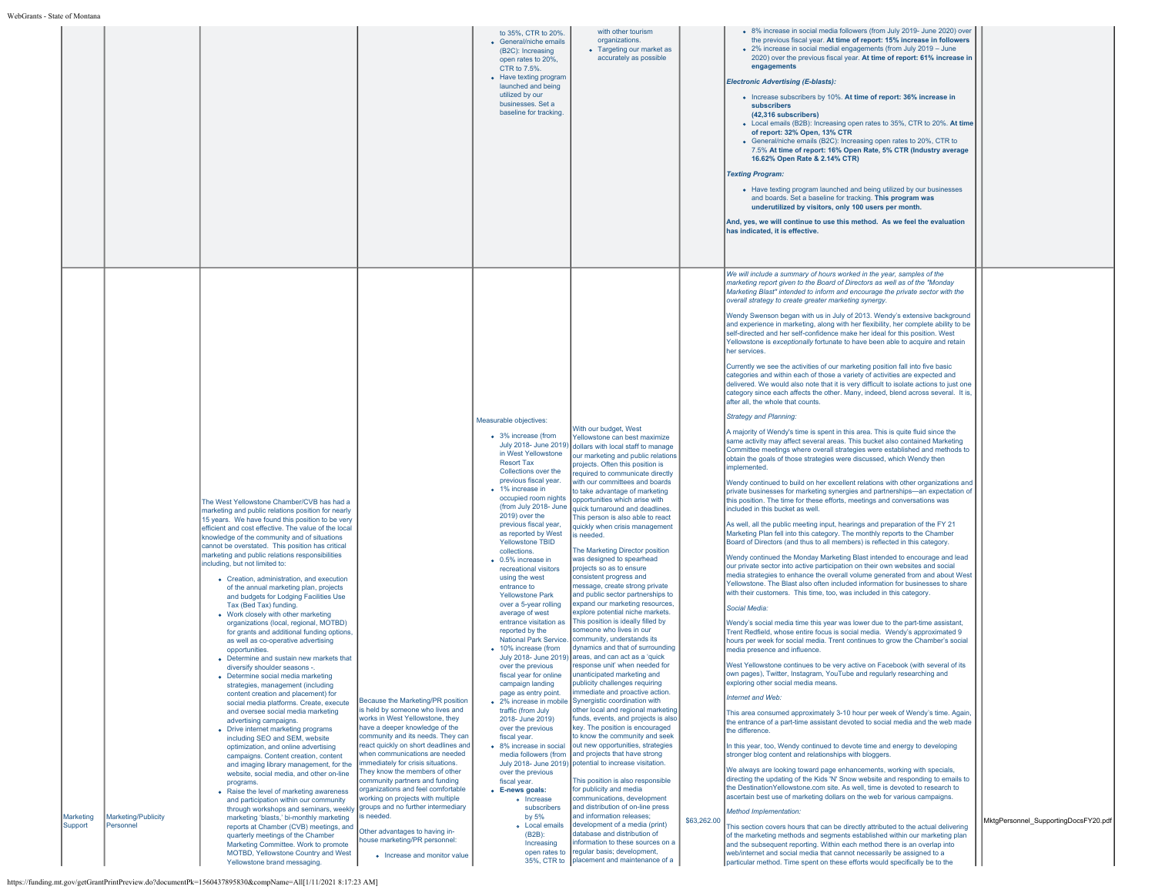|                                   |                     |                                                                                                                                                                                                                                                                                                                                                                                                                                                                                                                                                                                                                                                                                                                                                                                                                                                                                                                                                                                                                                                                                                                                                                                                                                                                                                                                                                                                                                                                                                    |                                                                                                                                                                                                                                                                                                                                                                                                                                               | to 35%. CTR to 20%.<br>• General/niche emails<br>(B2C): Increasing<br>open rates to 20%,<br>CTR to 7.5%.<br>• Have texting program<br>launched and being<br>utilized by our<br>businesses. Set a<br>baseline for tracking                                                                                                                                                                                                                                                                                                                                                                                                                                                                                                                                                                                                                                                                     | with other tourism<br>organizations.<br>• Targeting our market as<br>accurately as possible                                                                                                                                                                                                                                                                                                                                                                                                                                                                                                                                                                                                                                                                                                                                                                                                                                                                                                                                                                                                                                                                                                                                                                                                                                                                                                                                                                                                                                                           |             | . 8% increase in social media followers (from July 2019- June 2020) over<br>the previous fiscal year. At time of report: 15% increase in followers<br>• 2% increase in social medial engagements (from July 2019 - June<br>2020) over the previous fiscal year. At time of report: 61% increase in<br>engagements<br><b>Electronic Advertising (E-blasts):</b><br>• Increase subscribers by 10%. At time of report: 36% increase in<br>subscribers<br>(42,316 subscribers)<br>• Local emails (B2B): Increasing open rates to 35%, CTR to 20%. At time<br>of report: 32% Open, 13% CTR<br>• General/niche emails (B2C): Increasing open rates to 20%, CTR to<br>7.5% At time of report: 16% Open Rate, 5% CTR (Industry average<br>16.62% Open Rate & 2.14% CTR)<br><b>Texting Program:</b><br>• Have texting program launched and being utilized by our businesses<br>and boards. Set a baseline for tracking. This program was<br>underutilized by visitors, only 100 users per month.<br>And, yes, we will continue to use this method. As we feel the evaluation<br>has indicated, it is effective.                                                                                                                                                                                                                                                                                                                                                                                                                                                                                                                                                                                                                                                                                                                                                                                                                                                                                                                                                                                                                                                                                                                                                                                                                                                                                                                                                                                                               |                                      |
|-----------------------------------|---------------------|----------------------------------------------------------------------------------------------------------------------------------------------------------------------------------------------------------------------------------------------------------------------------------------------------------------------------------------------------------------------------------------------------------------------------------------------------------------------------------------------------------------------------------------------------------------------------------------------------------------------------------------------------------------------------------------------------------------------------------------------------------------------------------------------------------------------------------------------------------------------------------------------------------------------------------------------------------------------------------------------------------------------------------------------------------------------------------------------------------------------------------------------------------------------------------------------------------------------------------------------------------------------------------------------------------------------------------------------------------------------------------------------------------------------------------------------------------------------------------------------------|-----------------------------------------------------------------------------------------------------------------------------------------------------------------------------------------------------------------------------------------------------------------------------------------------------------------------------------------------------------------------------------------------------------------------------------------------|-----------------------------------------------------------------------------------------------------------------------------------------------------------------------------------------------------------------------------------------------------------------------------------------------------------------------------------------------------------------------------------------------------------------------------------------------------------------------------------------------------------------------------------------------------------------------------------------------------------------------------------------------------------------------------------------------------------------------------------------------------------------------------------------------------------------------------------------------------------------------------------------------|-------------------------------------------------------------------------------------------------------------------------------------------------------------------------------------------------------------------------------------------------------------------------------------------------------------------------------------------------------------------------------------------------------------------------------------------------------------------------------------------------------------------------------------------------------------------------------------------------------------------------------------------------------------------------------------------------------------------------------------------------------------------------------------------------------------------------------------------------------------------------------------------------------------------------------------------------------------------------------------------------------------------------------------------------------------------------------------------------------------------------------------------------------------------------------------------------------------------------------------------------------------------------------------------------------------------------------------------------------------------------------------------------------------------------------------------------------------------------------------------------------------------------------------------------------|-------------|----------------------------------------------------------------------------------------------------------------------------------------------------------------------------------------------------------------------------------------------------------------------------------------------------------------------------------------------------------------------------------------------------------------------------------------------------------------------------------------------------------------------------------------------------------------------------------------------------------------------------------------------------------------------------------------------------------------------------------------------------------------------------------------------------------------------------------------------------------------------------------------------------------------------------------------------------------------------------------------------------------------------------------------------------------------------------------------------------------------------------------------------------------------------------------------------------------------------------------------------------------------------------------------------------------------------------------------------------------------------------------------------------------------------------------------------------------------------------------------------------------------------------------------------------------------------------------------------------------------------------------------------------------------------------------------------------------------------------------------------------------------------------------------------------------------------------------------------------------------------------------------------------------------------------------------------------------------------------------------------------------------------------------------------------------------------------------------------------------------------------------------------------------------------------------------------------------------------------------------------------------------------------------------------------------------------------------------------------------------------------------------------------------------------------------------------------------------------------------------------------------------------|--------------------------------------|
|                                   |                     |                                                                                                                                                                                                                                                                                                                                                                                                                                                                                                                                                                                                                                                                                                                                                                                                                                                                                                                                                                                                                                                                                                                                                                                                                                                                                                                                                                                                                                                                                                    |                                                                                                                                                                                                                                                                                                                                                                                                                                               |                                                                                                                                                                                                                                                                                                                                                                                                                                                                                                                                                                                                                                                                                                                                                                                                                                                                                               |                                                                                                                                                                                                                                                                                                                                                                                                                                                                                                                                                                                                                                                                                                                                                                                                                                                                                                                                                                                                                                                                                                                                                                                                                                                                                                                                                                                                                                                                                                                                                       |             | We will include a summary of hours worked in the year, samples of the<br>marketing report given to the Board of Directors as well as of the "Monday"<br>Marketing Blast" intended to inform and encourage the private sector with the<br>overall strategy to create greater marketing synergy.<br>Wendy Swenson began with us in July of 2013. Wendy's extensive background<br>and experience in marketing, along with her flexibility, her complete ability to be<br>self-directed and her self-confidence make her ideal for this position. West<br>Yellowstone is exceptionally fortunate to have been able to acquire and retain<br>her services.<br>Currently we see the activities of our marketing position fall into five basic<br>categories and within each of those a variety of activities are expected and<br>delivered. We would also note that it is very difficult to isolate actions to just one<br>category since each affects the other. Many, indeed, blend across several. It is,<br>after all, the whole that counts.                                                                                                                                                                                                                                                                                                                                                                                                                                                                                                                                                                                                                                                                                                                                                                                                                                                                                                                                                                                                                                                                                                                                                                                                                                                                                                                                                                                                                                                                          |                                      |
|                                   |                     | The West Yellowstone Chamber/CVB has had a<br>marketing and public relations position for nearly<br>15 years. We have found this position to be very<br>efficient and cost effective. The value of the local<br>knowledge of the community and of situations<br>cannot be overstated. This position has critical<br>marketing and public relations responsibilities<br>including, but not limited to:<br>• Creation, administration, and execution<br>of the annual marketing plan, projects<br>and budgets for Lodging Facilities Use<br>Tax (Bed Tax) funding.<br>• Work closely with other marketing<br>organizations (local, regional, MOTBD)<br>for grants and additional funding options,<br>as well as co-operative advertising<br>opportunities.<br>• Determine and sustain new markets that<br>diversify shoulder seasons -.<br>• Determine social media marketing<br>strategies, management (including<br>content creation and placement) for<br>social media platforms. Create, execute<br>and oversee social media marketing<br>advertising campaigns.<br>• Drive internet marketing programs<br>including SEO and SEM, website<br>optimization, and online advertising<br>campaigns. Content creation, content<br>and imaging library management, for the<br>website, social media, and other on-line<br>programs.<br>• Raise the level of marketing awareness<br>and participation within our community<br>through workshops and seminars, weekly groups and no further intermediary | Because the Marketing/PR position<br>is held by someone who lives and<br>works in West Yellowstone, they<br>have a deeper knowledge of the<br>community and its needs. They can<br>react quickly on short deadlines and<br>when communications are needed<br>mmediately for crisis situations.<br>They know the members of other<br>community partners and funding<br>organizations and feel comfortable<br>working on projects with multiple | Measurable objectives:<br>• 3% increase (from<br>July 2018- June 2019)<br>in West Yellowstone<br><b>Resort Tax</b><br>Collections over the<br>previous fiscal year.<br>• 1% increase in<br>occupied room nights<br>(from July 2018- June<br>2019) over the<br>previous fiscal year,<br>as reported by West<br>Yellowstone TBID<br>collections.<br>• 0.5% increase in<br>recreational visitors<br>using the west<br>entrance to<br><b>Yellowstone Park</b><br>over a 5-year rolling<br>average of west<br>entrance visitation as<br>reported by the<br>• 10% increase (from<br>over the previous<br>fiscal year for online<br>campaign landing<br>page as entry point.<br>traffic (from July<br>2018- June 2019)<br>over the previous<br>fiscal year.<br>• 8% increase in social<br>media followers (from<br>over the previous<br>fiscal year.<br>• E-news goals:<br>• Increase<br>subscribers | With our budget, West<br>Yellowstone can best maximize<br>dollars with local staff to manage<br>our marketing and public relations<br>projects. Often this position is<br>required to communicate directly<br>with our committees and boards<br>to take advantage of marketing<br>opportunities which arise with<br>quick turnaround and deadlines.<br>This person is also able to react<br>quickly when crisis management<br>is needed.<br>The Marketing Director position<br>was designed to spearhead<br>projects so as to ensure<br>consistent progress and<br>message, create strong private<br>and public sector partnerships to<br>expand our marketing resources,<br>explore potential niche markets.<br>This position is ideally filled by<br>someone who lives in our<br>National Park Service. Community, understands its<br>dynamics and that of surrounding<br>July 2018- June 2019) areas, and can act as a 'quick<br>response unit' when needed for<br>unanticipated marketing and<br>publicity challenges requiring<br>mmediate and proactive action.<br>• 2% increase in mobile Synergistic coordination with<br>other local and regional marketing<br>funds, events, and projects is also<br>key. The position is encouraged<br>to know the community and seek<br>out new opportunities, strategies<br>and projects that have strong<br>July 2018- June 2019) potential to increase visitation.<br>This position is also responsible<br>for publicity and media<br>communications, development<br>and distribution of on-line press |             | Strategy and Planning:<br>A majority of Wendy's time is spent in this area. This is quite fluid since the<br>same activity may affect several areas. This bucket also contained Marketing<br>Committee meetings where overall strategies were established and methods to<br>obtain the goals of those strategies were discussed, which Wendy then<br>implemented.<br>Wendy continued to build on her excellent relations with other organizations and<br>private businesses for marketing synergies and partnerships-an expectation of<br>this position. The time for these efforts, meetings and conversations was<br>included in this bucket as well.<br>As well, all the public meeting input, hearings and preparation of the FY 21<br>Marketing Plan fell into this category. The monthly reports to the Chamber<br>Board of Directors (and thus to all members) is reflected in this category.<br>Wendy continued the Monday Marketing Blast intended to encourage and lead<br>our private sector into active participation on their own websites and social<br>media strategies to enhance the overall volume generated from and about West<br>Yellowstone. The Blast also often included information for businesses to share<br>with their customers. This time, too, was included in this category.<br>Social Media.<br>Wendy's social media time this year was lower due to the part-time assistant.<br>Trent Redfield, whose entire focus is social media. Wendy's approximated 9<br>hours per week for social media. Trent continues to grow the Chamber's social<br>media presence and influence.<br>West Yellowstone continues to be very active on Facebook (with several of its<br>own pages), Twitter, Instagram, YouTube and regularly researching and<br>exploring other social media means.<br>Internet and Web:<br>This area consumed approximately 3-10 hour per week of Wendy's time. Again,<br>the entrance of a part-time assistant devoted to social media and the web made<br>the difference.<br>In this year, too, Wendy continued to devote time and energy to developing<br>stronger blog content and relationships with bloggers.<br>We always are looking toward page enhancements, working with specials,<br>directing the updating of the Kids 'N' Snow website and responding to emails to<br>the DestinationYellowstone.com site. As well, time is devoted to research to<br>ascertain best use of marketing dollars on the web for various campaigns.<br>Method Implementation: |                                      |
| Marketing<br>Personnel<br>Support | Marketing/Publicity | marketing 'blasts,' bi-monthly marketing<br>reports at Chamber (CVB) meetings, and Other advantages to having in-<br>quarterly meetings of the Chamber<br>Marketing Committee. Work to promote<br>MOTBD, Yellowstone Country and West<br>Yellowstone brand messaging.                                                                                                                                                                                                                                                                                                                                                                                                                                                                                                                                                                                                                                                                                                                                                                                                                                                                                                                                                                                                                                                                                                                                                                                                                              | is needed.<br>house marketing/PR personnel:<br>• Increase and monitor value                                                                                                                                                                                                                                                                                                                                                                   | by 5%<br><b>Local emails</b><br>(B2B):<br>Increasing                                                                                                                                                                                                                                                                                                                                                                                                                                                                                                                                                                                                                                                                                                                                                                                                                                          | and information releases;<br>development of a media (print)<br>database and distribution of<br>information to these sources on a<br>open rates to regular basis; development,<br>35%, CTR to placement and maintenance of a                                                                                                                                                                                                                                                                                                                                                                                                                                                                                                                                                                                                                                                                                                                                                                                                                                                                                                                                                                                                                                                                                                                                                                                                                                                                                                                           | \$63,262.00 | This section covers hours that can be directly attributed to the actual delivering<br>of the marketing methods and segments established within our marketing plan<br>and the subsequent reporting. Within each method there is an overlap into<br>web/internet and social media that cannot necessarily be assigned to a<br>particular method. Time spent on these efforts would specifically be to the                                                                                                                                                                                                                                                                                                                                                                                                                                                                                                                                                                                                                                                                                                                                                                                                                                                                                                                                                                                                                                                                                                                                                                                                                                                                                                                                                                                                                                                                                                                                                                                                                                                                                                                                                                                                                                                                                                                                                                                                                                                                                                              | MktgPersonnel_SupportingDocsFY20.pdf |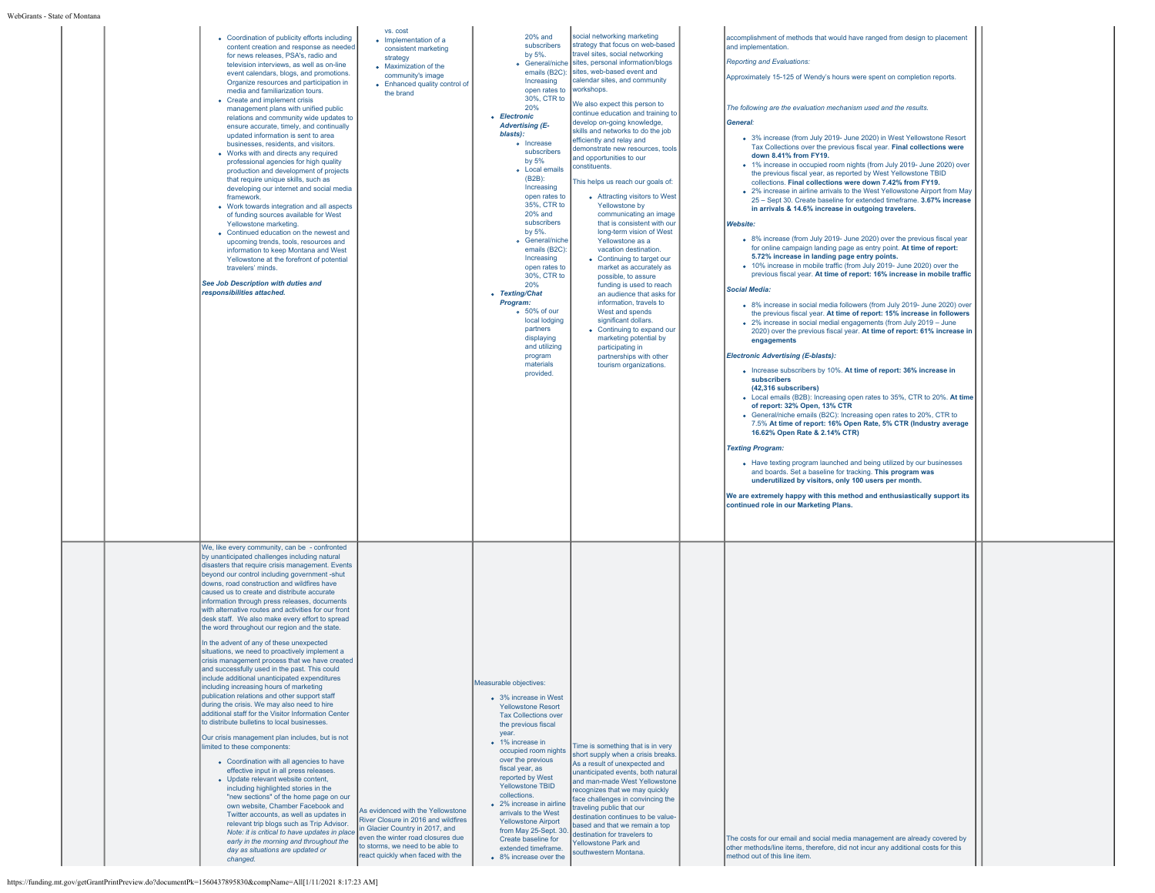| • Coordination of publicity efforts including<br>content creation and response as needed<br>for news releases, PSA's, radio and<br>television interviews, as well as on-line<br>event calendars, blogs, and promotions.<br>Organize resources and participation in<br>media and familiarization tours.<br>• Create and implement crisis<br>management plans with unified public<br>relations and community wide updates to<br>ensure accurate, timely, and continually<br>updated information is sent to area<br>businesses, residents, and visitors.<br>• Works with and directs any required<br>professional agencies for high quality<br>production and development of projects<br>that require unique skills, such as<br>developing our internet and social media<br>framework.<br>• Work towards integration and all aspects<br>of funding sources available for West<br>Yellowstone marketing.<br>• Continued education on the newest and<br>upcoming trends, tools, resources and<br>information to keep Montana and West<br>Yellowstone at the forefront of potential<br>travelers' minds.<br>See Job Description with duties and<br>responsibilities attached.                                                                                                                                                                                                                                                                                                                                                                                                                      | vs. cost<br>· Implementation of a<br>consistent marketing<br>strategy<br>• Maximization of the<br>community's image<br>• Enhanced quality control of<br>the brand                                                         | 20% and<br>subscribers<br>by 5%.<br><b>c</b> General/niche<br>emails (B2C):<br>Increasing<br>open rates to<br>30%, CTR to<br>20%<br>• Electronic<br><b>Advertising (E-</b><br>blasts):<br><b>•</b> Increase<br>subscribers<br>by 5%<br><b>•</b> Local emails<br>$(B2B)$ :<br>Increasing<br>open rates to<br>35%, CTR to<br>20% and<br>subscribers<br>by 5%.<br>o General/niche<br>emails (B2C):<br>Increasing<br>open rates to<br>30%, CTR to<br>20%<br>• Texting/Chat<br>Program:<br>o 50% of our<br>local lodging<br>partners<br>displaying<br>and utilizing<br>program<br>materials<br>provided. | social networking marketing<br>strategy that focus on web-based<br>travel sites, social networking<br>sites, personal information/blogs<br>sites, web-based event and<br>calendar sites, and community<br>workshops.<br>We also expect this person to<br>continue education and training to<br>develop on-going knowledge,<br>skills and networks to do the job<br>efficiently and relay and<br>demonstrate new resources, tools<br>and opportunities to our<br>constituents.<br>This helps us reach our goals of:<br>• Attracting visitors to West<br>Yellowstone by<br>communicating an image<br>that is consistent with our<br>long-term vision of West<br>Yellowstone as a<br>vacation destination.<br>• Continuing to target our<br>market as accurately as<br>possible, to assure<br>funding is used to reach<br>an audience that asks for<br>information, travels to<br>West and spends<br>significant dollars.<br>• Continuing to expand our<br>marketing potential by<br>participating in<br>partnerships with other<br>tourism organizations. | accomplishment of methods that would have ranged from design to placement<br>and implementation.<br><b>Reporting and Evaluations:</b><br>Approximately 15-125 of Wendy's hours were spent on completion reports.<br>The following are the evaluation mechanism used and the results.<br>General:<br>• 3% increase (from July 2019- June 2020) in West Yellowstone Resort<br>Tax Collections over the previous fiscal year. Final collections were<br>down 8.41% from FY19.<br>• 1% increase in occupied room nights (from July 2019- June 2020) over<br>the previous fiscal year, as reported by West Yellowstone TBID<br>collections. Final collections were down 7.42% from FY19.<br>. 2% increase in airline arrivals to the West Yellowstone Airport from May<br>25 - Sept 30. Create baseline for extended timeframe, 3.67% increase<br>in arrivals & 14.6% increase in outgoing travelers.<br><b>Website:</b><br>• 8% increase (from July 2019- June 2020) over the previous fiscal year<br>for online campaign landing page as entry point. At time of report:<br>5.72% increase in landing page entry points.<br>• 10% increase in mobile traffic (from July 2019- June 2020) over the<br>previous fiscal year. At time of report: 16% increase in mobile traffic<br><b>Social Media:</b><br>. 8% increase in social media followers (from July 2019- June 2020) over<br>the previous fiscal year. At time of report: 15% increase in followers<br>• 2% increase in social medial engagements (from July 2019 - June<br>2020) over the previous fiscal year. At time of report: 61% increase in<br>engagements<br><b>Electronic Advertising (E-blasts):</b><br>• Increase subscribers by 10%. At time of report: 36% increase in<br>subscribers<br>(42.316 subscribers)<br>• Local emails (B2B): Increasing open rates to 35%, CTR to 20%. At time<br>of report: 32% Open, 13% CTR<br>• General/niche emails (B2C): Increasing open rates to 20%, CTR to<br>7.5% At time of report: 16% Open Rate, 5% CTR (Industry average<br>16.62% Open Rate & 2.14% CTR)<br><b>Texting Program:</b><br>• Have texting program launched and being utilized by our businesses<br>and boards. Set a baseline for tracking. This program was<br>underutilized by visitors, only 100 users per month.<br>We are extremely happy with this method and enthusiastically support its<br>continued role in our Marketing Plans. |
|----------------------------------------------------------------------------------------------------------------------------------------------------------------------------------------------------------------------------------------------------------------------------------------------------------------------------------------------------------------------------------------------------------------------------------------------------------------------------------------------------------------------------------------------------------------------------------------------------------------------------------------------------------------------------------------------------------------------------------------------------------------------------------------------------------------------------------------------------------------------------------------------------------------------------------------------------------------------------------------------------------------------------------------------------------------------------------------------------------------------------------------------------------------------------------------------------------------------------------------------------------------------------------------------------------------------------------------------------------------------------------------------------------------------------------------------------------------------------------------------------------------------------------------------------------------------------------------------|---------------------------------------------------------------------------------------------------------------------------------------------------------------------------------------------------------------------------|-----------------------------------------------------------------------------------------------------------------------------------------------------------------------------------------------------------------------------------------------------------------------------------------------------------------------------------------------------------------------------------------------------------------------------------------------------------------------------------------------------------------------------------------------------------------------------------------------------|---------------------------------------------------------------------------------------------------------------------------------------------------------------------------------------------------------------------------------------------------------------------------------------------------------------------------------------------------------------------------------------------------------------------------------------------------------------------------------------------------------------------------------------------------------------------------------------------------------------------------------------------------------------------------------------------------------------------------------------------------------------------------------------------------------------------------------------------------------------------------------------------------------------------------------------------------------------------------------------------------------------------------------------------------------|--------------------------------------------------------------------------------------------------------------------------------------------------------------------------------------------------------------------------------------------------------------------------------------------------------------------------------------------------------------------------------------------------------------------------------------------------------------------------------------------------------------------------------------------------------------------------------------------------------------------------------------------------------------------------------------------------------------------------------------------------------------------------------------------------------------------------------------------------------------------------------------------------------------------------------------------------------------------------------------------------------------------------------------------------------------------------------------------------------------------------------------------------------------------------------------------------------------------------------------------------------------------------------------------------------------------------------------------------------------------------------------------------------------------------------------------------------------------------------------------------------------------------------------------------------------------------------------------------------------------------------------------------------------------------------------------------------------------------------------------------------------------------------------------------------------------------------------------------------------------------------------------------------------------------------------------------------------------------------------------------------------------------------------------------------------------------------------------------------------------------------------------------------------------------------------------------------------------------------------------------------------------------------------------------------------------------------------------------------------------------------------------------------------------|
| We, like every community, can be - confronted<br>by unanticipated challenges including natural<br>disasters that require crisis management. Events<br>beyond our control including government -shut<br>downs, road construction and wildfires have<br>caused us to create and distribute accurate<br>information through press releases, documents<br>with alternative routes and activities for our front<br>desk staff. We also make every effort to spread<br>the word throughout our region and the state.<br>In the advent of any of these unexpected<br>situations, we need to proactively implement a<br>crisis management process that we have created<br>and successfully used in the past. This could<br>include additional unanticipated expenditures<br>including increasing hours of marketing<br>publication relations and other support staff<br>during the crisis. We may also need to hire<br>additional staff for the Visitor Information Center<br>to distribute bulletins to local businesses.<br>Our crisis management plan includes, but is not<br>limited to these components:<br>• Coordination with all agencies to have<br>effective input in all press releases.<br>• Update relevant website content.<br>including highlighted stories in the<br>"new sections" of the home page on our<br>own website, Chamber Facebook and<br>Twitter accounts, as well as updates in<br>relevant trip blogs such as Trip Advisor.<br>Note: it is critical to have updates in place<br>early in the morning and throughout the<br>day as situations are updated or<br>changed. | As evidenced with the Yellowstone<br>River Closure in 2016 and wildfires<br>in Glacier Country in 2017, and<br>even the winter road closures due<br>to storms, we need to be able to<br>react quickly when faced with the | Measurable objectives:<br>• 3% increase in West<br><b>Yellowstone Resort</b><br><b>Tax Collections over</b><br>the previous fiscal<br>year.<br>• 1% increase in<br>occupied room nights<br>over the previous<br>fiscal year, as<br>reported by West<br>Yellowstone TBID<br>collections.<br>• 2% increase in airline<br>arrivals to the West<br><b>Yellowstone Airport</b><br>from May 25-Sept. 30<br>Create baseline for<br>extended timeframe.<br>• 8% increase over the                                                                                                                           | Time is something that is in very<br>short supply when a crisis breaks.<br>As a result of unexpected and<br>unanticipated events, both natural<br>and man-made West Yellowstone<br>recognizes that we may quickly<br>face challenges in convincing the<br>traveling public that our<br>destination continues to be value-<br>based and that we remain a top<br>destination for travelers to<br><b>Yellowstone Park and</b><br>southwestern Montana.                                                                                                                                                                                                                                                                                                                                                                                                                                                                                                                                                                                                     | The costs for our email and social media management are already covered by<br>other methods/line items, therefore, did not incur any additional costs for this<br>method out of this line item.                                                                                                                                                                                                                                                                                                                                                                                                                                                                                                                                                                                                                                                                                                                                                                                                                                                                                                                                                                                                                                                                                                                                                                                                                                                                                                                                                                                                                                                                                                                                                                                                                                                                                                                                                                                                                                                                                                                                                                                                                                                                                                                                                                                                                    |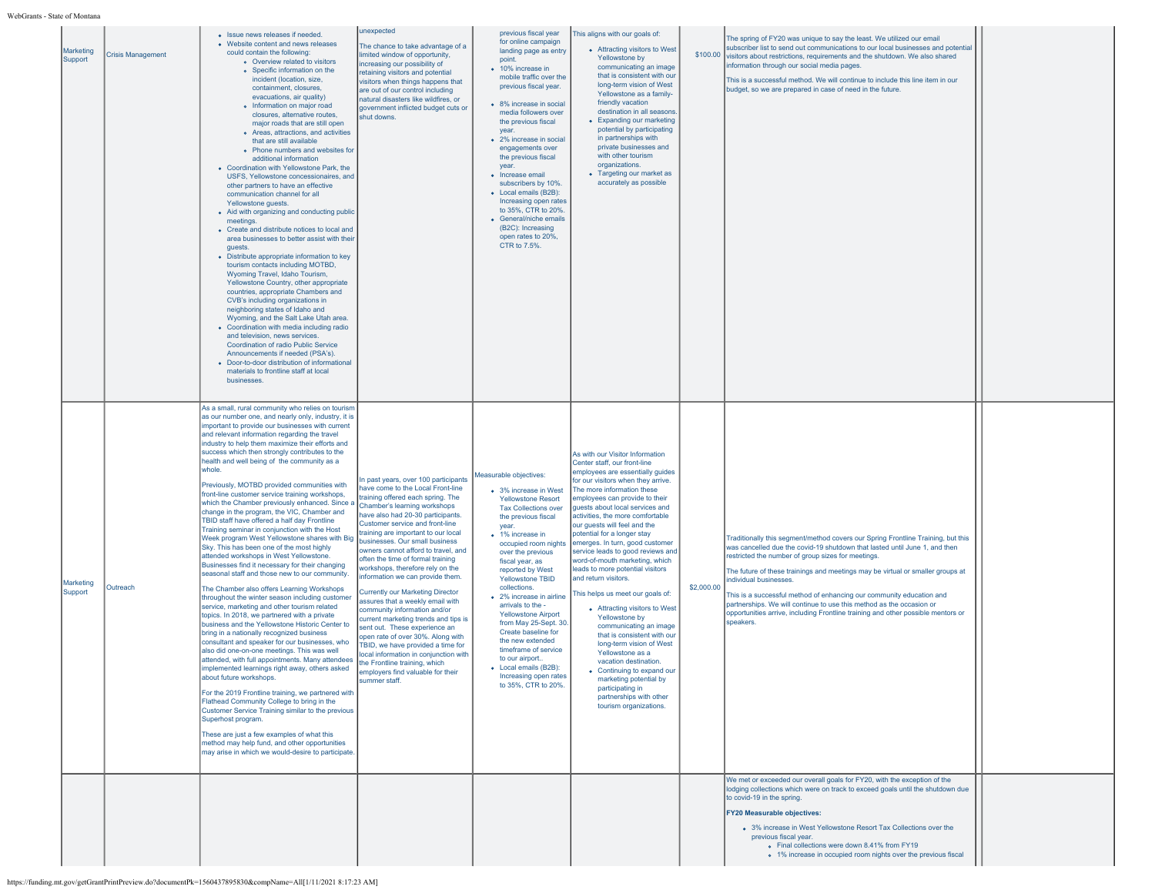| Marketing<br>Support | <b>Crisis Management</b> | Issue news releases if needed.<br>• Website content and news releases<br>could contain the following:<br>o Overview related to visitors<br>• Specific information on the<br>incident (location, size,<br>containment, closures.<br>evacuations, air quality)<br>• Information on major road<br>closures, alternative routes,<br>major roads that are still open<br>· Areas, attractions, and activities<br>that are still available<br>• Phone numbers and websites for<br>additional information<br>• Coordination with Yellowstone Park, the<br>USFS, Yellowstone concessionaires, and<br>other partners to have an effective<br>communication channel for all<br>Yellowstone quests.<br>• Aid with organizing and conducting public<br>meetings.<br>• Create and distribute notices to local and<br>area businesses to better assist with their<br>guests.<br>• Distribute appropriate information to key<br>tourism contacts including MOTBD,<br>Wyoming Travel, Idaho Tourism,<br>Yellowstone Country, other appropriate<br>countries, appropriate Chambers and<br>CVB's including organizations in<br>neighboring states of Idaho and<br>Wyoming, and the Salt Lake Utah area.<br>• Coordination with media including radio<br>and television, news services.<br>Coordination of radio Public Service<br>Announcements if needed (PSA's).<br>• Door-to-door distribution of informational<br>materials to frontline staff at local<br>businesses                                                                                                                                                                                                                                                                                                                                                | unexpected<br>The chance to take advantage of a<br>limited window of opportunity,<br>increasing our possibility of<br>retaining visitors and potential<br>visitors when things happens that<br>are out of our control including<br>natural disasters like wildfires, or<br>government inflicted budget cuts or<br>shut downs.                                                                                                                                                                                                                                                                                                                                                                                                                                                                                                                      | previous fiscal year<br>for online campaign<br>landing page as entry<br>point.<br>• 10% increase in<br>mobile traffic over the<br>previous fiscal year.<br>• 8% increase in social<br>media followers over<br>the previous fiscal<br>vear.<br>• 2% increase in social<br>engagements over<br>the previous fiscal<br>vear.<br>• Increase email<br>subscribers by 10%.<br>• Local emails (B2B):<br>Increasing open rates<br>to 35%, CTR to 20%.<br>• General/niche emails<br>(B2C): Increasing<br>open rates to 20%,<br>CTR to 7.5%.                           | This aligns with our goals of:<br>• Attracting visitors to West<br>Yellowstone by<br>communicating an image<br>that is consistent with our<br>long-term vision of West<br>Yellowstone as a family-<br>friendly vacation<br>destination in all seasons<br>• Expanding our marketing<br>potential by participating<br>in partnerships with<br>private businesses and<br>with other tourism<br>organizations.<br>• Targeting our market as<br>accurately as possible                                                                                                                                                                                                                                                                                                                                                                                                               | \$100.00   | The spring of FY20 was unique to say the least. We utilized our email<br>subscriber list to send out communications to our local businesses and potential<br>visitors about restrictions, requirements and the shutdown. We also shared<br>information through our social media pages.<br>This is a successful method. We will continue to include this line item in our<br>budget, so we are prepared in case of need in the future.                                                                                                                                             |  |
|----------------------|--------------------------|-------------------------------------------------------------------------------------------------------------------------------------------------------------------------------------------------------------------------------------------------------------------------------------------------------------------------------------------------------------------------------------------------------------------------------------------------------------------------------------------------------------------------------------------------------------------------------------------------------------------------------------------------------------------------------------------------------------------------------------------------------------------------------------------------------------------------------------------------------------------------------------------------------------------------------------------------------------------------------------------------------------------------------------------------------------------------------------------------------------------------------------------------------------------------------------------------------------------------------------------------------------------------------------------------------------------------------------------------------------------------------------------------------------------------------------------------------------------------------------------------------------------------------------------------------------------------------------------------------------------------------------------------------------------------------------------------------------------------------------------------------------------------------------------------------|----------------------------------------------------------------------------------------------------------------------------------------------------------------------------------------------------------------------------------------------------------------------------------------------------------------------------------------------------------------------------------------------------------------------------------------------------------------------------------------------------------------------------------------------------------------------------------------------------------------------------------------------------------------------------------------------------------------------------------------------------------------------------------------------------------------------------------------------------|--------------------------------------------------------------------------------------------------------------------------------------------------------------------------------------------------------------------------------------------------------------------------------------------------------------------------------------------------------------------------------------------------------------------------------------------------------------------------------------------------------------------------------------------------------------|---------------------------------------------------------------------------------------------------------------------------------------------------------------------------------------------------------------------------------------------------------------------------------------------------------------------------------------------------------------------------------------------------------------------------------------------------------------------------------------------------------------------------------------------------------------------------------------------------------------------------------------------------------------------------------------------------------------------------------------------------------------------------------------------------------------------------------------------------------------------------------|------------|-----------------------------------------------------------------------------------------------------------------------------------------------------------------------------------------------------------------------------------------------------------------------------------------------------------------------------------------------------------------------------------------------------------------------------------------------------------------------------------------------------------------------------------------------------------------------------------|--|
| Marketing<br>Support | Outreach                 | As a small, rural community who relies on tourism<br>as our number one, and nearly only, industry, it is<br>important to provide our businesses with current<br>and relevant information regarding the travel<br>industry to help them maximize their efforts and<br>success which then strongly contributes to the<br>health and well being of the community as a<br>whole.<br>Previously, MOTBD provided communities with<br>front-line customer service training workshops,<br>which the Chamber previously enhanced. Since a<br>change in the program, the VIC, Chamber and<br>TBID staff have offered a half day Frontline<br>Training seminar in conjunction with the Host<br>Week program West Yellowstone shares with Big<br>Sky. This has been one of the most highly<br>attended workshops in West Yellowstone.<br>Businesses find it necessary for their changing<br>seasonal staff and those new to our community.<br>The Chamber also offers Learning Workshops<br>throughout the winter season including customer<br>service, marketing and other tourism related<br>topics. In 2018, we partnered with a private<br>business and the Yellowstone Historic Center to<br>bring in a nationally recognized business<br>consultant and speaker for our businesses, who<br>also did one-on-one meetings. This was well<br>attended, with full appointments. Many attendees<br>implemented learnings right away, others asked<br>about future workshops.<br>For the 2019 Frontline training, we partnered with<br>Flathead Community College to bring in the<br>Customer Service Training similar to the previous<br>Superhost program.<br>These are just a few examples of what this<br>method may help fund, and other opportunities<br>may arise in which we would-desire to participate. | In past years, over 100 participants<br>have come to the Local Front-line<br>training offered each spring. The<br>Chamber's learning workshops<br>have also had 20-30 participants.<br>Customer service and front-line<br>training are important to our local<br>businesses. Our small business<br>owners cannot afford to travel, and<br>often the time of formal training<br>workshops, therefore rely on the<br>nformation we can provide them<br><b>Currently our Marketing Director</b><br>assures that a weekly email with<br>community information and/or<br>current marketing trends and tips is<br>sent out. These experience an<br>open rate of over 30%. Along with<br>TBID, we have provided a time for<br>local information in conjunction with<br>the Frontline training, which<br>mployers find valuable for their<br>summer staff. | Measurable objectives:<br>• 3% increase in West<br><b>Yellowstone Resort</b><br><b>Tax Collections over</b><br>the previous fiscal<br>year.<br>• 1% increase in<br>occupied room nights<br>over the previous<br>fiscal year, as<br>reported by West<br>Yellowstone TBID<br>collections.<br>• 2% increase in airline<br>arrivals to the -<br><b>Yellowstone Airport</b><br>from May 25-Sept. 30.<br>Create baseline for<br>the new extended<br>timeframe of service<br>to our airport<br>• Local emails (B2B):<br>Increasing open rate<br>to 35%, CTR to 20%. | As with our Visitor Information<br>Center staff, our front-line<br>employees are essentially guides<br>for our visitors when they arrive.<br>The more information these<br>employees can provide to their<br>quests about local services and<br>activities, the more comfortable<br>our quests will feel and the<br>potential for a longer stay<br>emerges. In turn, good customer<br>service leads to good reviews and<br>word-of-mouth marketing, which<br>leads to more potential visitors<br>and return visitors.<br>This helps us meet our goals of:<br>• Attracting visitors to West<br>Yellowstone by<br>communicating an image<br>that is consistent with our<br>long-term vision of West<br>Yellowstone as a<br>vacation destination.<br>• Continuing to expand our<br>marketing potential by<br>participating in<br>partnerships with other<br>tourism organizations. | \$2,000.00 | Traditionally this segment/method covers our Spring Frontline Training, but this<br>was cancelled due the covid-19 shutdown that lasted until June 1, and then<br>restricted the number of group sizes for meetings.<br>The future of these trainings and meetings may be virtual or smaller groups at<br>individual businesses.<br>This is a successful method of enhancing our community education and<br>partnerships. We will continue to use this method as the occasion or<br>opportunities arrive, including Frontline training and other possible mentors or<br>speakers. |  |
|                      |                          |                                                                                                                                                                                                                                                                                                                                                                                                                                                                                                                                                                                                                                                                                                                                                                                                                                                                                                                                                                                                                                                                                                                                                                                                                                                                                                                                                                                                                                                                                                                                                                                                                                                                                                                                                                                                       |                                                                                                                                                                                                                                                                                                                                                                                                                                                                                                                                                                                                                                                                                                                                                                                                                                                    |                                                                                                                                                                                                                                                                                                                                                                                                                                                                                                                                                              |                                                                                                                                                                                                                                                                                                                                                                                                                                                                                                                                                                                                                                                                                                                                                                                                                                                                                 |            | We met or exceeded our overall goals for FY20, with the exception of the<br>lodging collections which were on track to exceed goals until the shutdown due<br>to covid-19 in the spring.<br><b>FY20 Measurable objectives:</b><br>• 3% increase in West Yellowstone Resort Tax Collections over the<br>previous fiscal year.<br>• Final collections were down 8.41% from FY19<br>• 1% increase in occupied room nights over the previous fiscal                                                                                                                                   |  |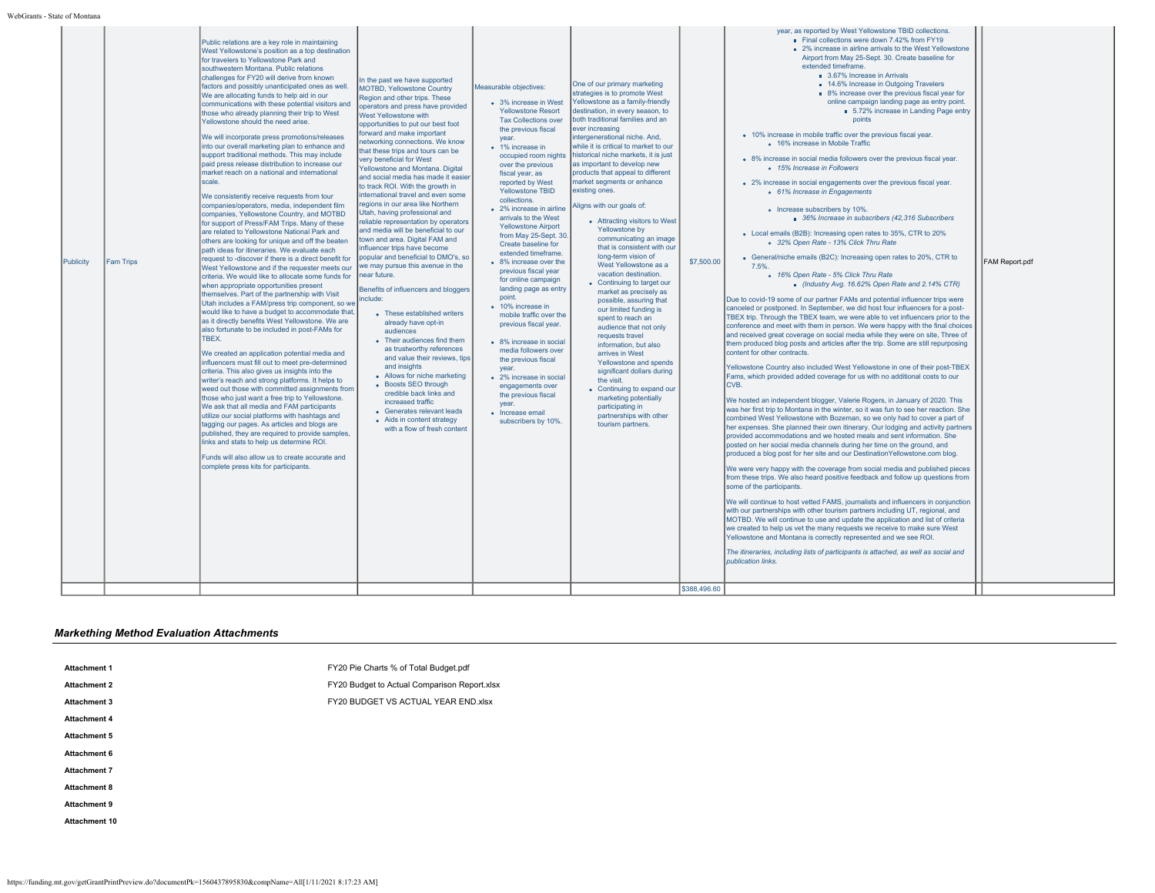| year, as reported by West Yellowstone TBID collections.<br>Final collections were down 7.42% from FY19<br>Public relations are a key role in maintaining<br>■ 2% increase in airline arrivals to the West Yellowstone<br>West Yellowstone's position as a top destination<br>Airport from May 25-Sept. 30. Create baseline for<br>for travelers to Yellowstone Park and<br>extended timeframe.<br>southwestern Montana, Public relations<br>3.67% Increase in Arrivals<br>challenges for FY20 will derive from known<br>In the past we have supported<br>One of our primary marketing<br>■ 14.6% Increase in Outgoing Travelers<br>factors and possibly unanticipated ones as well.<br>Measurable objectives:<br>MOTBD, Yellowstone Country<br>strategies is to promote West<br>■ 8% increase over the previous fiscal vear for<br>We are allocating funds to help aid in our<br>Region and other trips. These<br>Yellowstone as a family-friendly<br>online campaign landing page as entry point.<br>• 3% increase in West<br>communications with these potential visitors and<br>operators and press have provided<br>destination, in every season, to<br>5.72% increase in Landing Page entry<br><b>Yellowstone Resort</b><br>those who already planning their trip to West<br><b>West Yellowstone with</b><br>both traditional families and an<br>points<br><b>Tax Collections over</b><br>Yellowstone should the need arise.<br>opportunities to put our best foot<br>the previous fiscal<br>ever increasing<br>forward and make important<br>• 10% increase in mobile traffic over the previous fiscal year.<br>We will incorporate press promotions/releases<br>intergenerational niche. And,<br>year.<br>networking connections. We know<br>o 16% increase in Mobile Traffic<br>while it is critical to market to our<br>into our overall marketing plan to enhance and<br>• 1% increase in<br>that these trips and tours can be<br>historical niche markets, it is just<br>support traditional methods. This may include<br>occupied room nights<br>• 8% increase in social media followers over the previous fiscal year.<br>very beneficial for West<br>paid press release distribution to increase our<br>as important to develop new<br>over the previous<br>o 15% Increase in Followers<br>Yellowstone and Montana. Digital<br>market reach on a national and international<br>products that appeal to different<br>fiscal year, as<br>and social media has made it easier<br>scale.<br>market segments or enhance<br>reported by West<br>• 2% increase in social engagements over the previous fiscal year.<br>to track ROI. With the growth in<br>existing ones.<br><b>Yellowstone TBID</b><br>o 61% Increase in Engagements<br>international travel and even some<br>We consistently receive requests from tour<br>collections.<br>regions in our area like Northern<br>Aligns with our goals of:<br>companies/operators, media, independent film<br>• 2% increase in airline<br>o Increase subscribers by 10%.<br>Utah, having professional and<br>companies. Yellowstone Country, and MOTBD<br>arrivals to the West<br>36% Increase in subscribers (42.316 Subscribers<br>• Attracting visitors to West<br>reliable representation by operators<br>for support of Press/FAM Trips. Many of these<br><b>Yellowstone Airport</b><br>Yellowstone by<br>and media will be beneficial to our<br>are related to Yellowstone National Park and<br>• Local emails (B2B): Increasing open rates to 35%, CTR to 20%<br>from May 25-Sept. 30.<br>communicating an image<br>town and area. Digital FAM and<br>others are looking for unique and off the beaten<br>o 32% Open Rate - 13% Click Thru Rate<br>Create baseline for<br>that is consistent with our<br>influencer trips have become<br>path ideas for itineraries. We evaluate each<br>extended timeframe.<br>long-term vision of<br>popular and beneficial to DMO's. so<br>• General/niche emails (B2C): Increasing open rates to 20%, CTR to<br>request to -discover if there is a direct benefit for<br>\$7,500.00<br>FAM Report.pdf<br>Publicity<br><b>Fam Trips</b><br>• 8% increase over the<br>West Yellowstone as a<br>we may pursue this avenue in the<br>7.5%<br>West Yellowstone and if the requester meets our<br>previous fiscal year<br>vacation destination.<br>near future.<br>o 16% Open Rate - 5% Click Thru Rate<br>criteria. We would like to allocate some funds for<br>for online campaign<br>• Continuing to target our<br>Industry Avg. 16.62% Open Rate and 2.14% CTR)<br>when appropriate opportunities present<br>landing page as entry<br>Benefits of influencers and bloggers<br>market as precisely as<br>themselves. Part of the partnership with Visit<br>point.<br>include:<br>Due to covid-19 some of our partner FAMs and potential influencer trips were<br>possible, assuring that<br>Utah includes a FAM/press trip component, so we<br>• 10% increase in<br>canceled or postponed. In September, we did host four influencers for a post-<br>our limited funding is<br>would like to have a budget to accommodate that,<br>• These established writers<br>mobile traffic over the<br>TBEX trip. Through the TBEX team, we were able to vet influencers prior to the<br>spent to reach an<br>as it directly benefits West Yellowstone. We are<br>already have opt-in<br>previous fiscal year.<br>conference and meet with them in person. We were happy with the final choices<br>audience that not only<br>also fortunate to be included in post-FAMs for<br>audiences<br>and received great coverage on social media while they were on site. Three of<br>requests travel<br>TBEX.<br>• Their audiences find them<br>• 8% increase in social<br>them produced blog posts and articles after the trip. Some are still repurposing<br>information, but also<br>as trustworthy references<br>media followers over<br>content for other contracts.<br>We created an application potential media and<br>arrives in West<br>and value their reviews, tips<br>the previous fiscal<br>influencers must fill out to meet pre-determined<br>Yellowstone and spends<br>and insights<br>Yellowstone Country also included West Yellowstone in one of their post-TBEX<br>year.<br>criteria. This also gives us insights into the<br>significant dollars during<br>• Allows for niche marketing<br>Fams, which provided added coverage for us with no additional costs to our<br>• 2% increase in social<br>writer's reach and strong platforms. It helps to<br>the visit.<br>• Boosts SEO through<br>CVB.<br>engagements over<br>weed out those with committed assignments from<br>• Continuing to expand our<br>credible back links and<br>the previous fiscal<br>marketing potentially<br>those who just want a free trip to Yellowstone.<br>We hosted an independent blogger, Valerie Rogers, in January of 2020. This<br>increased traffic<br>vear<br>We ask that all media and FAM participants<br>participating in<br>was her first trip to Montana in the winter, so it was fun to see her reaction. She<br>• Generates relevant leads<br>· Increase email<br>utilize our social platforms with hashtags and<br>partnerships with other<br>combined West Yellowstone with Bozeman, so we only had to cover a part of<br>• Aids in content strategy<br>subscribers by 10%.<br>tagging our pages. As articles and blogs are<br>tourism partners<br>her expenses. She planned their own itinerary. Our lodging and activity partners<br>with a flow of fresh content<br>published, they are required to provide samples,<br>provided accommodations and we hosted meals and sent information. She<br>links and stats to help us determine ROI.<br>posted on her social media channels during her time on the ground, and<br>produced a blog post for her site and our DestinationYellowstone.com blog.<br>Funds will also allow us to create accurate and<br>complete press kits for participants.<br>We were very happy with the coverage from social media and published pieces<br>from these trips. We also heard positive feedback and follow up questions from<br>some of the participants.<br>We will continue to host vetted FAMS, journalists and influencers in conjunction<br>with our partnerships with other tourism partners including UT, regional, and<br>MOTBD. We will continue to use and update the application and list of criteria<br>we created to help us vet the many requests we receive to make sure West<br>Yellowstone and Montana is correctly represented and we see ROI.<br>The itineraries, including lists of participants is attached, as well as social and<br>publication links. | \$388,496.60 |  |  |  |  |  |
|----------------------------------------------------------------------------------------------------------------------------------------------------------------------------------------------------------------------------------------------------------------------------------------------------------------------------------------------------------------------------------------------------------------------------------------------------------------------------------------------------------------------------------------------------------------------------------------------------------------------------------------------------------------------------------------------------------------------------------------------------------------------------------------------------------------------------------------------------------------------------------------------------------------------------------------------------------------------------------------------------------------------------------------------------------------------------------------------------------------------------------------------------------------------------------------------------------------------------------------------------------------------------------------------------------------------------------------------------------------------------------------------------------------------------------------------------------------------------------------------------------------------------------------------------------------------------------------------------------------------------------------------------------------------------------------------------------------------------------------------------------------------------------------------------------------------------------------------------------------------------------------------------------------------------------------------------------------------------------------------------------------------------------------------------------------------------------------------------------------------------------------------------------------------------------------------------------------------------------------------------------------------------------------------------------------------------------------------------------------------------------------------------------------------------------------------------------------------------------------------------------------------------------------------------------------------------------------------------------------------------------------------------------------------------------------------------------------------------------------------------------------------------------------------------------------------------------------------------------------------------------------------------------------------------------------------------------------------------------------------------------------------------------------------------------------------------------------------------------------------------------------------------------------------------------------------------------------------------------------------------------------------------------------------------------------------------------------------------------------------------------------------------------------------------------------------------------------------------------------------------------------------------------------------------------------------------------------------------------------------------------------------------------------------------------------------------------------------------------------------------------------------------------------------------------------------------------------------------------------------------------------------------------------------------------------------------------------------------------------------------------------------------------------------------------------------------------------------------------------------------------------------------------------------------------------------------------------------------------------------------------------------------------------------------------------------------------------------------------------------------------------------------------------------------------------------------------------------------------------------------------------------------------------------------------------------------------------------------------------------------------------------------------------------------------------------------------------------------------------------------------------------------------------------------------------------------------------------------------------------------------------------------------------------------------------------------------------------------------------------------------------------------------------------------------------------------------------------------------------------------------------------------------------------------------------------------------------------------------------------------------------------------------------------------------------------------------------------------------------------------------------------------------------------------------------------------------------------------------------------------------------------------------------------------------------------------------------------------------------------------------------------------------------------------------------------------------------------------------------------------------------------------------------------------------------------------------------------------------------------------------------------------------------------------------------------------------------------------------------------------------------------------------------------------------------------------------------------------------------------------------------------------------------------------------------------------------------------------------------------------------------------------------------------------------------------------------------------------------------------------------------------------------------------------------------------------------------------------------------------------------------------------------------------------------------------------------------------------------------------------------------------------------------------------------------------------------------------------------------------------------------------------------------------------------------------------------------------------------------------------------------------------------------------------------------------------------------------------------------------------------------------------------------------------------------------------------------------------------------------------------------------------------------------------------------------------------------------------------------------------------------------------------------------------------------------------------------------------------------------------------------------------------------------------------------------------------------------------------------------------------------------------------------------------------------------------------------------------------------------------------------------------------------------------------------------------------------------------------------------------------------------------------------------------------------------------------------------------------------------------------------------------------------------------------------------------------------------------------------------------------------------------------------------------------------------------------------------------------------------------------------------------------------------------------------------------------------------------------------------------------------------------------------------------------------------------------------------------------------------------------------------------------------------------------------------------------------------------------------------------------------------------------------------------------------------------------------------------------------------------------------------------------------------------------------------------------------------|--------------|--|--|--|--|--|
|                                                                                                                                                                                                                                                                                                                                                                                                                                                                                                                                                                                                                                                                                                                                                                                                                                                                                                                                                                                                                                                                                                                                                                                                                                                                                                                                                                                                                                                                                                                                                                                                                                                                                                                                                                                                                                                                                                                                                                                                                                                                                                                                                                                                                                                                                                                                                                                                                                                                                                                                                                                                                                                                                                                                                                                                                                                                                                                                                                                                                                                                                                                                                                                                                                                                                                                                                                                                                                                                                                                                                                                                                                                                                                                                                                                                                                                                                                                                                                                                                                                                                                                                                                                                                                                                                                                                                                                                                                                                                                                                                                                                                                                                                                                                                                                                                                                                                                                                                                                                                                                                                                                                                                                                                                                                                                                                                                                                                                                                                                                                                                                                                                                                                                                                                                                                                                                                                                                                                                                                                                                                                                                                                                                                                                                                                                                                                                                                                                                                                                                                                                                                                                                                                                                                                                                                                                                                                                                                                                                                                                                                                                                                                                                                                                                                                                                                                                                                                                                                                                                                                                                                                                                                                                                                                                                                                                                                                                                                                                                                                                                                                                                                                                                                                                                                                                                                                                                                                                                                                                                                                                                                                                                                                                                      |              |  |  |  |  |  |

# *Markething Method Evaluation Attachments*

| <b>Attachment 1</b>  | FY20 Pie Charts % of Total Budget.pdf        |
|----------------------|----------------------------------------------|
| <b>Attachment 2</b>  | FY20 Budget to Actual Comparison Report.xlsx |
| <b>Attachment 3</b>  | FY20 BUDGET VS ACTUAL YEAR END.xlsx          |
| <b>Attachment 4</b>  |                                              |
| Attachment 5         |                                              |
| Attachment 6         |                                              |
| <b>Attachment 7</b>  |                                              |
| Attachment 8         |                                              |
| <b>Attachment 9</b>  |                                              |
| <b>Attachment 10</b> |                                              |
|                      |                                              |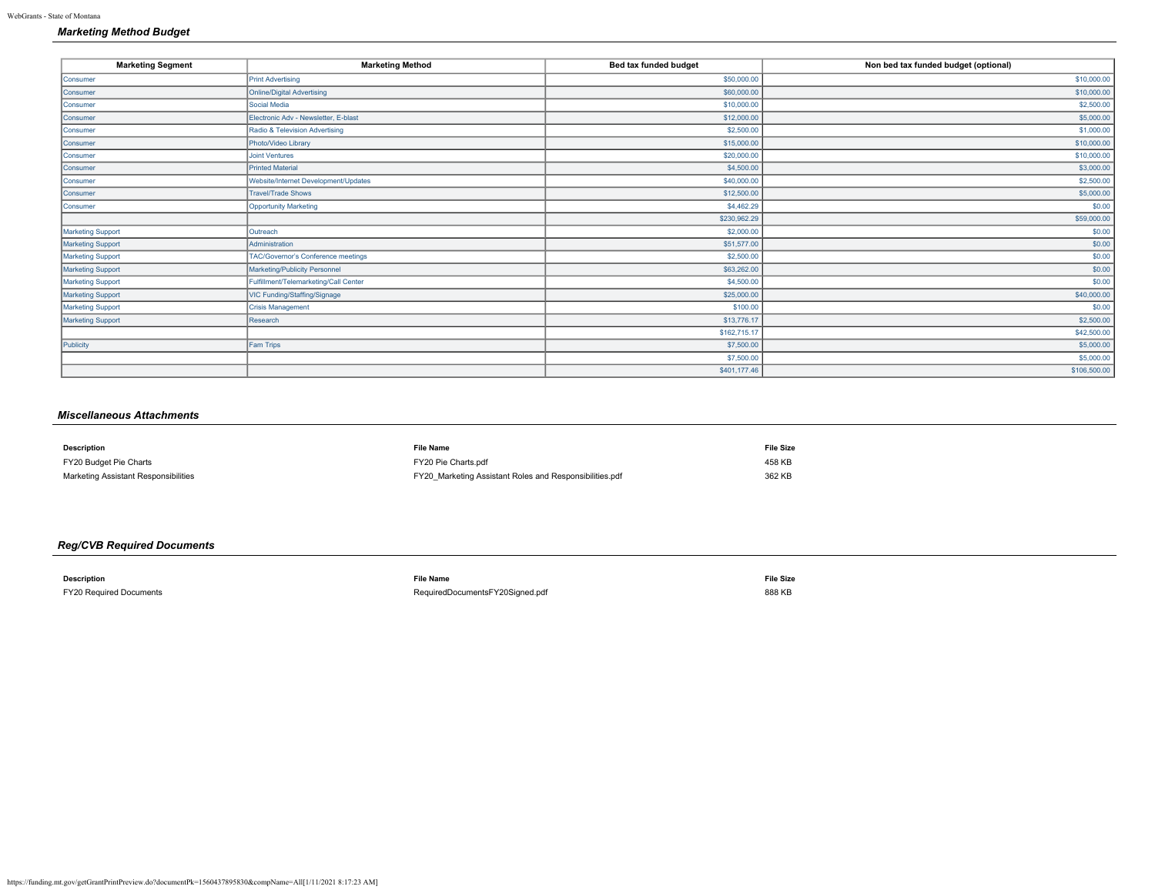# *Marketing Method Budget*

| <b>Marketing Segment</b> | <b>Marketing Method</b>                   | Bed tax funded budget | Non bed tax funded budget (optional) |
|--------------------------|-------------------------------------------|-----------------------|--------------------------------------|
| Consumer                 | <b>Print Advertising</b>                  | \$50,000.00           | \$10,000.00                          |
| Consumer                 | <b>Online/Digital Advertising</b>         | \$60,000.00           | \$10,000.00                          |
| Consumer                 | Social Media                              | \$10,000.00           | \$2,500.00                           |
| Consumer                 | Electronic Adv - Newsletter, E-blast      | \$12,000.00           | \$5,000.00                           |
| Consumer                 | Radio & Television Advertising            | \$2,500.00            | \$1,000.00                           |
| Consumer                 | Photo/Video Library                       | \$15,000.00           | \$10,000.00                          |
| Consumer                 | <b>Joint Ventures</b>                     | \$20,000.00           | \$10,000.00                          |
| Consumer                 | <b>Printed Material</b>                   | \$4,500.00            | \$3,000.00                           |
| Consumer                 | Website/Internet Development/Updates      | \$40,000.00           | \$2,500.00                           |
| Consumer                 | <b>Travel/Trade Shows</b>                 | \$12,500.00           | \$5,000.00                           |
| Consumer                 | <b>Opportunity Marketing</b>              | \$4,462.29            | \$0.00                               |
|                          |                                           | \$230,962.29          | \$59,000.00                          |
| Marketing Support        | Outreach                                  | \$2,000.00            | \$0.00                               |
| Marketing Support        | Administration                            | \$51,577.00           | \$0.00                               |
| Marketing Support        | <b>TAC/Governor's Conference meetings</b> | \$2,500.00            | \$0.00                               |
| Marketing Support        | Marketing/Publicity Personnel             | \$63,262.00           | \$0.00                               |
| <b>Marketing Support</b> | Fulfillment/Telemarketing/Call Center     | \$4,500.00            | \$0.00                               |
| <b>Marketing Support</b> | VIC Funding/Staffing/Signage              | \$25,000.00           | \$40,000.00                          |
| Marketing Support        | <b>Crisis Management</b>                  | \$100.00              | \$0.00                               |
| <b>Marketing Support</b> | Research                                  | \$13,776.17           | \$2,500.00                           |
|                          |                                           | \$162,715.17          | \$42,500.00                          |
| Publicity                | Fam Trips                                 | \$7,500.00            | \$5,000.00                           |
|                          |                                           | \$7,500.00            | \$5,000.00                           |
|                          |                                           | \$401,177.46          | \$106,500.00                         |

# *Miscellaneous Attachments*

| <b>Description</b>                   | <b>File Name</b>                                        | <b>File Size</b> |
|--------------------------------------|---------------------------------------------------------|------------------|
| FY20 Budget Pie Charts               | FY20 Pie Charts.pdf                                     | 458 KB           |
| Marketing Assistant Responsibilities | FY20 Marketing Assistant Roles and Responsibilities.pdf | 362 KB           |

# *Reg/CVB Required Documents*

| <b>Description</b>                                                                                                                             | <b>File Name</b>                | <b>File Size</b> |
|------------------------------------------------------------------------------------------------------------------------------------------------|---------------------------------|------------------|
| FY20 Required Documents<br>and the contract of the contract of the contract of the contract of the contract of the contract of the contract of | RequiredDocumentsFY20Signed.pdf | 888 KB           |